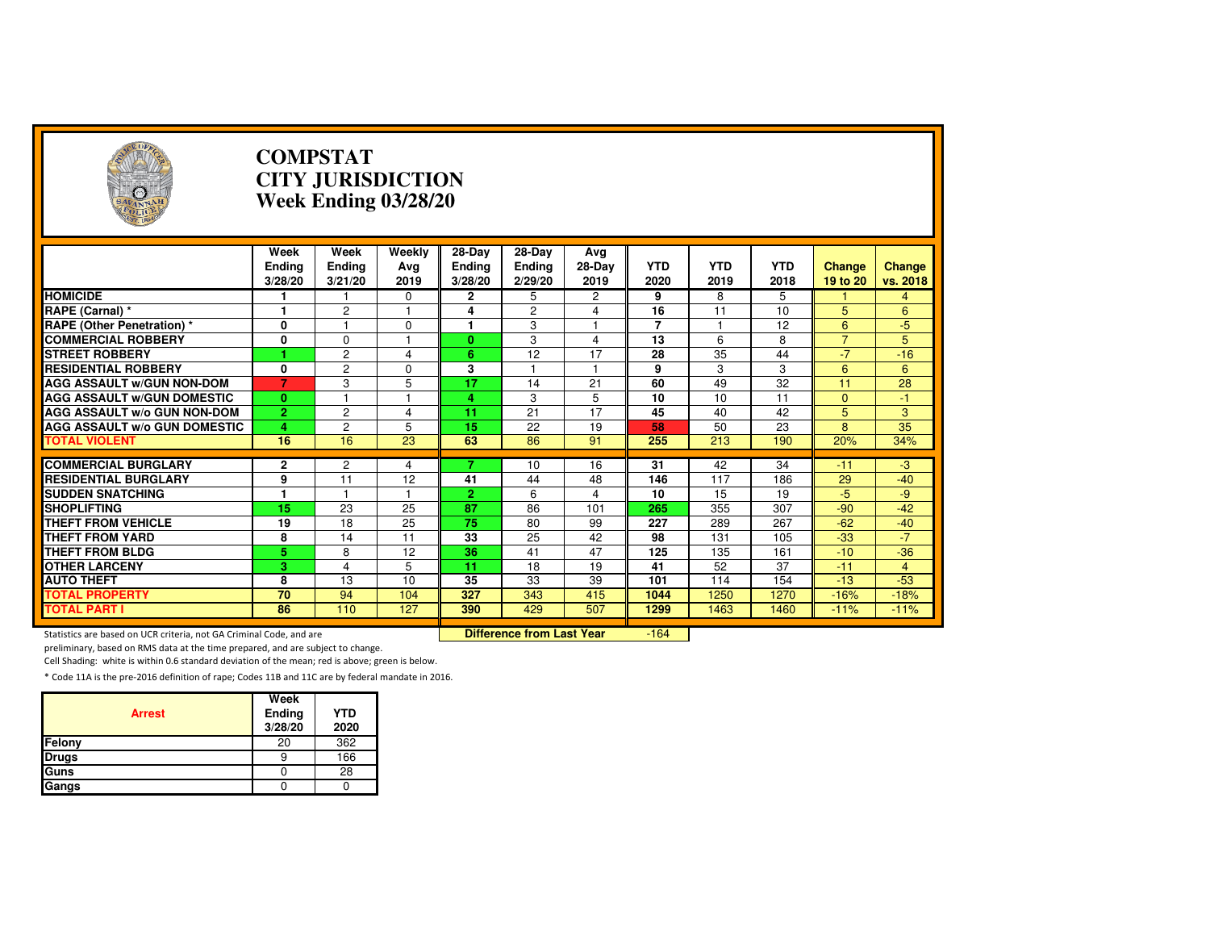| $\rightarrow$                                                       | <b>COMPSTAT</b><br><b>CITY JURISDICTION</b><br>Week Ending 03/28/20 |                           |                         |                                    |                                  |                       |                    |                    |                    |                           |                    |
|---------------------------------------------------------------------|---------------------------------------------------------------------|---------------------------|-------------------------|------------------------------------|----------------------------------|-----------------------|--------------------|--------------------|--------------------|---------------------------|--------------------|
|                                                                     | Week<br><b>Ending</b><br>3/28/20                                    | Week<br>Ending<br>3/21/20 | Weekly<br>Ava<br>2019   | 28-Day<br><b>Ending</b><br>3/28/20 | 28-Day<br>Ending<br>2/29/20      | Avg<br>28-Day<br>2019 | <b>YTD</b><br>2020 | <b>YTD</b><br>2019 | <b>YTD</b><br>2018 | <b>Change</b><br>19 to 20 | Change<br>vs. 2018 |
| <b>HOMICIDE</b>                                                     | 1                                                                   |                           | 0                       | $\mathbf{2}$                       | 5                                | 2                     | 9                  | 8                  | 5                  |                           | 4                  |
| RAPE (Carnal) *                                                     | 1                                                                   | $\overline{c}$            | $\mathbf{1}$            | 4                                  | 2                                | 4                     | 16                 | 11                 | 10                 | 5                         | 6                  |
| <b>RAPE (Other Penetration) *</b>                                   | 0                                                                   | 1                         | 0                       | 1                                  | 3                                | 1                     | $\overline{7}$     | 1                  | $\overline{12}$    | 6                         | $-5$               |
| <b>COMMERCIAL ROBBERY</b>                                           | 0                                                                   | $\Omega$                  | 1                       | $\mathbf{0}$                       | 3                                | 4                     | 13                 | 6                  | 8                  | $\overline{7}$            | 5                  |
| <b>STREET ROBBERY</b>                                               |                                                                     | $\overline{2}$            | $\overline{\mathbf{4}}$ | 6                                  | 12                               | 17                    | 28                 | 35                 | 44                 | $-7$                      | $-16$              |
| <b>RESIDENTIAL ROBBERY</b>                                          | 0                                                                   | $\overline{c}$            | $\Omega$                | 3                                  | 1                                | $\mathbf{1}$          | 9                  | 3                  | 3                  | 6                         | 6                  |
| <b>AGG ASSAULT W/GUN NON-DOM</b>                                    | 7                                                                   | 3                         | 5                       | $\overline{17}$                    | 14                               | $\overline{21}$       | 60                 | 49                 | 32                 | 11                        | $\overline{28}$    |
| <b>AGG ASSAULT W/GUN DOMESTIC</b>                                   | $\mathbf{0}$                                                        |                           |                         | 4                                  | 3                                | 5                     | 10                 | 10                 | 11                 | $\mathbf{0}$              | -1                 |
| AGG ASSAULT w/o GUN NON-DOM                                         | $\overline{2}$                                                      | $\overline{c}$            | 4                       | 11                                 | 21                               | 17                    | 45                 | 40                 | 42                 | 5                         | 3                  |
| <b>AGG ASSAULT W/o GUN DOMESTIC</b>                                 | 4                                                                   | $\overline{2}$            | 5                       | 15                                 | 22                               | 19                    | 58                 | 50                 | 23                 | 8                         | $\overline{35}$    |
| <b>TOTAL VIOLENT</b>                                                | 16                                                                  | 16                        | 23                      | 63                                 | 86                               | 91                    | 255                | 213                | 190                | 20%                       | 34%                |
|                                                                     |                                                                     |                           |                         |                                    |                                  |                       |                    |                    |                    |                           |                    |
| <b>COMMERCIAL BURGLARY</b>                                          | 2                                                                   | 2                         | 4                       |                                    | 10                               | 16                    | 31                 | 42                 | 34                 | $-11$                     | $-3$               |
| <b>RESIDENTIAL BURGLARY</b>                                         | 9                                                                   | 11                        | 12                      | 41                                 | 44                               | 48                    | 146                | 117                | 186                | 29                        | $-40$              |
| <b>SUDDEN SNATCHING</b>                                             | 1                                                                   | $\mathbf{1}$              | $\mathbf{1}$            | $\overline{2}$                     | 6                                | 4                     | 10                 | 15                 | 19                 | $-5$                      | $-9$               |
| <b>SHOPLIFTING</b>                                                  | 15                                                                  | 23                        | 25                      | $\overline{87}$                    | 86                               | 101                   | 265                | 355                | $\overline{307}$   | $-90$                     | $-42$              |
| <b>THEFT FROM VEHICLE</b>                                           | 19                                                                  | 18                        | 25                      | 75                                 | 80                               | 99                    | 227                | 289                | 267                | $-62$                     | $-40$              |
| <b>THEFT FROM YARD</b>                                              | 8                                                                   | 14                        | 11                      | 33                                 | 25                               | 42                    | 98                 | 131                | 105                | $-33$                     | $-7$               |
| <b>THEFT FROM BLDG</b>                                              | 5                                                                   | 8                         | 12                      | 36                                 | 41                               | 47                    | 125                | 135                | 161                | $-10$                     | $-36$              |
| <b>OTHER LARCENY</b>                                                | 3                                                                   | $\overline{4}$            | 5                       | 11                                 | 18                               | 19                    | 41                 | 52                 | 37                 | $-11$                     | $\overline{4}$     |
| <b>AUTO THEFT</b>                                                   | 8                                                                   | 13                        | 10                      | 35                                 | 33                               | 39                    | 101                | 114                | 154                | $-13$                     | $-53$              |
| <b>TOTAL PROPERTY</b>                                               | 70                                                                  | 94                        | 104                     | 327                                | 343                              | 415                   | 1044               | 1250               | 1270               | $-16%$                    | $-18%$             |
| <b>TOTAL PART I</b>                                                 | 86                                                                  | 110                       | 127                     | 390                                | 429                              | 507                   | 1299               | 1463               | 1460               | $-11%$                    | $-11%$             |
| Statistics are based on UCR criteria, not GA Criminal Code, and are |                                                                     |                           |                         |                                    | <b>Difference from Last Year</b> |                       | $-164$             |                    |                    |                           |                    |

preliminary, based on RMS data at the time prepared, and are subject to change.

Cell Shading: white is within 0.6 standard deviation of the mean; red is above; green is below.

| <b>Arrest</b> | Week<br>Ending<br>3/28/20 | <b>YTD</b><br>2020 |
|---------------|---------------------------|--------------------|
| Felony        | 20                        | 362                |
| <b>Drugs</b>  | 9                         | 166                |
| Guns          |                           | 28                 |
| Gangs         |                           |                    |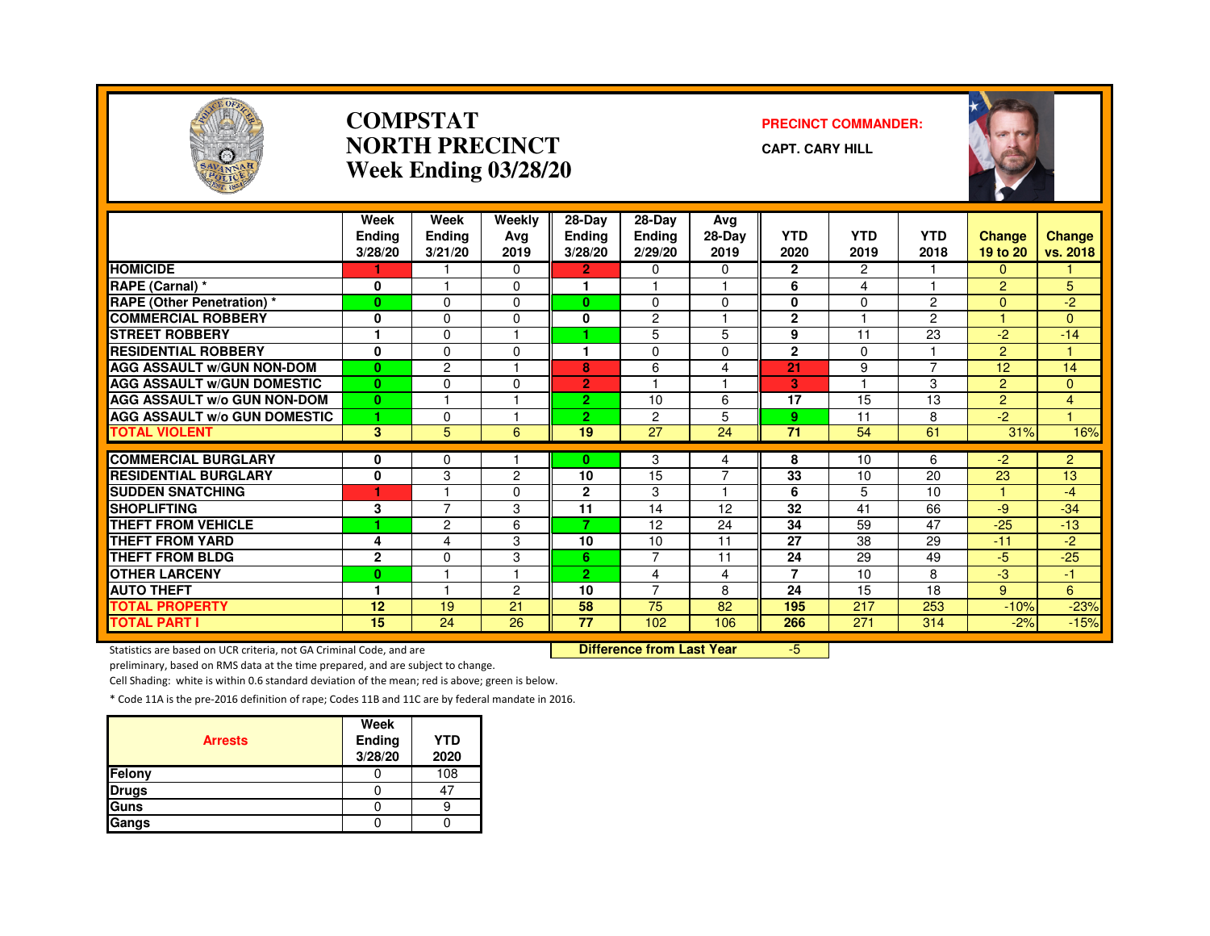

#### **COMPSTATNORTH PRECINCTWeek Ending 03/28/20**

#### **PRECINCT COMMANDER:**

**CAPT. CARY HILL**



|                                     | Week<br><b>Endina</b><br>3/28/20 | Week<br><b>Ending</b><br>3/21/20 | Weekly<br>Avg<br>2019 | $28 - Day$<br><b>Ending</b><br>3/28/20 | 28-Day<br><b>Ending</b><br>2/29/20 | Avg<br>28-Day<br>2019 | <b>YTD</b><br>2020 | <b>YTD</b><br>2019      | <b>YTD</b><br>2018 | <b>Change</b><br>19 to 20 | Change<br>vs. 2018 |
|-------------------------------------|----------------------------------|----------------------------------|-----------------------|----------------------------------------|------------------------------------|-----------------------|--------------------|-------------------------|--------------------|---------------------------|--------------------|
| <b>HOMICIDE</b>                     |                                  |                                  | 0                     | $\overline{2}$                         | 0                                  | 0                     | $\mathbf{2}$       | 2                       |                    | 0                         |                    |
| RAPE (Carnal) *                     | 0                                |                                  | 0                     |                                        |                                    |                       | 6                  | 4                       |                    | $\overline{2}$            | 5                  |
| <b>RAPE (Other Penetration) *</b>   | $\bf{0}$                         | $\Omega$                         | 0                     | 0                                      | $\Omega$                           | $\Omega$              | 0                  | $\Omega$                | $\overline{2}$     | $\overline{0}$            | $-2$               |
| <b>COMMERCIAL ROBBERY</b>           | $\mathbf{0}$                     | $\Omega$                         | 0                     | 0                                      | $\overline{c}$                     |                       | $\mathbf{2}$       |                         | $\overline{2}$     |                           | $\Omega$           |
| <b>STREET ROBBERY</b>               | 1                                | $\Omega$                         |                       |                                        | 5                                  | 5                     | 9                  | 11                      | 23                 | $-2$                      | $-14$              |
| <b>RESIDENTIAL ROBBERY</b>          | $\mathbf{0}$                     | $\Omega$                         | $\Omega$              |                                        | $\Omega$                           | $\Omega$              | $\mathbf{2}$       | $\Omega$                |                    | $\overline{2}$            |                    |
| <b>AGG ASSAULT W/GUN NON-DOM</b>    | $\bf{0}$                         | $\overline{c}$                   |                       | 8                                      | 6                                  | 4                     | 21                 | 9                       | $\overline{7}$     | 12                        | 14                 |
| <b>AGG ASSAULT W/GUN DOMESTIC</b>   | $\mathbf{0}$                     | $\Omega$                         | 0                     | $\overline{2}$                         | ٠                                  | $\overline{1}$        | 3                  | $\overline{\mathbf{1}}$ | 3                  | $\overline{2}$            | $\Omega$           |
| <b>AGG ASSAULT W/o GUN NON-DOM</b>  | $\bf{0}$                         |                                  |                       | $\overline{2}$                         | 10                                 | 6                     | 17                 | 15                      | 13                 | $\overline{2}$            | 4                  |
| <b>AGG ASSAULT W/o GUN DOMESTIC</b> | 1                                | $\Omega$                         |                       | 2.                                     | 2                                  | 5                     | 9                  | 11                      | 8                  | $-2$                      |                    |
| <b>TOTAL VIOLENT</b>                | $\mathbf{3}$                     | 5                                | 6                     | 19                                     | 27                                 | 24                    | 71                 | 54                      | 61                 | 31%                       | 16%                |
|                                     |                                  |                                  |                       |                                        |                                    |                       |                    |                         |                    |                           |                    |
| <b>COMMERCIAL BURGLARY</b>          | 0                                | 0                                |                       | 0                                      | 3                                  | 4                     | 8                  | 10                      | 6                  | -2                        | $\overline{2}$     |
| <b>RESIDENTIAL BURGLARY</b>         | 0                                | 3                                | $\overline{2}$        | 10                                     | 15                                 | 7                     | 33                 | 10                      | 20                 | 23                        | 13                 |
| <b>SUDDEN SNATCHING</b>             | ٠                                |                                  | 0                     | $\mathbf{2}$                           | 3                                  | 1                     | 6                  | 5                       | 10                 |                           | $-4$               |
| <b>SHOPLIFTING</b>                  | 3                                | $\overline{7}$                   | 3                     | 11                                     | 14                                 | 12                    | 32                 | 41                      | 66                 | $-9$                      | $-34$              |
| <b>THEFT FROM VEHICLE</b>           | 4                                | $\overline{c}$                   | 6                     | 7                                      | 12                                 | 24                    | 34                 | 59                      | 47                 | $-25$                     | $-13$              |
| THEFT FROM YARD                     | 4                                | 4                                | 3                     | 10                                     | 10                                 | 11                    | 27                 | 38                      | 29                 | $-11$                     | $-2$               |
| THEFT FROM BLDG                     | $\mathbf{2}$                     | $\Omega$                         | 3                     | 6                                      | $\overline{7}$                     | 11                    | 24                 | 29                      | 49                 | -5                        | $-25$              |
| <b>OTHER LARCENY</b>                | $\bf{0}$                         |                                  |                       | $\overline{2}$                         | 4                                  | 4                     | $\overline{7}$     | 10                      | 8                  | -3                        | 47                 |
| <b>AUTO THEFT</b>                   | ۴                                |                                  | 2                     | 10                                     | $\overline{7}$                     | 8                     | 24                 | 15                      | 18                 | 9                         | 6                  |
| <b>TOTAL PROPERTY</b>               | 12                               | 19                               | 21                    | 58                                     | 75                                 | 82                    | 195                | 217                     | 253                | $-10%$                    | $-23%$             |
| TOTAL PART I                        | 15                               | $\overline{24}$                  | 26                    | $\overline{77}$                        | 102                                | 106                   | 266                | 271                     | 314                | $-2%$                     | $-15%$             |

Statistics are based on UCR criteria, not GA Criminal Code, and are **Difference from Last Year** 

-5

preliminary, based on RMS data at the time prepared, and are subject to change.

Cell Shading: white is within 0.6 standard deviation of the mean; red is above; green is below.

| <b>Arrests</b> | Week<br><b>Ending</b><br>3/28/20 | <b>YTD</b><br>2020 |
|----------------|----------------------------------|--------------------|
| Felony         |                                  | 108                |
| <b>Drugs</b>   |                                  | 47                 |
| Guns           |                                  |                    |
| Gangs          |                                  |                    |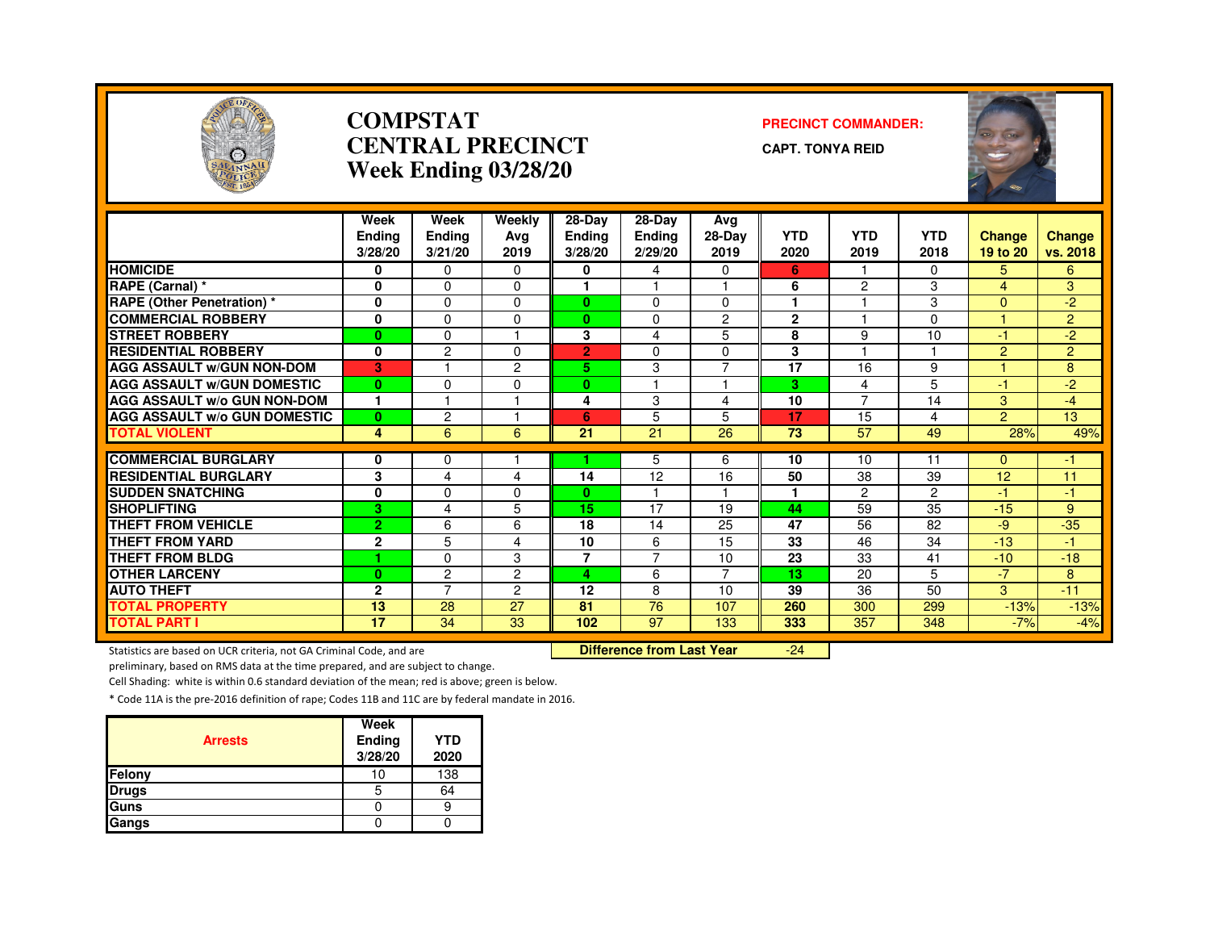

#### **COMPSTATCENTRAL PRECINCTWeek Ending 03/28/20**

#### **PRECINCT COMMANDER:**

**CAPT. TONYA REID**



|                                     | Week           | Week           | Weekly         | 28-Day         | 28-Day         | Avg                     |              |                |            |                |                |
|-------------------------------------|----------------|----------------|----------------|----------------|----------------|-------------------------|--------------|----------------|------------|----------------|----------------|
|                                     | <b>Endina</b>  | <b>Ending</b>  | Ava            | <b>Ending</b>  | <b>Ending</b>  | 28-Day                  | <b>YTD</b>   | <b>YTD</b>     | <b>YTD</b> | <b>Change</b>  | <b>Change</b>  |
|                                     | 3/28/20        | 3/21/20        | 2019           | 3/28/20        | 2/29/20        | 2019                    | 2020         | 2019           | 2018       | 19 to 20       | vs. 2018       |
| <b>HOMICIDE</b>                     | 0              | $\Omega$       | $\Omega$       | 0              | 4              | 0                       | 6            |                | $\Omega$   | 5              | 6              |
| <b>RAPE (Carnal) *</b>              | 0              | $\Omega$       | $\Omega$       | н              |                | $\overline{\mathbf{1}}$ | 6            | $\overline{c}$ | 3          | 4              | 3              |
| <b>RAPE (Other Penetration) *</b>   | 0              | $\Omega$       | $\Omega$       | $\mathbf{0}$   | $\Omega$       | $\Omega$                | ۴            |                | 3          | $\Omega$       | $-2$           |
| <b>COMMERCIAL ROBBERY</b>           | 0              | $\Omega$       | 0              | $\mathbf{0}$   | 0              | 2                       | $\mathbf{2}$ |                | $\Omega$   |                | $\overline{2}$ |
| <b>STREET ROBBERY</b>               | $\bf{0}$       | $\Omega$       |                | 3              | 4              | 5                       | 8            | 9              | 10         | $-1$           | $-2$           |
| <b>RESIDENTIAL ROBBERY</b>          | $\mathbf{0}$   | $\overline{c}$ | $\Omega$       | $\overline{2}$ | $\Omega$       | $\Omega$                | 3            |                |            | $\overline{2}$ | $\overline{2}$ |
| <b>AGG ASSAULT W/GUN NON-DOM</b>    | 3              |                | $\overline{c}$ | 5.             | 3              | $\overline{7}$          | 17           | 16             | 9          |                | 8              |
| <b>AGG ASSAULT W/GUN DOMESTIC</b>   | $\mathbf{0}$   | $\Omega$       | $\Omega$       | $\mathbf{0}$   |                |                         | з            | 4              | 5          | -1             | $-2$           |
| <b>AGG ASSAULT W/o GUN NON-DOM</b>  | 1              |                |                | 4              | 3              | 4                       | 10           | $\overline{7}$ | 14         | 3              | $-4$           |
| <b>AGG ASSAULT W/o GUN DOMESTIC</b> | $\mathbf{0}$   | $\overline{c}$ |                | 6              | 5              | 5                       | 17           | 15             | 4          | $\overline{2}$ | 13             |
| <b>TOTAL VIOLENT</b>                | 4              | 6              | 6              | 21             | 21             | 26                      | 73           | 57             | 49         | 28%            | 49%            |
|                                     |                |                |                |                |                |                         |              |                |            |                |                |
| <b>COMMERCIAL BURGLARY</b>          | 0              | $\Omega$       |                |                | 5              | 6                       | 10           | 10             | 11         | $\overline{0}$ | -1             |
| <b>RESIDENTIAL BURGLARY</b>         | 3              | 4              | 4              | 14             | 12             | 16                      | 50           | 38             | 39         | 12             | 11             |
| <b>SUDDEN SNATCHING</b>             | 0              | $\Omega$       | 0              | 0              |                |                         |              | 2              | 2          | $-1$           | -1             |
| <b>SHOPLIFTING</b>                  | з              | $\overline{4}$ | 5              | 15             | 17             | 19                      | 44           | 59             | 35         | $-15$          | 9              |
| <b>THEFT FROM VEHICLE</b>           | $\overline{2}$ | 6              | 6              | 18             | 14             | 25                      | 47           | 56             | 82         | -9             | $-35$          |
| <b>THEFT FROM YARD</b>              | $\mathbf{2}$   | 5              | 4              | 10             | 6              | 15                      | 33           | 46             | 34         | $-13$          | $\overline{1}$ |
| <b>THEFT FROM BLDG</b>              | и              | $\Omega$       | 3              | $\overline{7}$ | $\overline{7}$ | 10                      | 23           | 33             | 41         | $-10$          | $-18$          |
| <b>OTHER LARCENY</b>                | $\bf{0}$       | $\overline{c}$ | $\overline{2}$ | 4              | 6              | $\overline{7}$          | 13           | 20             | 5          | $-7$           | 8              |
| <b>AUTO THEFT</b>                   | $\mathbf{2}$   | $\overline{7}$ | 2              | 12             | 8              | 10                      | 39           | 36             | 50         | 3              | $-11$          |
| <b>TOTAL PROPERTY</b>               | 13             | 28             | 27             | 81             | 76             | 107                     | 260          | 300            | 299        | $-13%$         | $-13%$         |
| <b>TOTAL PART I</b>                 | 17             | 34             | 33             | 102            | 97             | 133                     | 333          | 357            | 348        | $-7%$          | $-4%$          |

Statistics are based on UCR criteria, not GA Criminal Code, and are **Difference from Last Year** 

-24

preliminary, based on RMS data at the time prepared, and are subject to change.

Cell Shading: white is within 0.6 standard deviation of the mean; red is above; green is below.

| <b>Arrests</b> | Week<br>Ending<br>3/28/20 | <b>YTD</b><br>2020 |
|----------------|---------------------------|--------------------|
| <b>Felony</b>  | 10                        | 138                |
| <b>Drugs</b>   | 5                         | 64                 |
| <b>Guns</b>    |                           |                    |
| Gangs          |                           |                    |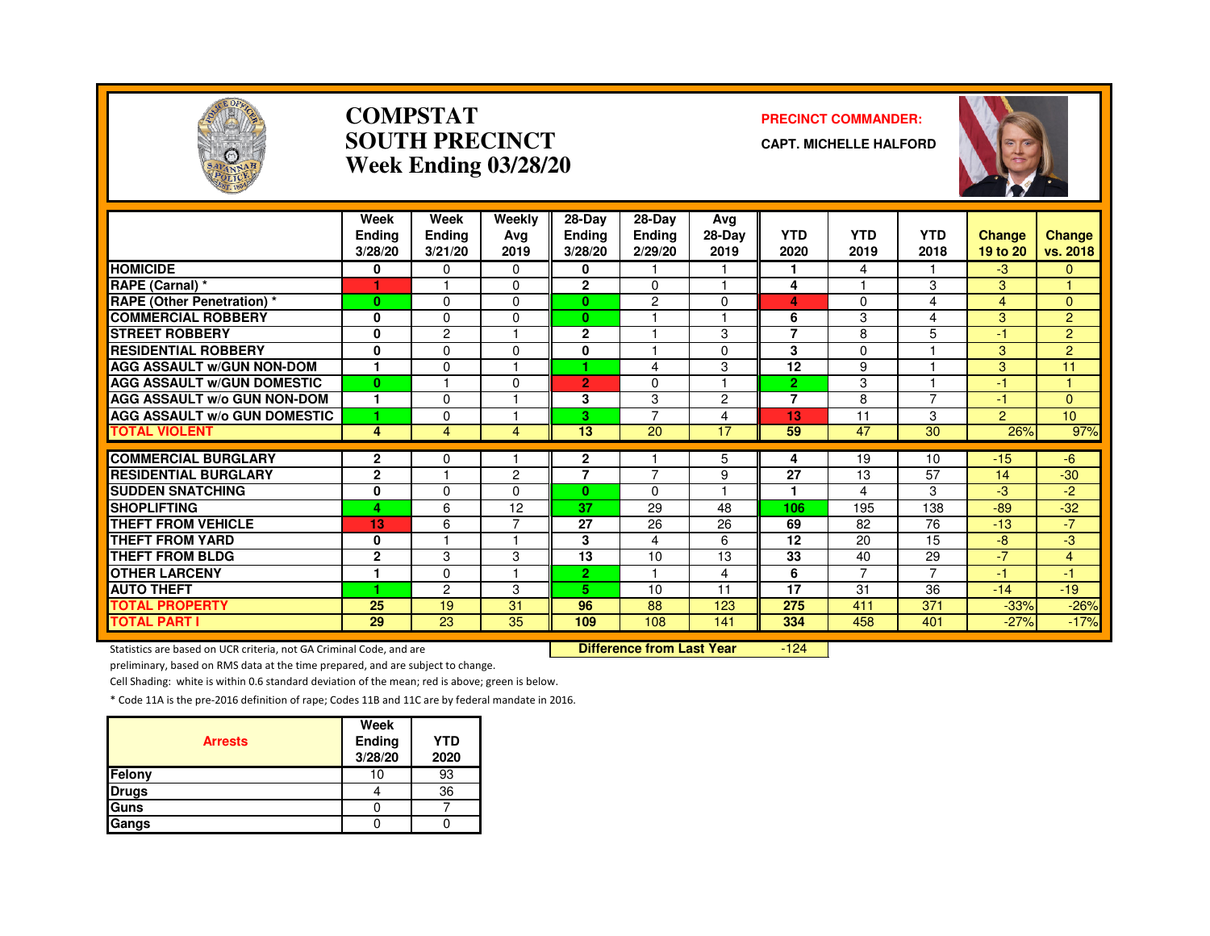

#### **COMPSTATSOUTH PRECINCTWeek Ending 03/28/20**

#### **PRECINCT COMMANDER:**

**CAPT. MICHELLE HALFORD**



|                                     | Week<br>Endina<br>3/28/20 | Week<br><b>Ending</b><br>3/21/20 | Weekly<br>Avg<br>2019 | 28-Day<br><b>Ending</b><br>3/28/20 | $28-Dav$<br><b>Ending</b><br>2/29/20 | Avg<br>28-Day<br>2019    | <b>YTD</b><br>2020 | <b>YTD</b><br>2019 | <b>YTD</b><br>2018 | <b>Change</b><br>19 to 20 | <b>Change</b><br>vs. 2018 |
|-------------------------------------|---------------------------|----------------------------------|-----------------------|------------------------------------|--------------------------------------|--------------------------|--------------------|--------------------|--------------------|---------------------------|---------------------------|
| <b>HOMICIDE</b>                     | 0                         | $\mathbf{0}$                     | $\Omega$              | 0                                  |                                      |                          | 1                  | 4                  |                    | $-3$                      | $\mathbf{0}$              |
| RAPE (Carnal) *                     |                           |                                  | 0                     | $\mathbf{2}$                       | $\Omega$                             |                          | 4                  |                    | 3                  | 3                         |                           |
| <b>RAPE</b> (Other Penetration) *   | $\bf{0}$                  | $\Omega$                         | 0                     | $\bf{0}$                           | $\overline{c}$                       | $\Omega$                 | 4                  | $\Omega$           | 4                  | 4                         | $\mathbf{0}$              |
| <b>COMMERCIAL ROBBERY</b>           | 0                         | $\Omega$                         | $\Omega$              | $\mathbf{0}$                       |                                      |                          | 6                  | 3                  | 4                  | 3                         | $\overline{2}$            |
| <b>STREET ROBBERY</b>               | $\mathbf{0}$              | $\overline{c}$                   |                       | $\overline{2}$                     |                                      | 3                        | $\overline{7}$     | 8                  | 5                  | -1                        | $\overline{2}$            |
| <b>RESIDENTIAL ROBBERY</b>          | $\mathbf{0}$              | $\Omega$                         | O                     | 0                                  |                                      | $\Omega$                 | 3                  | $\Omega$           |                    | 3                         | $\overline{2}$            |
| <b>AGG ASSAULT W/GUN NON-DOM</b>    | 1                         | 0                                |                       |                                    | 4                                    | 3                        | 12                 | 9                  |                    | 3                         | 11                        |
| <b>AGG ASSAULT W/GUN DOMESTIC</b>   | $\bf{0}$                  |                                  | $\Omega$              | $\overline{2}$                     | $\Omega$                             | $\overline{\phantom{a}}$ | $\overline{2}$     | 3                  |                    | $-1$                      | и                         |
| <b>AGG ASSAULT W/o GUN NON-DOM</b>  | 1                         | $\Omega$                         |                       | 3                                  | 3                                    | $\overline{2}$           | $\overline{7}$     | 8                  | 7                  | $-1$                      | $\mathbf{0}$              |
| <b>AGG ASSAULT W/o GUN DOMESTIC</b> | и                         | $\Omega$                         |                       | 3                                  | $\overline{7}$                       | $\overline{4}$           | 13                 | 11                 | 3                  | $\overline{2}$            | 10 <sup>1</sup>           |
| <b>TOTAL VIOLENT</b>                | 4                         | 4                                | 4                     | 13                                 | 20                                   | 17                       | 59                 | 47                 | 30                 | 26%                       | 97%                       |
| <b>COMMERCIAL BURGLARY</b>          | $\mathbf{2}$              | $\Omega$                         |                       | $\mathbf{2}$                       |                                      |                          |                    | 19                 | 10                 | $-15$                     | $-6$                      |
| <b>RESIDENTIAL BURGLARY</b>         | $\mathbf{2}$              | м                                | 2                     | $\overline{7}$                     | 7                                    | 5<br>9                   | 4<br>27            | 13                 | 57                 | 14                        | $-30$                     |
| <b>SUDDEN SNATCHING</b>             | 0                         | $\Omega$                         | <sup>0</sup>          | $\mathbf{0}$                       | $\Omega$                             |                          | 1                  | 4                  | 3                  | -3                        | -2                        |
| <b>SHOPLIFTING</b>                  | 4                         | 6                                | 12                    | 37                                 | 29                                   | 48                       | 106                | 195                | 138                | $-89$                     | $-32$                     |
| <b>THEFT FROM VEHICLE</b>           | 13                        | 6                                | ⇁                     | 27                                 | 26                                   | 26                       | 69                 | 82                 | 76                 | $-13$                     | $-7$                      |
| <b>THEFT FROM YARD</b>              | 0                         |                                  |                       | 3                                  | 4                                    | 6                        | 12                 | 20                 | 15                 | -8                        | -3                        |
| <b>THEFT FROM BLDG</b>              | $\mathbf{2}$              | 3                                | 3                     | 13                                 | 10                                   | 13                       | 33                 | 40                 | 29                 | $-7$                      | $\overline{4}$            |
| <b>OTHER LARCENY</b>                | и                         | $\Omega$                         |                       | $\mathbf{2}$                       |                                      | 4                        | 6                  | $\overline{7}$     | $\overline{7}$     | $-1$                      | -1                        |
| <b>AUTO THEFT</b>                   | и                         | 2                                | 3                     | 5.                                 | 10                                   | 11                       | 17                 | 31                 | 36                 | $-14$                     | $-19$                     |
| <b>TOTAL PROPERTY</b>               | 25                        | 19                               | 31                    | 96                                 | 88                                   | 123                      | 275                | 411                | 371                | $-33%$                    |                           |
| <b>TOTAL PART I</b>                 | 29                        | 23                               | 35                    | 109                                | 108                                  | 141                      | 334                | 458                | 401                | $-27%$                    | $-26%$<br>$-17%$          |

Statistics are based on UCR criteria, not GA Criminal Code, and are **Difference from Last Year** 

 $-124$ 

preliminary, based on RMS data at the time prepared, and are subject to change.

Cell Shading: white is within 0.6 standard deviation of the mean; red is above; green is below.

| <b>Arrests</b> | Week<br>Ending<br>3/28/20 | <b>YTD</b><br>2020 |
|----------------|---------------------------|--------------------|
| Felony         | 10                        | 93                 |
| <b>Drugs</b>   |                           | 36                 |
| Guns           |                           |                    |
| Gangs          |                           |                    |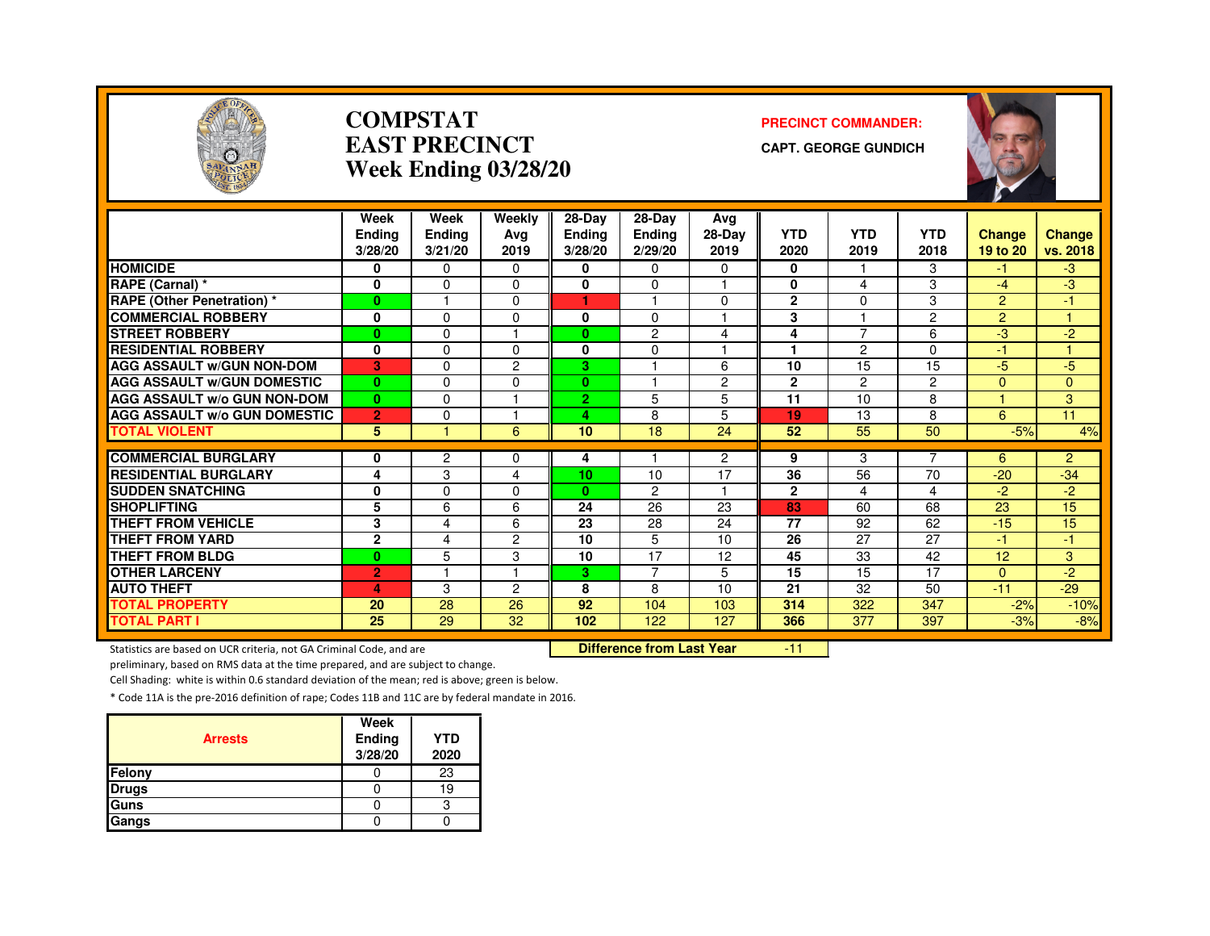

#### **COMPSTATEAST PRECINCTWeek Ending 03/28/20**

#### **PRECINCT COMMANDER:**

**CAPT. GEORGE GUNDICH**



|                                     | Week           | Week           | Weekly         | 28-Day         | $28-Dav$       | Avg                  |                 |                 |                 |                |                |
|-------------------------------------|----------------|----------------|----------------|----------------|----------------|----------------------|-----------------|-----------------|-----------------|----------------|----------------|
|                                     | <b>Endina</b>  | Ending         | Ava            | <b>Ending</b>  | <b>Ending</b>  | 28-Day               | <b>YTD</b>      | <b>YTD</b>      | <b>YTD</b>      | <b>Change</b>  | <b>Change</b>  |
|                                     | 3/28/20        | 3/21/20        | 2019           | 3/28/20        | 2/29/20        | 2019                 | 2020            | 2019            | 2018            | 19 to 20       | vs. 2018       |
| <b>HOMICIDE</b>                     | 0              | $\Omega$       | $\Omega$       | 0              | 0              | 0                    | 0               |                 | 3               | -1             | $-3$           |
| RAPE (Carnal) *                     | 0              | $\Omega$       | $\Omega$       | 0              | 0              | ٠                    | 0               | 4               | 3               | $-4$           | -3             |
| <b>RAPE (Other Penetration) *</b>   | $\mathbf{0}$   | н              | $\Omega$       | 1              |                | $\Omega$             | $\mathbf{2}$    | $\Omega$        | 3               | $\overline{2}$ | $-1$           |
| <b>COMMERCIAL ROBBERY</b>           | 0              | $\Omega$       | $\Omega$       | 0              | 0              | ٠                    | 3               |                 | $\overline{2}$  | $\overline{2}$ |                |
| <b>STREET ROBBERY</b>               | $\bf{0}$       | $\Omega$       |                | $\mathbf{0}$   | $\overline{c}$ | 4                    | 4               | $\overline{7}$  | 6               | -3             | $-2$           |
| <b>RESIDENTIAL ROBBERY</b>          | 0              | $\Omega$       | $\Omega$       | $\bf{0}$       | 0              |                      |                 | $\overline{c}$  | $\Omega$        | $-1$           |                |
| <b>AGG ASSAULT W/GUN NON-DOM</b>    | в.             | $\Omega$       | 2              | 3              |                | 6                    | 10              | 15              | 15              | $-5$           | $-5$           |
| <b>AGG ASSAULT W/GUN DOMESTIC</b>   | $\bf{0}$       | $\Omega$       | $\Omega$       | $\bf{0}$       |                | $\overline{c}$       | $\overline{2}$  | $\overline{c}$  | $\overline{2}$  | $\mathbf{0}$   | 0              |
| <b>AGG ASSAULT w/o GUN NON-DOM</b>  | $\bf{0}$       | $\Omega$       |                | $\overline{2}$ | 5              | 5                    | 11              | 10              | 8               |                | 3              |
| <b>AGG ASSAULT W/o GUN DOMESTIC</b> | $\overline{2}$ | $\Omega$       |                | 4              | 8              | 5                    | 19              | 13              | 8               | 6              | 11             |
| <b>TOTAL VIOLENT</b>                | 5              |                | 6              | 10             | 18             | 24                   | 52              | 55              | 50              | $-5%$          | 4%             |
|                                     |                |                |                |                |                |                      |                 |                 | 7               |                |                |
| <b>COMMERCIAL BURGLARY</b>          | 0              | $\overline{c}$ | $\Omega$       | 4              |                | $\overline{2}$<br>17 | 9<br>36         | 3               | 70              | 6              | $\overline{2}$ |
| <b>RESIDENTIAL BURGLARY</b>         | 4              | 3              | 4              | 10             | 10             | н                    |                 | 56              |                 | $-20$          | $-34$          |
| <b>SUDDEN SNATCHING</b>             | 0              | $\Omega$       | $\Omega$       | $\mathbf{0}$   | $\overline{2}$ |                      | $\overline{2}$  | 4               | 4               | $-2$           | $-2$           |
| <b>SHOPLIFTING</b>                  | 5              | 6              | 6              | 24             | 26             | 23                   | 83              | 60              | 68              | 23             | 15             |
| <b>THEFT FROM VEHICLE</b>           | 3              | 4              | 6              | 23             | 28             | 24                   | 77              | 92              | 62              | $-15$          | 15             |
| <b>THEFT FROM YARD</b>              | $\overline{2}$ | 4              | $\overline{2}$ | 10             | 5              | 10                   | $\overline{26}$ | $\overline{27}$ | $\overline{27}$ | 47             | $\blacksquare$ |
| <b>THEFT FROM BLDG</b>              | $\mathbf{0}$   | 5              | 3              | 10             | 17             | 12                   | 45              | 33              | 42              | 12             | 3              |
| <b>OTHER LARCENY</b>                | $\overline{2}$ |                | и              | 3.             | $\overline{7}$ | 5                    | 15              | 15              | 17              | $\Omega$       | $-2$           |
| <b>AUTO THEFT</b>                   | 4              | 3              | 2              | 8              | 8              | 10                   | 21              | 32              | 50              | $-11$          | $-29$          |
| <b>TOTAL PROPERTY</b>               | 20             | 28             | 26             | 92             | 104            | 103                  | 314             | 322             | 347             | $-2%$          | $-10%$         |
| <b>TOTAL PART I</b>                 | 25             | 29             | 32             | 102            | 122            | 127                  | 366             | 377             | 397             | $-3%$          | $-8%$          |

Statistics are based on UCR criteria, not GA Criminal Code, and are **Difference from Last Year** 

-11

preliminary, based on RMS data at the time prepared, and are subject to change.

Cell Shading: white is within 0.6 standard deviation of the mean; red is above; green is below.

| <b>Arrests</b> | Week<br>Ending<br>3/28/20 | <b>YTD</b><br>2020 |
|----------------|---------------------------|--------------------|
| Felony         |                           | 23                 |
| <b>Drugs</b>   |                           | 19                 |
| Guns           |                           | с                  |
| Gangs          |                           |                    |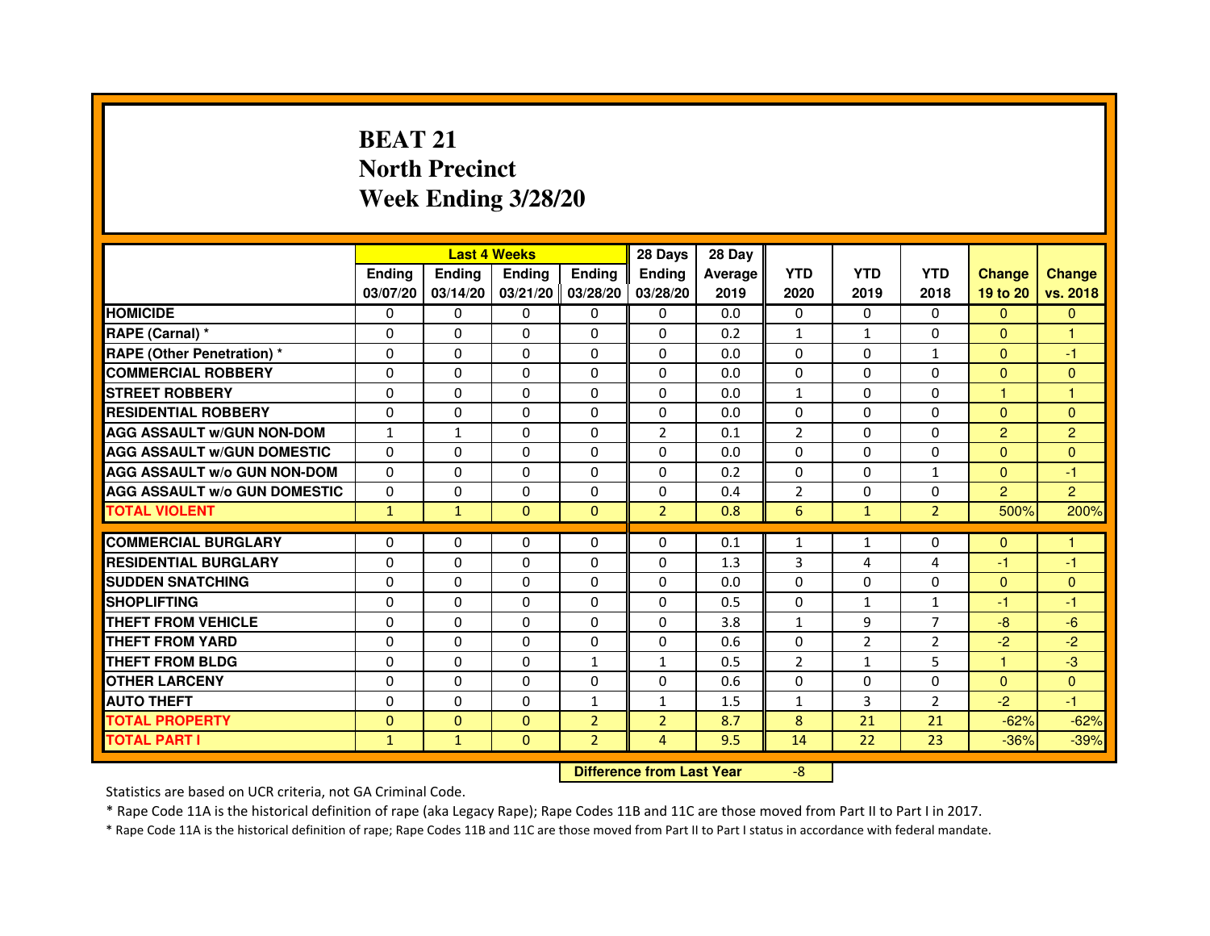# **BEAT 21 North PrecinctWeek Ending 3/28/20**

|                                     |               | <b>Last 4 Weeks</b> |                                  |                | 28 Days        | 28 Day  |                |                |                |                |                |
|-------------------------------------|---------------|---------------------|----------------------------------|----------------|----------------|---------|----------------|----------------|----------------|----------------|----------------|
|                                     | <b>Ending</b> | Ending              | <b>Ending</b>                    | <b>Ending</b>  | <b>Ending</b>  | Average | <b>YTD</b>     | <b>YTD</b>     | <b>YTD</b>     | <b>Change</b>  | <b>Change</b>  |
|                                     | 03/07/20      | 03/14/20            | 03/21/20 03/28/20                |                | 03/28/20       | 2019    | 2020           | 2019           | 2018           | 19 to 20       | vs. 2018       |
| <b>HOMICIDE</b>                     | 0             | $\Omega$            | $\Omega$                         | $\Omega$       | 0              | 0.0     | $\Omega$       | $\Omega$       | $\Omega$       | $\Omega$       | $\Omega$       |
| RAPE (Carnal) *                     | 0             | 0                   | 0                                | 0              | 0              | 0.2     | $\mathbf{1}$   | $\mathbf{1}$   | 0              | $\Omega$       | 1              |
| <b>RAPE (Other Penetration)*</b>    | 0             | 0                   | $\Omega$                         | 0              | $\Omega$       | 0.0     | $\Omega$       | $\mathbf{0}$   | $\mathbf{1}$   | $\Omega$       | $-1$           |
| <b>COMMERCIAL ROBBERY</b>           | $\Omega$      | $\Omega$            | $\Omega$                         | $\Omega$       | $\Omega$       | 0.0     | $\Omega$       | $\Omega$       | $\Omega$       | $\Omega$       | $\Omega$       |
| <b>STREET ROBBERY</b>               | $\Omega$      | $\Omega$            | $\Omega$                         | $\Omega$       | $\Omega$       | 0.0     | $\mathbf{1}$   | $\Omega$       | $\Omega$       | $\mathbf{1}$   | $\mathbf{1}$   |
| <b>RESIDENTIAL ROBBERY</b>          | $\Omega$      | $\Omega$            | $\Omega$                         | $\Omega$       | 0              | 0.0     | $\Omega$       | $\mathbf{0}$   | 0              | $\Omega$       | $\Omega$       |
| <b>AGG ASSAULT w/GUN NON-DOM</b>    | $\mathbf{1}$  | $\mathbf{1}$        | $\mathbf 0$                      | $\Omega$       | $\overline{2}$ | 0.1     | $\overline{2}$ | $\Omega$       | $\Omega$       | $\overline{2}$ | $\overline{2}$ |
| <b>AGG ASSAULT w/GUN DOMESTIC</b>   | $\Omega$      | $\mathbf 0$         | $\Omega$                         | $\Omega$       | $\Omega$       | 0.0     | $\Omega$       | $\Omega$       | $\Omega$       | $\Omega$       | $\Omega$       |
| <b>AGG ASSAULT W/o GUN NON-DOM</b>  | 0             | 0                   | 0                                | 0              | 0              | 0.2     | 0              | $\mathbf{0}$   | $\mathbf{1}$   | $\Omega$       | $-1$           |
| <b>AGG ASSAULT w/o GUN DOMESTIC</b> | $\Omega$      | $\mathbf 0$         | $\Omega$                         | 0              | 0              | 0.4     | $\overline{2}$ | $\Omega$       | $\Omega$       | $\overline{2}$ | $\overline{2}$ |
| <b>TOTAL VIOLENT</b>                | $\mathbf{1}$  | $\mathbf{1}$        | $\mathbf 0$                      | $\mathbf{0}$   | $\overline{2}$ | 0.8     | 6              | $\mathbf{1}$   | $\overline{2}$ | 500%           | 200%           |
| <b>COMMERCIAL BURGLARY</b>          | $\Omega$      | $\Omega$            | 0                                | $\Omega$       | 0              | 0.1     | $\mathbf{1}$   | $\mathbf{1}$   | 0              | $\mathbf{0}$   | 1.             |
| <b>RESIDENTIAL BURGLARY</b>         | $\Omega$      | $\Omega$            | $\Omega$                         | $\Omega$       | $\Omega$       | 1.3     | 3              | 4              | 4              | $-1$           | $-1$           |
| <b>SUDDEN SNATCHING</b>             | $\Omega$      | $\Omega$            | $\Omega$                         | $\Omega$       | $\Omega$       | 0.0     | $\Omega$       | $\Omega$       | $\Omega$       | $\Omega$       | $\Omega$       |
| <b>SHOPLIFTING</b>                  | 0             | 0                   | 0                                | 0              | 0              | 0.5     | $\Omega$       | 1              | 1              | $-1$           | $-1$           |
| <b>THEFT FROM VEHICLE</b>           | $\Omega$      | $\Omega$            | $\Omega$                         | $\Omega$       | 0              | 3.8     | $\mathbf{1}$   | 9              | $\overline{7}$ | $-8$           | $-6$           |
| <b>THEFT FROM YARD</b>              | $\mathbf 0$   | 0                   | $\mathbf 0$                      | 0              | 0              | 0.6     | $\mathbf{0}$   | $\overline{2}$ | $\overline{2}$ | $-2$           | $-2$           |
| <b>THEFT FROM BLDG</b>              | $\Omega$      | $\Omega$            | $\Omega$                         | $\mathbf{1}$   | $\mathbf{1}$   | 0.5     | $\overline{2}$ | $\mathbf{1}$   | 5              | $\mathbf{1}$   | $-3$           |
| <b>OTHER LARCENY</b>                | $\mathbf 0$   | $\Omega$            | $\mathbf 0$                      | $\Omega$       | 0              | 0.6     | $\Omega$       | $\mathbf{0}$   | 0              | $\Omega$       | $\Omega$       |
| <b>AUTO THEFT</b>                   | $\Omega$      | $\Omega$            | $\Omega$                         | $\mathbf{1}$   | $\mathbf{1}$   | 1.5     | $\mathbf{1}$   | 3              | $\overline{2}$ | $-2$           | $-1$           |
| <b>TOTAL PROPERTY</b>               | $\Omega$      | $\mathbf{0}$        | $\Omega$                         | $\overline{2}$ | $\overline{2}$ | 8.7     | 8              | 21             | 21             | $-62%$         | $-62%$         |
| <b>TOTAL PART I</b>                 | $\mathbf{1}$  | $\mathbf{1}$        | $\mathbf{0}$                     | $\overline{2}$ | $\overline{4}$ | 9.5     | 14             | 22             | 23             | $-36%$         | $-39%$         |
|                                     |               |                     | <b>Difference from Last Year</b> |                | $-8$           |         |                |                |                |                |                |

Statistics are based on UCR criteria, not GA Criminal Code.

\* Rape Code 11A is the historical definition of rape (aka Legacy Rape); Rape Codes 11B and 11C are those moved from Part II to Part I in 2017.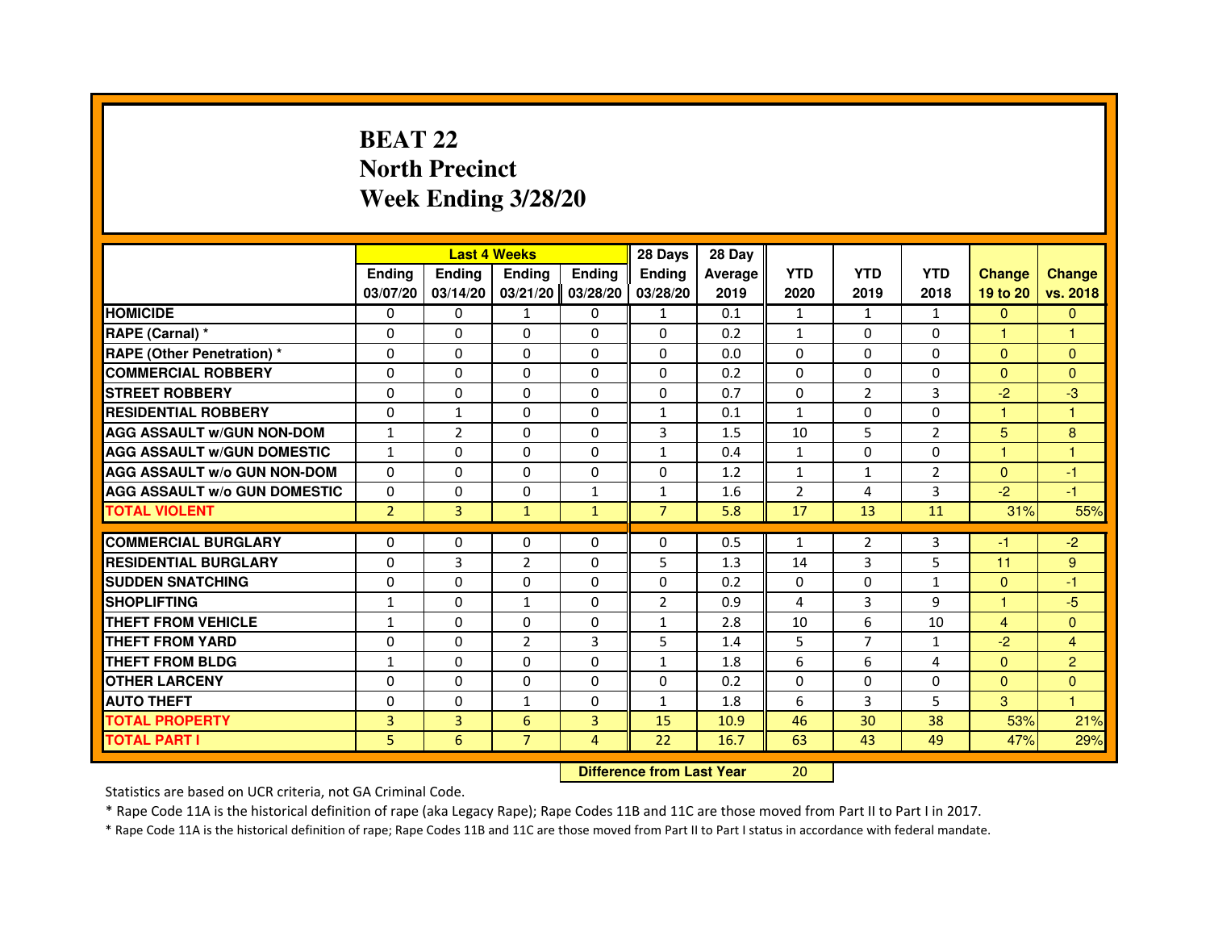## **BEAT 22 North PrecinctWeek Ending 3/28/20**

|                                     |                |                | <b>Last 4 Weeks</b> |               | 28 Days                          | 28 Day  |                |                |                |               |                |
|-------------------------------------|----------------|----------------|---------------------|---------------|----------------------------------|---------|----------------|----------------|----------------|---------------|----------------|
|                                     | <b>Ending</b>  | Ending         | <b>Ending</b>       | <b>Ending</b> | Ending                           | Average | <b>YTD</b>     | <b>YTD</b>     | <b>YTD</b>     | <b>Change</b> | <b>Change</b>  |
|                                     | 03/07/20       | 03/14/20       | 03/21/20            | 03/28/20      | 03/28/20                         | 2019    | 2020           | 2019           | 2018           | 19 to 20      | vs. 2018       |
| <b>HOMICIDE</b>                     | 0              | $\Omega$       | 1                   | 0             | $\mathbf{1}$                     | 0.1     | $\mathbf{1}$   | $\mathbf{1}$   | $\mathbf{1}$   | $\mathbf{0}$  | $\mathbf{0}$   |
| RAPE (Carnal) *                     | 0              | 0              | 0                   | 0             | 0                                | 0.2     | $\mathbf{1}$   | 0              | 0              | 1             | 1              |
| RAPE (Other Penetration) *          | $\Omega$       | $\Omega$       | $\Omega$            | $\Omega$      | $\Omega$                         | 0.0     | $\Omega$       | $\Omega$       | $\Omega$       | $\Omega$      | $\mathbf{0}$   |
| <b>COMMERCIAL ROBBERY</b>           | 0              | $\Omega$       | $\Omega$            | $\Omega$      | $\Omega$                         | 0.2     | $\Omega$       | $\Omega$       | $\Omega$       | $\Omega$      | $\mathbf{0}$   |
| <b>STREET ROBBERY</b>               | $\Omega$       | $\Omega$       | $\Omega$            | $\Omega$      | $\Omega$                         | 0.7     | $\Omega$       | $\overline{2}$ | 3              | $-2$          | $-3$           |
| <b>RESIDENTIAL ROBBERY</b>          | 0              | $\mathbf{1}$   | 0                   | 0             | $\mathbf{1}$                     | 0.1     | $\mathbf{1}$   | 0              | $\Omega$       | $\mathbf{1}$  | $\mathbf{1}$   |
| <b>AGG ASSAULT w/GUN NON-DOM</b>    | $\mathbf{1}$   | $\overline{2}$ | $\Omega$            | $\Omega$      | 3                                | 1.5     | 10             | 5              | $\overline{2}$ | 5             | 8              |
| <b>AGG ASSAULT W/GUN DOMESTIC</b>   | $\mathbf{1}$   | $\Omega$       | $\Omega$            | $\Omega$      | $\mathbf{1}$                     | 0.4     | $\mathbf{1}$   | $\Omega$       | 0              | $\mathbf{1}$  | $\mathbf{1}$   |
| <b>AGG ASSAULT W/o GUN NON-DOM</b>  | $\Omega$       | $\Omega$       | $\Omega$            | $\Omega$      | $\Omega$                         | 1.2     | $\mathbf{1}$   | $\mathbf{1}$   | 2              | $\Omega$      | $-1$           |
| <b>AGG ASSAULT w/o GUN DOMESTIC</b> | $\Omega$       | $\Omega$       | $\Omega$            | $\mathbf{1}$  | $\mathbf{1}$                     | 1.6     | $\overline{2}$ | 4              | 3              | $-2$          | $-1$           |
| <b>TOTAL VIOLENT</b>                | $\overline{2}$ | 3              | $\mathbf{1}$        | $\mathbf{1}$  | $\overline{7}$                   | 5.8     | 17             | 13             | 11             | 31%           | 55%            |
| <b>COMMERCIAL BURGLARY</b>          | 0              | 0              | 0                   | 0             | 0                                | 0.5     | $\mathbf{1}$   | $\overline{2}$ | 3              | -1            | $-2$           |
| <b>RESIDENTIAL BURGLARY</b>         | 0              | 3              | $\overline{2}$      | $\Omega$      | 5                                | 1.3     | 14             | 3              | 5              | 11            | 9              |
| <b>SUDDEN SNATCHING</b>             | $\Omega$       | $\Omega$       | $\Omega$            | $\Omega$      | $\Omega$                         | 0.2     | $\Omega$       | $\Omega$       | $\mathbf{1}$   | $\Omega$      | $-1$           |
| <b>SHOPLIFTING</b>                  | $\mathbf{1}$   | $\Omega$       | $\mathbf{1}$        | 0             | 2                                | 0.9     | 4              | 3              | 9              | 1             | $-5$           |
| <b>THEFT FROM VEHICLE</b>           | 1              | 0              | $\Omega$            | 0             | $\mathbf{1}$                     | 2.8     | 10             | 6              | 10             | 4             | $\overline{0}$ |
| <b>THEFT FROM YARD</b>              | $\Omega$       | $\Omega$       | $\overline{2}$      | 3             | 5                                | 1.4     | 5              | $\overline{7}$ | $\mathbf{1}$   | $-2$          | $\overline{4}$ |
| <b>THEFT FROM BLDG</b>              | $\mathbf{1}$   | $\Omega$       | $\Omega$            | $\Omega$      | $\mathbf{1}$                     | 1.8     | 6              | 6              | 4              | $\Omega$      | $\overline{2}$ |
| <b>OTHER LARCENY</b>                | 0              | $\Omega$       | $\Omega$            | $\Omega$      | $\Omega$                         | 0.2     | $\Omega$       | 0              | 0              | $\mathbf{0}$  | $\overline{0}$ |
| <b>AUTO THEFT</b>                   | $\Omega$       | $\Omega$       | $\mathbf{1}$        | $\Omega$      | $\mathbf{1}$                     | 1.8     | 6              | 3              | 5              | 3             | $\mathbf{1}$   |
| <b>TOTAL PROPERTY</b>               | $\overline{3}$ | 3              | 6                   | 3             | 15                               | 10.9    | 46             | 30             | 38             | 53%           | 21%            |
| <b>TOTAL PART I</b>                 | 5              | 6              | $\overline{7}$      | 4             | 22                               | 16.7    | 63             | 43             | 49             | 47%           | 29%            |
|                                     |                |                |                     |               | <b>Difference from Last Year</b> |         | 20             |                |                |               |                |

 **Difference from Last Year**

Statistics are based on UCR criteria, not GA Criminal Code.

\* Rape Code 11A is the historical definition of rape (aka Legacy Rape); Rape Codes 11B and 11C are those moved from Part II to Part I in 2017.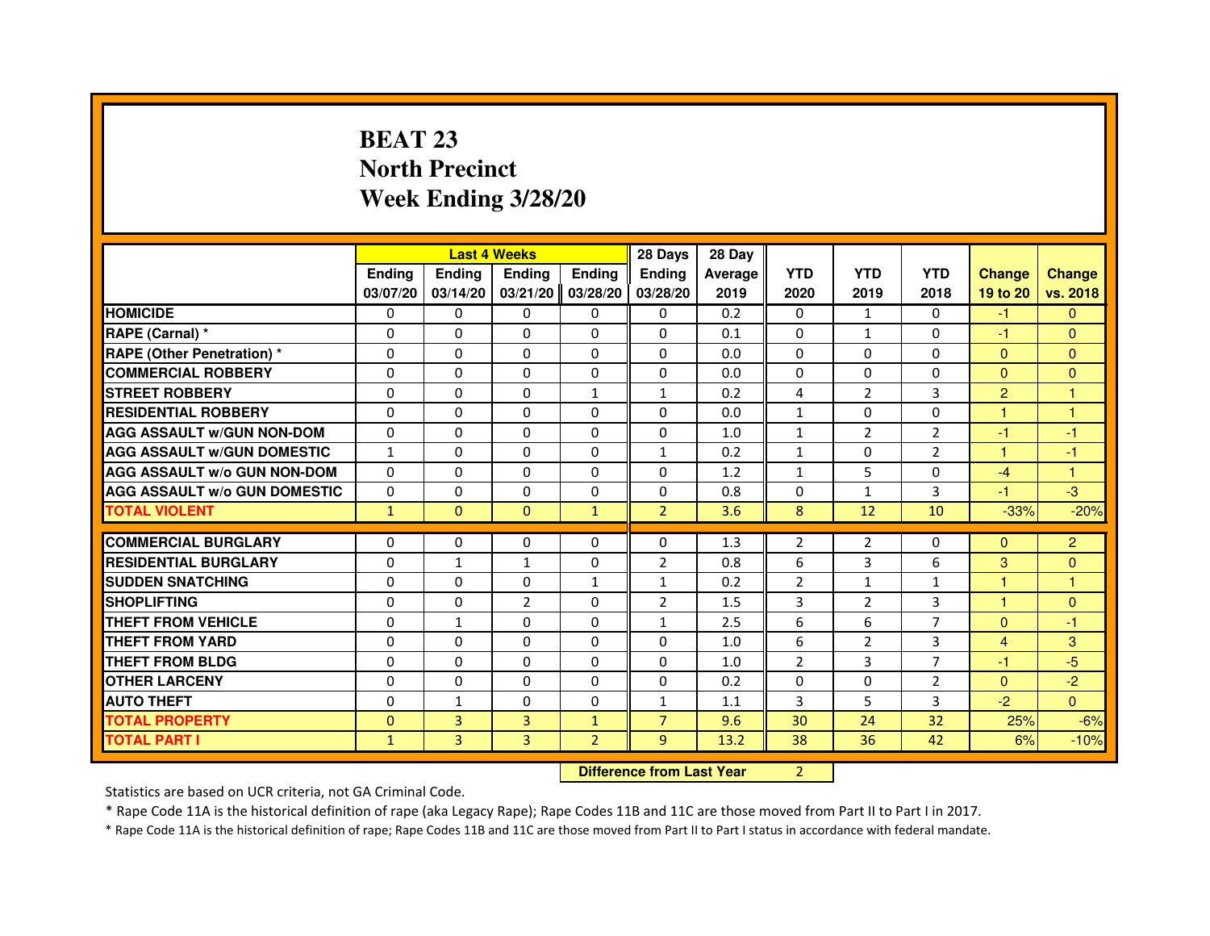## **BEAT 23 North PrecinctWeek Ending 3/28/20**

|                                     |               |               | <b>Last 4 Weeks</b>              |                | 28 Days        | 28 Day  |                |                |                |                      |                |
|-------------------------------------|---------------|---------------|----------------------------------|----------------|----------------|---------|----------------|----------------|----------------|----------------------|----------------|
|                                     | <b>Ending</b> | <b>Ending</b> | <b>Ending</b>                    | <b>Ending</b>  | Ending         | Average | <b>YTD</b>     | <b>YTD</b>     | <b>YTD</b>     | <b>Change</b>        | <b>Change</b>  |
|                                     | 03/07/20      | 03/14/20      | 03/21/20                         | 03/28/20       | 03/28/20       | 2019    | 2020           | 2019           | 2018           | 19 to 20             | vs. 2018       |
| <b>HOMICIDE</b>                     | $\Omega$      | $\Omega$      | $\Omega$                         | $\Omega$       | $\mathbf{0}$   | 0.2     | $\Omega$       | 1              | $\Omega$       | $-1$                 | $\mathbf{0}$   |
| RAPE (Carnal) *                     | 0             | $\Omega$      | $\Omega$                         | $\Omega$       | $\Omega$       | 0.1     | $\Omega$       | $\mathbf{1}$   | 0              | $-1$                 | $\mathbf{0}$   |
| <b>RAPE (Other Penetration) *</b>   | $\Omega$      | $\Omega$      | $\Omega$                         | $\Omega$       | $\Omega$       | 0.0     | $\Omega$       | $\Omega$       | $\Omega$       | $\Omega$             | $\mathbf{0}$   |
| <b>COMMERCIAL ROBBERY</b>           | 0             | $\Omega$      | $\Omega$                         | 0              | $\Omega$       | 0.0     | $\Omega$       | $\Omega$       | $\Omega$       | $\Omega$             | $\mathbf{0}$   |
| <b>STREET ROBBERY</b>               | $\Omega$      | $\Omega$      | $\Omega$                         | $\mathbf{1}$   | $\mathbf{1}$   | 0.2     | 4              | 2              | 3              | $\overline{2}$       | $\mathbf{1}$   |
| <b>RESIDENTIAL ROBBERY</b>          | $\Omega$      | $\Omega$      | $\Omega$                         | $\Omega$       | $\Omega$       | 0.0     | $\mathbf{1}$   | $\Omega$       | $\Omega$       | $\blacktriangleleft$ | $\mathbf{1}$   |
| <b>AGG ASSAULT w/GUN NON-DOM</b>    | $\Omega$      | $\Omega$      | $\Omega$                         | $\Omega$       | $\Omega$       | 1.0     | $\mathbf{1}$   | 2              | $\overline{2}$ | $-1$                 | -1             |
| <b>AGG ASSAULT w/GUN DOMESTIC</b>   | $\mathbf{1}$  | $\Omega$      | $\Omega$                         | $\Omega$       | $\mathbf{1}$   | 0.2     | $\mathbf{1}$   | $\Omega$       | $\overline{2}$ | $\mathbf{1}$         | $-1$           |
| <b>AGG ASSAULT W/o GUN NON-DOM</b>  | $\Omega$      | $\Omega$      | $\Omega$                         | 0              | $\Omega$       | 1.2     | $\mathbf{1}$   | 5              | 0              | $-4$                 | 1              |
| <b>AGG ASSAULT W/o GUN DOMESTIC</b> | $\Omega$      | 0             | $\Omega$                         | $\Omega$       | $\Omega$       | 0.8     | $\Omega$       | $\mathbf{1}$   | 3              | $-1$                 | $-3$           |
| <b>TOTAL VIOLENT</b>                | $\mathbf{1}$  | $\mathbf{0}$  | $\mathbf{0}$                     | $\mathbf{1}$   | $\overline{2}$ | 3.6     | 8              | 12             | 10             | $-33%$               | $-20%$         |
| <b>COMMERCIAL BURGLARY</b>          | $\Omega$      | 0             | 0                                | 0              | $\Omega$       | 1.3     | 2              | $\overline{2}$ | 0              | $\Omega$             | $\overline{2}$ |
| <b>RESIDENTIAL BURGLARY</b>         | $\Omega$      | $\mathbf{1}$  | $\mathbf{1}$                     | $\Omega$       | $\overline{2}$ | 0.8     | 6              | 3              | 6              | 3                    | $\overline{0}$ |
| <b>SUDDEN SNATCHING</b>             | $\Omega$      | $\Omega$      | $\Omega$                         | $\mathbf{1}$   | $\mathbf{1}$   | 0.2     | $\overline{2}$ | $\mathbf{1}$   | $\mathbf{1}$   | 1                    | $\mathbf{1}$   |
| <b>SHOPLIFTING</b>                  | 0             | 0             | 2                                | 0              | $\overline{2}$ | 1.5     | 3              | $\overline{2}$ | 3              | $\mathbf{1}$         | $\mathbf{0}$   |
| <b>THEFT FROM VEHICLE</b>           | $\Omega$      | $\mathbf{1}$  | $\Omega$                         | $\Omega$       | $\mathbf{1}$   | 2.5     | 6              | 6              | $\overline{7}$ | $\Omega$             | $-1$           |
| <b>THEFT FROM YARD</b>              | 0             | 0             | $\Omega$                         | 0              | 0              | 1.0     | 6              | $\overline{2}$ | 3              | 4                    | 3              |
| <b>THEFT FROM BLDG</b>              | $\Omega$      | $\Omega$      | $\Omega$                         | $\Omega$       | $\Omega$       | 1.0     | $\overline{2}$ | 3              | $\overline{7}$ | $-1$                 | $-5$           |
| <b>OTHER LARCENY</b>                | $\Omega$      | $\Omega$      | $\Omega$                         | $\Omega$       | $\Omega$       | 0.2     | $\Omega$       | $\Omega$       | $\overline{2}$ | $\Omega$             | $-2$           |
| <b>AUTO THEFT</b>                   | $\Omega$      | $\mathbf{1}$  | $\Omega$                         | $\Omega$       | $\mathbf{1}$   | 1.1     | 3              | 5              | 3              | $-2$                 | $\Omega$       |
| <b>TOTAL PROPERTY</b>               | $\Omega$      | 3             | $\overline{3}$                   | $\mathbf{1}$   | $\overline{7}$ | 9.6     | 30             | 24             | 32             | 25%                  | $-6%$          |
| <b>TOTAL PART I</b>                 | $\mathbf{1}$  | 3             | 3                                | $\overline{2}$ | 9              | 13.2    | 38             | 36             | 42             | 6%                   | $-10%$         |
|                                     |               |               | <b>Difference from Last Year</b> |                | $\overline{2}$ |         |                |                |                |                      |                |

 **Difference from Last Year**

Statistics are based on UCR criteria, not GA Criminal Code.

\* Rape Code 11A is the historical definition of rape (aka Legacy Rape); Rape Codes 11B and 11C are those moved from Part II to Part I in 2017.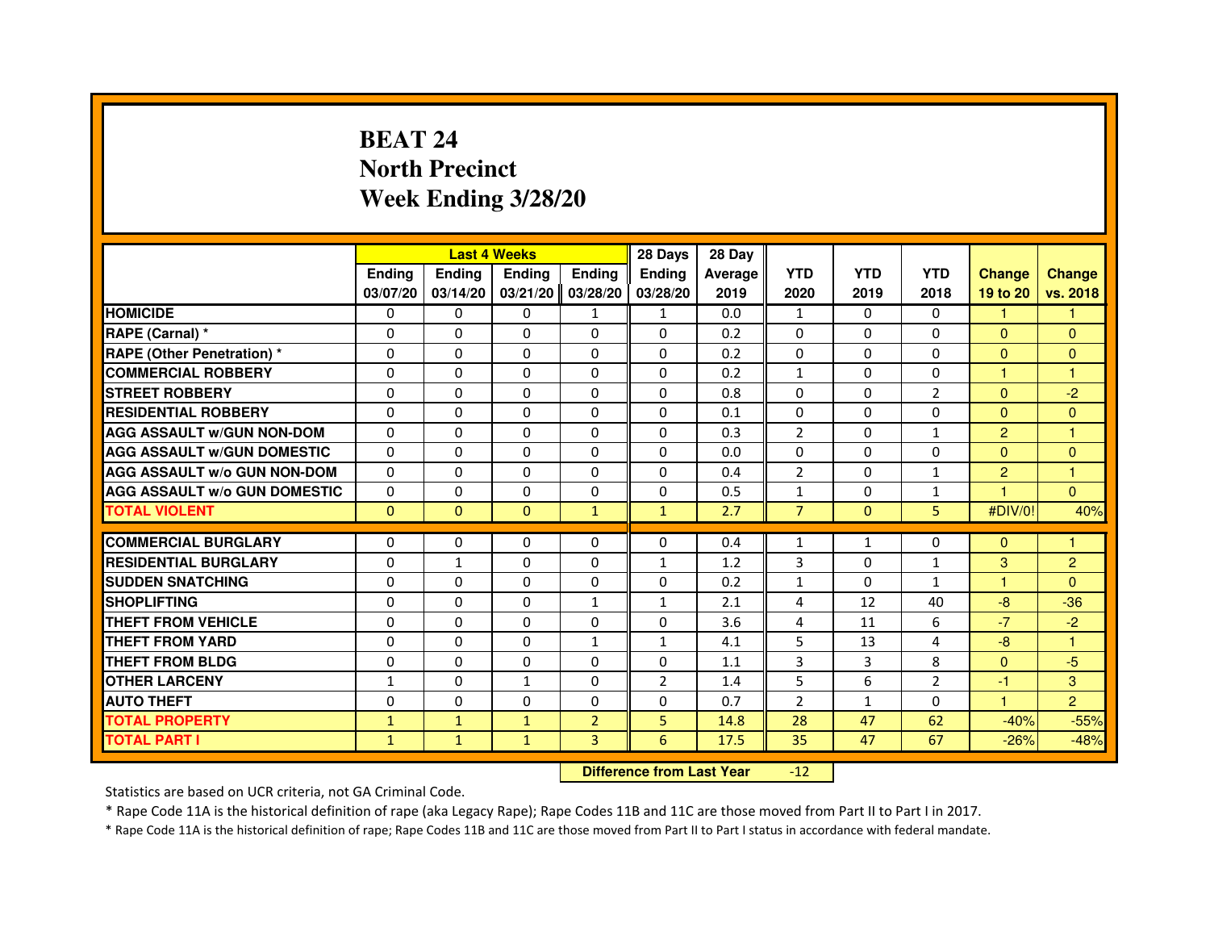## **BEAT 24 North PrecinctWeek Ending 3/28/20**

|                                     |               | <b>Last 4 Weeks</b> |                                  |                | 28 Days        | 28 Day  |                |                |                |                |                |
|-------------------------------------|---------------|---------------------|----------------------------------|----------------|----------------|---------|----------------|----------------|----------------|----------------|----------------|
|                                     | <b>Ending</b> | <b>Ending</b>       | <b>Ending</b>                    | <b>Ending</b>  | <b>Ending</b>  | Average | <b>YTD</b>     | <b>YTD</b>     | <b>YTD</b>     | <b>Change</b>  | <b>Change</b>  |
|                                     | 03/07/20      | 03/14/20            | 03/21/20                         | 03/28/20       | 03/28/20       | 2019    | 2020           | 2019           | 2018           | 19 to 20       | vs. 2018       |
| <b>HOMICIDE</b>                     | 0             | $\Omega$            | $\Omega$                         | $\mathbf{1}$   | $\mathbf{1}$   | 0.0     | $\mathbf{1}$   | $\Omega$       | $\Omega$       | 1.             | $\mathbf{1}$   |
| RAPE (Carnal) *                     | 0             | $\mathbf{0}$        | 0                                | 0              | 0              | 0.2     | 0              | 0              | 0              | $\mathbf{0}$   | $\mathbf{0}$   |
| RAPE (Other Penetration) *          | $\Omega$      | 0                   | $\Omega$                         | $\Omega$       | $\Omega$       | 0.2     | $\Omega$       | $\mathbf{0}$   | $\Omega$       | $\mathbf{0}$   | $\overline{0}$ |
| <b>COMMERCIAL ROBBERY</b>           | $\Omega$      | $\Omega$            | $\Omega$                         | $\Omega$       | $\Omega$       | 0.2     | $\mathbf{1}$   | $\mathbf{0}$   | $\mathbf{0}$   | $\mathbf{1}$   | 1              |
| <b>STREET ROBBERY</b>               | $\Omega$      | $\Omega$            | $\Omega$                         | $\Omega$       | $\Omega$       | 0.8     | $\Omega$       | $\Omega$       | $\overline{2}$ | $\Omega$       | $-2$           |
| <b>RESIDENTIAL ROBBERY</b>          | 0             | 0                   | 0                                | 0              | 0              | 0.1     | 0              | $\mathbf{0}$   | $\Omega$       | $\mathbf{0}$   | $\overline{0}$ |
| <b>AGG ASSAULT w/GUN NON-DOM</b>    | $\Omega$      | $\Omega$            | $\Omega$                         | $\Omega$       | $\Omega$       | 0.3     | $\overline{2}$ | $\Omega$       | $\mathbf{1}$   | $\overline{2}$ | 1              |
| <b>AGG ASSAULT W/GUN DOMESTIC</b>   | $\Omega$      | $\Omega$            | $\Omega$                         | $\Omega$       | $\Omega$       | 0.0     | $\Omega$       | $\Omega$       | $\Omega$       | $\Omega$       | $\mathbf{0}$   |
| <b>AGG ASSAULT W/o GUN NON-DOM</b>  | $\Omega$      | $\Omega$            | $\Omega$                         | $\Omega$       | $\Omega$       | 0.4     | $\overline{2}$ | $\Omega$       | $\mathbf{1}$   | $\overline{2}$ | $\mathbf{1}$   |
| <b>AGG ASSAULT w/o GUN DOMESTIC</b> | $\Omega$      | $\Omega$            | 0                                | $\Omega$       | $\Omega$       | 0.5     | $\mathbf{1}$   | $\mathbf{0}$   | $\mathbf{1}$   |                | $\Omega$       |
| <b>TOTAL VIOLENT</b>                | $\mathbf 0$   | $\mathbf{0}$        | $\mathbf{0}$                     | $\mathbf{1}$   | $\mathbf{1}$   | 2.7     | $\overline{7}$ | $\mathbf{0}$   | 5              | #DIV/0!        | 40%            |
| <b>COMMERCIAL BURGLARY</b>          | 0             | 0                   | 0                                | 0              | 0              | 0.4     | 1              | $\mathbf{1}$   | 0              | $\mathbf{0}$   | 1              |
| <b>RESIDENTIAL BURGLARY</b>         | 0             | 1                   | $\Omega$                         | $\Omega$       | $\mathbf{1}$   | 1.2     | 3              | $\mathbf{0}$   | 1              | 3              | $\overline{c}$ |
| <b>SUDDEN SNATCHING</b>             | $\Omega$      | $\Omega$            | $\Omega$                         | $\Omega$       | $\Omega$       | 0.2     | $\mathbf{1}$   | $\Omega$       | $\mathbf{1}$   | $\mathbf{1}$   | $\Omega$       |
| <b>SHOPLIFTING</b>                  | 0             | $\Omega$            | 0                                | 1              | $\mathbf{1}$   | 2.1     | 4              | 12             | 40             | $-8$           | $-36$          |
| <b>THEFT FROM VEHICLE</b>           | 0             | 0                   | 0                                | 0              | 0              | 3.6     | 4              | 11             | 6              | $-7$           | $-2$           |
| <b>THEFT FROM YARD</b>              | $\Omega$      | $\Omega$            | $\Omega$                         | $\mathbf{1}$   | $\mathbf{1}$   | 4.1     | 5              | 13             | 4              | $-8$           | $\mathbf{1}$   |
| <b>THEFT FROM BLDG</b>              | $\Omega$      | $\Omega$            | $\Omega$                         | $\Omega$       | $\Omega$       | 1.1     | $\overline{3}$ | $\overline{3}$ | 8              | $\Omega$       | $-5$           |
| <b>OTHER LARCENY</b>                | 1             | $\mathbf{0}$        | 1                                | 0              | $\overline{2}$ | 1.4     | 5              | 6              | $\overline{2}$ | $-1$           | 3              |
| <b>AUTO THEFT</b>                   | $\Omega$      | $\Omega$            | $\Omega$                         | $\Omega$       | $\Omega$       | 0.7     | $\overline{2}$ | $\mathbf{1}$   | $\Omega$       | $\mathbf{1}$   | $\overline{2}$ |
| <b>TOTAL PROPERTY</b>               | $\mathbf{1}$  | $\mathbf{1}$        | $\mathbf{1}$                     | $\overline{2}$ | 5              | 14.8    | 28             | 47             | 62             | $-40%$         | $-55%$         |
| <b>TOTAL PART I</b>                 | $\mathbf{1}$  | $\mathbf{1}$        | $\mathbf{1}$                     | 3              | 6              | 17.5    | 35             | 47             | 67             | $-26%$         | $-48%$         |
|                                     |               |                     | <b>Difference from Last Year</b> |                | $-12$          |         |                |                |                |                |                |

 **Difference from Last Year**

Statistics are based on UCR criteria, not GA Criminal Code.

\* Rape Code 11A is the historical definition of rape (aka Legacy Rape); Rape Codes 11B and 11C are those moved from Part II to Part I in 2017.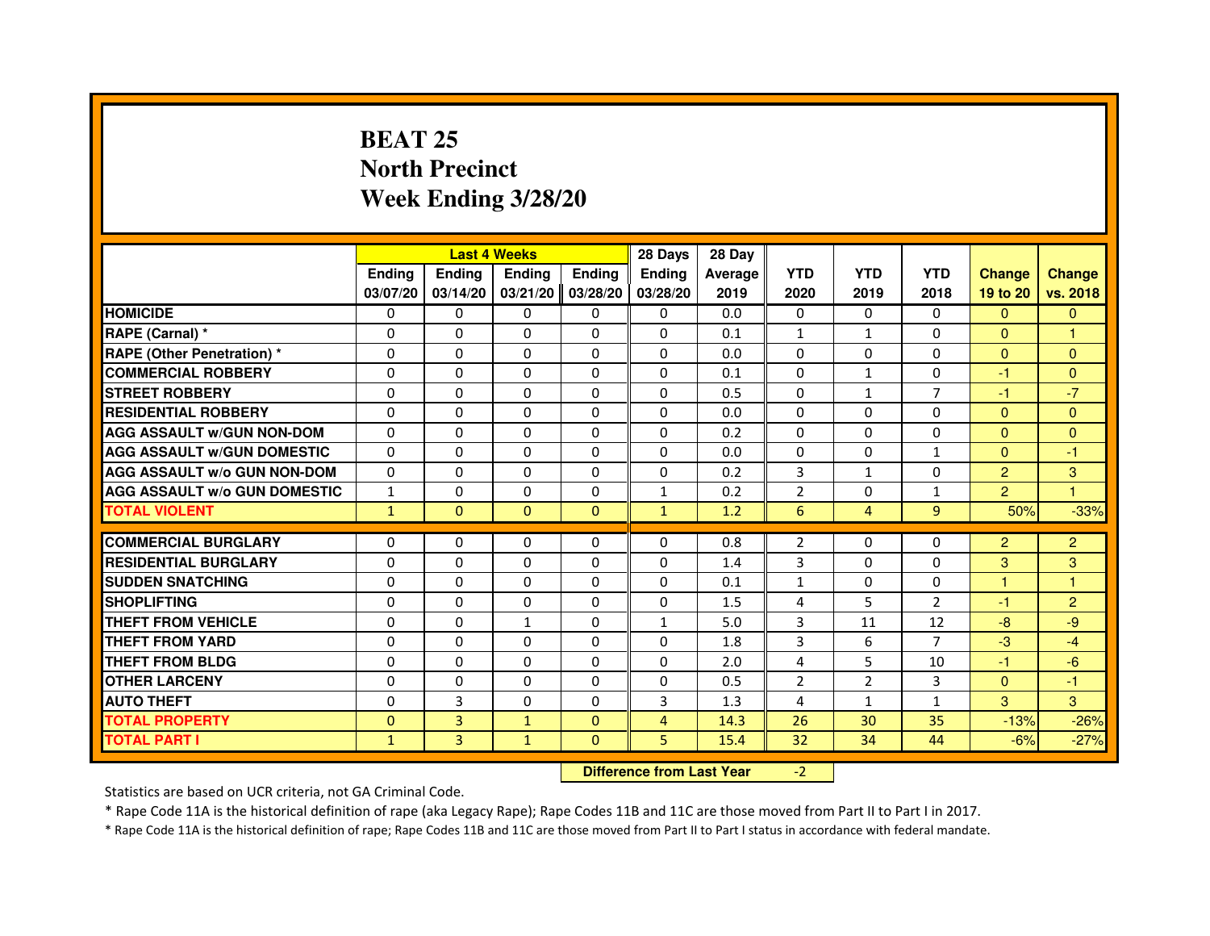## **BEAT 25 North PrecinctWeek Ending 3/28/20**

|                                     |               |               | <b>Last 4 Weeks</b>              |               | 28 Days        | 28 Day  |                |                |                |                |                |
|-------------------------------------|---------------|---------------|----------------------------------|---------------|----------------|---------|----------------|----------------|----------------|----------------|----------------|
|                                     | <b>Ending</b> | <b>Ending</b> | <b>Ending</b>                    | <b>Ending</b> | <b>Ending</b>  | Average | <b>YTD</b>     | <b>YTD</b>     | <b>YTD</b>     | <b>Change</b>  | <b>Change</b>  |
|                                     | 03/07/20      | 03/14/20      | 03/21/20                         | 03/28/20      | 03/28/20       | 2019    | 2020           | 2019           | 2018           | 19 to 20       | vs. 2018       |
| <b>HOMICIDE</b>                     | 0             | $\mathbf{0}$  | $\Omega$                         | 0             | 0              | 0.0     | 0              | $\Omega$       | $\Omega$       | $\Omega$       | $\Omega$       |
| RAPE (Carnal) *                     | 0             | $\Omega$      | $\Omega$                         | $\Omega$      | 0              | 0.1     | $\mathbf{1}$   | $\mathbf{1}$   | 0              | $\Omega$       |                |
| <b>RAPE (Other Penetration) *</b>   | $\Omega$      | $\Omega$      | $\Omega$                         | $\Omega$      | $\Omega$       | 0.0     | $\Omega$       | $\Omega$       | $\Omega$       | $\Omega$       | $\overline{0}$ |
| <b>COMMERCIAL ROBBERY</b>           | 0             | $\Omega$      | $\Omega$                         | $\Omega$      | $\Omega$       | 0.1     | $\Omega$       | $\mathbf{1}$   | $\Omega$       | $-1$           | $\mathbf{0}$   |
| <b>STREET ROBBERY</b>               | 0             | $\Omega$      | $\Omega$                         | $\Omega$      | $\Omega$       | 0.5     | $\Omega$       | $\mathbf{1}$   | $\overline{7}$ | $-1$           | $-7$           |
| <b>RESIDENTIAL ROBBERY</b>          | 0             | $\Omega$      | 0                                | $\Omega$      | $\Omega$       | 0.0     | $\Omega$       | $\mathbf{0}$   | 0              | $\mathbf{0}$   | $\Omega$       |
| <b>AGG ASSAULT W/GUN NON-DOM</b>    | $\Omega$      | $\Omega$      | $\Omega$                         | $\Omega$      | $\Omega$       | 0.2     | $\Omega$       | $\Omega$       | $\Omega$       | $\Omega$       | $\overline{0}$ |
| <b>AGG ASSAULT W/GUN DOMESTIC</b>   | $\Omega$      | $\Omega$      | $\Omega$                         | $\Omega$      | $\Omega$       | 0.0     | $\Omega$       | $\Omega$       | $\mathbf{1}$   | $\Omega$       | $-1$           |
| <b>AGG ASSAULT W/o GUN NON-DOM</b>  | 0             | 0             | $\mathbf{0}$                     | 0             | 0              | 0.2     | 3              | $\mathbf{1}$   | 0              | $\overline{2}$ | 3              |
| <b>AGG ASSAULT W/o GUN DOMESTIC</b> | $\mathbf{1}$  | 0             | 0                                | 0             | $\mathbf{1}$   | 0.2     | $\overline{2}$ | 0              | $\mathbf{1}$   | $\overline{2}$ | 1              |
| <b>TOTAL VIOLENT</b>                | $\mathbf{1}$  | $\mathbf{0}$  | $\mathbf{0}$                     | $\mathbf{0}$  | $\mathbf{1}$   | 1.2     | $6\phantom{1}$ | $\overline{4}$ | 9              | 50%            | $-33%$         |
| <b>COMMERCIAL BURGLARY</b>          | 0             | $\Omega$      | 0                                | $\Omega$      | 0              | 0.8     | $\overline{2}$ | 0              | 0              | $\overline{2}$ | $\overline{c}$ |
| <b>RESIDENTIAL BURGLARY</b>         | $\Omega$      | $\Omega$      | $\Omega$                         | $\Omega$      | $\Omega$       | 1.4     | 3              | $\Omega$       | $\Omega$       | 3              | 3              |
| <b>SUDDEN SNATCHING</b>             | $\Omega$      | $\Omega$      | $\Omega$                         | $\Omega$      | $\Omega$       | 0.1     | $\mathbf{1}$   | $\Omega$       | $\Omega$       | 1              | 1              |
| <b>SHOPLIFTING</b>                  | 0             | 0             | $\mathbf{0}$                     | 0             | 0              | 1.5     | 4              | 5              | 2              | $-1$           | $\overline{c}$ |
| <b>THEFT FROM VEHICLE</b>           | $\Omega$      | $\Omega$      | $\mathbf{1}$                     | $\Omega$      | 1              | 5.0     | 3              | 11             | 12             | $-8$           | $-9$           |
| <b>THEFT FROM YARD</b>              | 0             | 0             | $\Omega$                         | $\Omega$      | 0              | 1.8     | 3              | 6              | $\overline{7}$ | $-3$           | $-4$           |
| <b>THEFT FROM BLDG</b>              | $\Omega$      | $\Omega$      | $\Omega$                         | $\Omega$      | $\Omega$       | 2.0     | 4              | 5              | 10             | $-1$           | $-6$           |
| <b>OTHER LARCENY</b>                | 0             | $\Omega$      | $\Omega$                         | $\Omega$      | 0              | 0.5     | 2              | $\overline{2}$ | 3              | $\mathbf{0}$   | $-1$           |
| <b>AUTO THEFT</b>                   | $\Omega$      | 3             | $\Omega$                         | $\Omega$      | 3              | 1.3     | 4              | $\mathbf{1}$   | $\mathbf{1}$   | 3              | 3              |
| <b>TOTAL PROPERTY</b>               | $\Omega$      | 3             | $\mathbf{1}$                     | $\Omega$      | $\overline{4}$ | 14.3    | 26             | 30             | 35             | $-13%$         | $-26%$         |
| <b>TOTAL PART I</b>                 | $\mathbf{1}$  | 3             | $\mathbf{1}$                     | $\mathbf{0}$  | 5              | 15.4    | 32             | 34             | 44             | $-6%$          | $-27%$         |
|                                     |               |               | <b>Difference from Last Year</b> |               | $-2$           |         |                |                |                |                |                |

 **Difference from Last Year**

Statistics are based on UCR criteria, not GA Criminal Code.

\* Rape Code 11A is the historical definition of rape (aka Legacy Rape); Rape Codes 11B and 11C are those moved from Part II to Part I in 2017.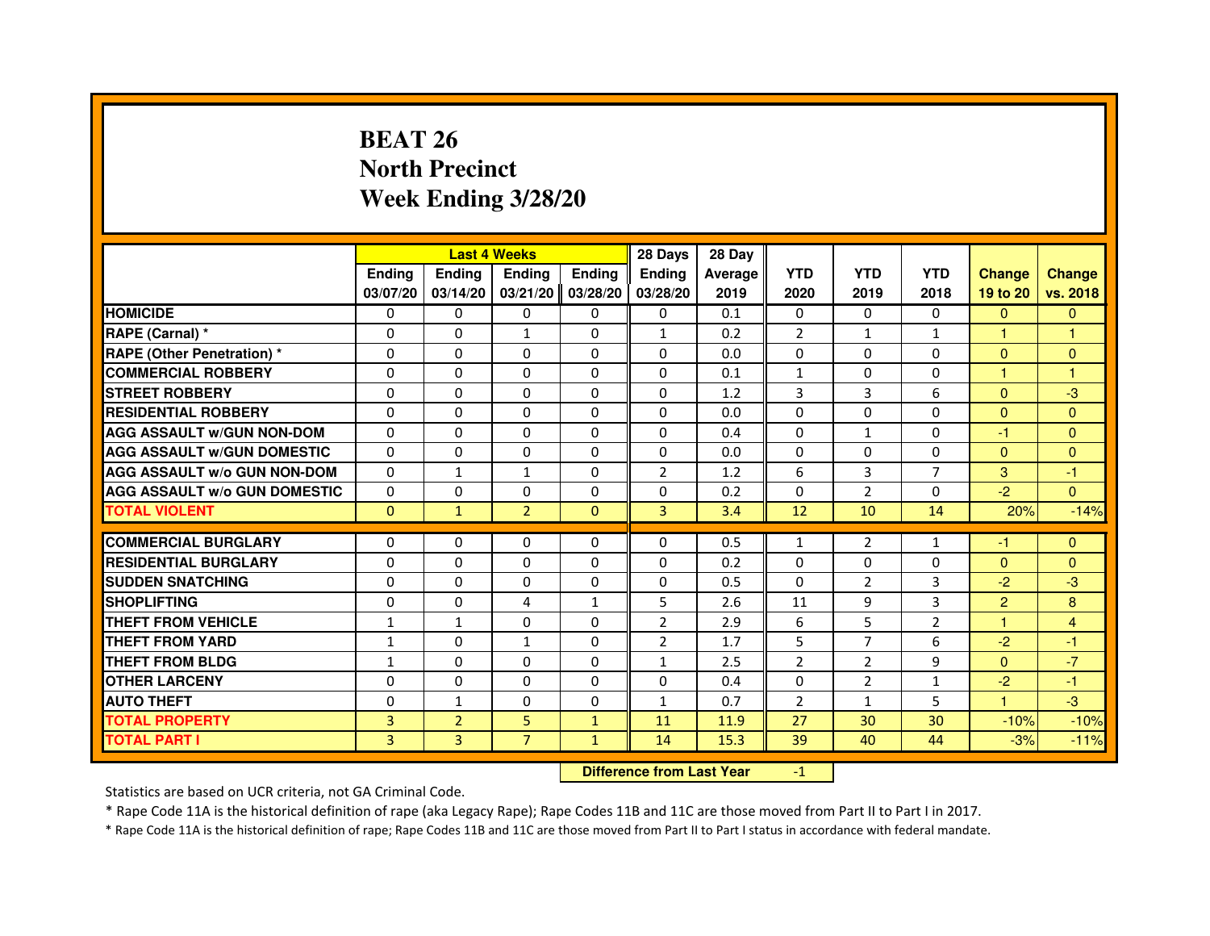# **BEAT 26 North PrecinctWeek Ending 3/28/20**

|                                     |                | <b>Last 4 Weeks</b> |                                  |               | 28 Days        | 28 Day  |                |                |                |                      |                |
|-------------------------------------|----------------|---------------------|----------------------------------|---------------|----------------|---------|----------------|----------------|----------------|----------------------|----------------|
|                                     | <b>Ending</b>  | Ending              | <b>Ending</b>                    | <b>Ending</b> | Ending         | Average | <b>YTD</b>     | <b>YTD</b>     | <b>YTD</b>     | <b>Change</b>        | <b>Change</b>  |
|                                     | 03/07/20       | 03/14/20            | 03/21/20                         | 03/28/20      | 03/28/20       | 2019    | 2020           | 2019           | 2018           | 19 to 20             | vs. 2018       |
| <b>HOMICIDE</b>                     | 0              | $\Omega$            | 0                                | 0             | $\mathbf{0}$   | 0.1     | $\mathbf{0}$   | $\Omega$       | $\Omega$       | $\mathbf{0}$         | $\mathbf{0}$   |
| RAPE (Carnal) *                     | 0              | 0                   | $\mathbf{1}$                     | 0             | $\mathbf{1}$   | 0.2     | 2              | $\mathbf{1}$   | $\mathbf{1}$   | 1                    | 1              |
| RAPE (Other Penetration) *          | $\Omega$       | 0                   | $\Omega$                         | $\Omega$      | $\Omega$       | 0.0     | $\Omega$       | $\Omega$       | $\Omega$       | $\Omega$             | $\mathbf{0}$   |
| <b>COMMERCIAL ROBBERY</b>           | 0              | $\Omega$            | $\Omega$                         | $\Omega$      | $\Omega$       | 0.1     | $\mathbf{1}$   | $\Omega$       | $\Omega$       | $\mathbf{1}$         | $\mathbf{1}$   |
| <b>STREET ROBBERY</b>               | $\Omega$       | $\Omega$            | $\Omega$                         | $\Omega$      | $\Omega$       | 1.2     | 3              | $\overline{3}$ | 6              | $\Omega$             | $-3$           |
| <b>RESIDENTIAL ROBBERY</b>          | 0              | 0                   | 0                                | 0             | 0              | 0.0     | 0              | 0              | $\Omega$       | $\Omega$             | $\overline{0}$ |
| <b>AGG ASSAULT w/GUN NON-DOM</b>    | $\Omega$       | $\Omega$            | $\Omega$                         | $\Omega$      | $\Omega$       | 0.4     | $\Omega$       | $\mathbf{1}$   | 0              | -1                   | $\Omega$       |
| <b>AGG ASSAULT W/GUN DOMESTIC</b>   | $\Omega$       | $\Omega$            | $\Omega$                         | $\Omega$      | $\Omega$       | 0.0     | $\Omega$       | $\Omega$       | $\Omega$       | $\Omega$             | $\Omega$       |
| <b>AGG ASSAULT W/o GUN NON-DOM</b>  | $\Omega$       | $\mathbf{1}$        | $\mathbf{1}$                     | $\Omega$      | $\overline{2}$ | 1.2     | 6              | 3              | $\overline{7}$ | 3                    | -1             |
| <b>AGG ASSAULT w/o GUN DOMESTIC</b> | $\Omega$       | $\Omega$            | $\Omega$                         | $\Omega$      | $\Omega$       | 0.2     | $\Omega$       | $\overline{2}$ | $\Omega$       | $-2$                 | $\Omega$       |
| <b>TOTAL VIOLENT</b>                | $\mathbf{0}$   | $\mathbf{1}$        | $\overline{2}$                   | $\mathbf{0}$  | 3              | 3.4     | 12             | 10             | 14             | 20%                  | $-14%$         |
| <b>COMMERCIAL BURGLARY</b>          | 0              | 0                   | 0                                | 0             | 0              | 0.5     | $\mathbf{1}$   | $\overline{2}$ | $\mathbf{1}$   | -1                   | $\mathbf{0}$   |
| <b>RESIDENTIAL BURGLARY</b>         | 0              | $\Omega$            | $\Omega$                         | $\Omega$      | 0              | 0.2     | 0              | $\Omega$       | 0              | $\mathbf{0}$         | $\mathbf{0}$   |
| <b>SUDDEN SNATCHING</b>             | $\Omega$       | $\Omega$            | $\Omega$                         | $\Omega$      | $\Omega$       | 0.5     | $\Omega$       | $\overline{2}$ | 3              | $-2$                 | $-3$           |
| <b>SHOPLIFTING</b>                  | 0              | $\Omega$            | 4                                | 1             | 5              | 2.6     | 11             | 9              | 3              | $\overline{2}$       | 8              |
| <b>THEFT FROM VEHICLE</b>           | 1              | $\mathbf{1}$        | $\Omega$                         | $\Omega$      | $\overline{2}$ | 2.9     | 6              | 5              | $\overline{2}$ | $\blacktriangleleft$ | $\overline{4}$ |
| <b>THEFT FROM YARD</b>              | $\mathbf{1}$   | $\Omega$            | $\mathbf{1}$                     | $\Omega$      | $\overline{2}$ | 1.7     | 5              | $\overline{7}$ | 6              | $-2$                 | $-1$           |
| <b>THEFT FROM BLDG</b>              | $\mathbf{1}$   | $\Omega$            | $\Omega$                         | $\Omega$      | $\mathbf{1}$   | 2.5     | $\overline{2}$ | $\overline{2}$ | 9              | $\Omega$             | $-7$           |
| <b>OTHER LARCENY</b>                | $\Omega$       | $\Omega$            | $\Omega$                         | $\Omega$      | $\Omega$       | 0.4     | $\Omega$       | $\overline{2}$ | 1              | $-2$                 | $-1$           |
| <b>AUTO THEFT</b>                   | $\Omega$       | $\mathbf{1}$        | $\Omega$                         | $\Omega$      | $\mathbf{1}$   | 0.7     | $\overline{2}$ | $\mathbf{1}$   | 5              | $\mathbf{1}$         | $-3$           |
| <b>TOTAL PROPERTY</b>               | $\overline{3}$ | $\overline{2}$      | 5                                | $\mathbf{1}$  | 11             | 11.9    | 27             | 30             | 30             | $-10%$               | $-10%$         |
| <b>TOTAL PART I</b>                 | $\overline{3}$ | $\overline{3}$      | $\overline{7}$                   | $\mathbf{1}$  | 14             | 15.3    | 39             | 40             | 44             | $-3%$                | $-11%$         |
|                                     |                |                     | <b>Difference from Last Year</b> |               | $-1$           |         |                |                |                |                      |                |

 **Difference from Last Year**

Statistics are based on UCR criteria, not GA Criminal Code.

\* Rape Code 11A is the historical definition of rape (aka Legacy Rape); Rape Codes 11B and 11C are those moved from Part II to Part I in 2017.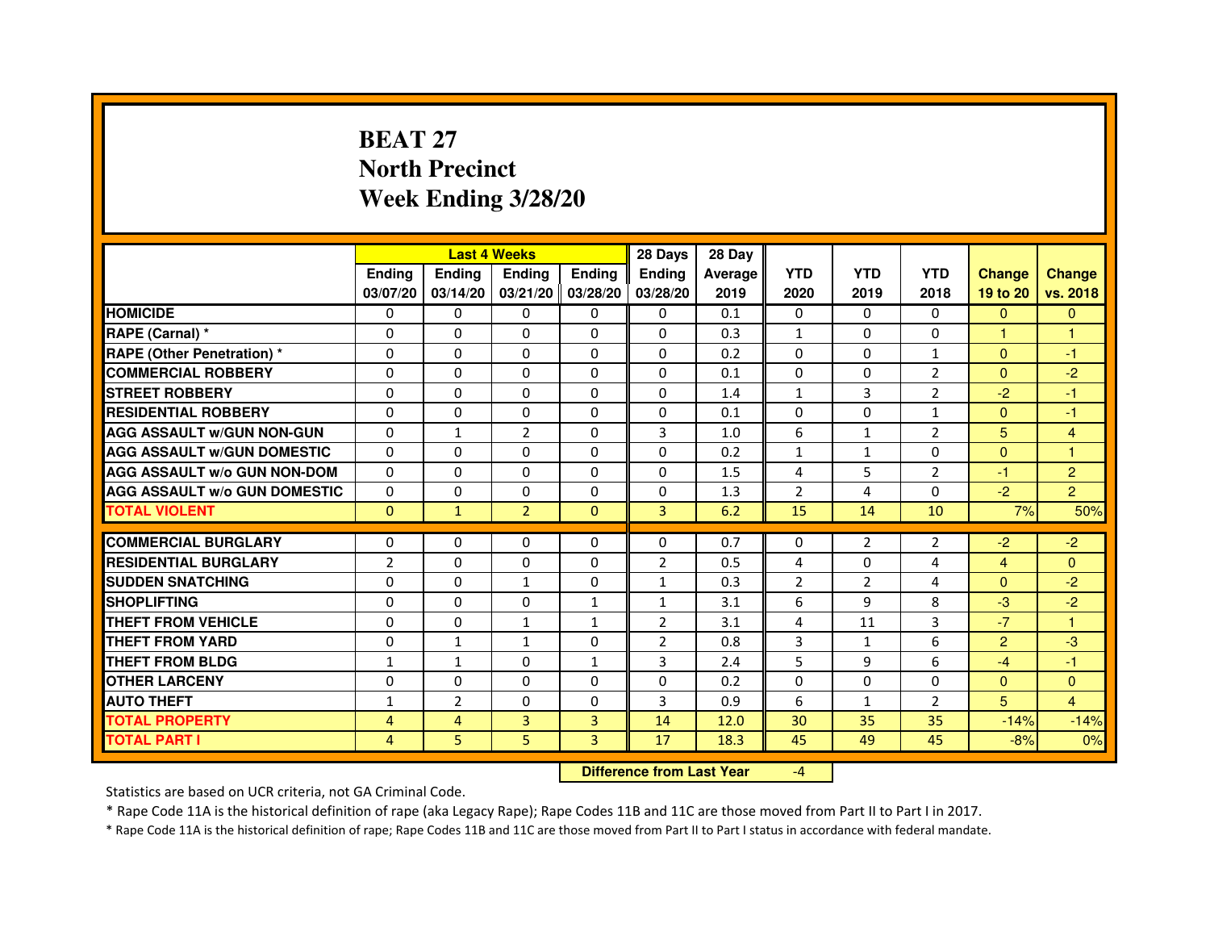# **BEAT 27 North PrecinctWeek Ending 3/28/20**

|                                     |                |                | <b>Last 4 Weeks</b> |               | 28 Days        | 28 Day  |                |                |                |                |                |
|-------------------------------------|----------------|----------------|---------------------|---------------|----------------|---------|----------------|----------------|----------------|----------------|----------------|
|                                     | <b>Ending</b>  | <b>Endina</b>  | <b>Ending</b>       | <b>Ending</b> | <b>Ending</b>  | Average | <b>YTD</b>     | <b>YTD</b>     | <b>YTD</b>     | <b>Change</b>  | <b>Change</b>  |
|                                     | 03/07/20       | 03/14/20       | 03/21/20            | 03/28/20      | 03/28/20       | 2019    | 2020           | 2019           | 2018           | 19 to 20       | vs. 2018       |
| <b>HOMICIDE</b>                     | 0              | 0              | $\mathbf{0}$        | 0             | $\mathbf{0}$   | 0.1     | $\mathbf{0}$   | $\Omega$       | $\Omega$       | $\mathbf{0}$   | $\mathbf{0}$   |
| RAPE (Carnal) *                     | $\Omega$       | $\Omega$       | $\Omega$            | $\Omega$      | $\Omega$       | 0.3     | $\mathbf{1}$   | $\Omega$       | $\Omega$       | $\mathbf{1}$   | $\mathbf{1}$   |
| <b>RAPE (Other Penetration)*</b>    | 0              | 0              | 0                   | 0             | 0              | 0.2     | $\Omega$       | $\mathbf{0}$   | $\mathbf{1}$   | $\Omega$       | $-1$           |
| <b>COMMERCIAL ROBBERY</b>           | $\Omega$       | $\Omega$       | $\Omega$            | $\Omega$      | 0              | 0.1     | $\Omega$       | $\mathbf{0}$   | $\overline{2}$ | $\Omega$       | $-2$           |
| <b>STREET ROBBERY</b>               | $\Omega$       | 0              | $\Omega$            | 0             | 0              | 1.4     | $\mathbf{1}$   | 3              | $\overline{2}$ | $-2$           | $-1$           |
| <b>RESIDENTIAL ROBBERY</b>          | $\Omega$       | $\Omega$       | $\Omega$            | $\Omega$      | $\Omega$       | 0.1     | $\Omega$       | $\Omega$       | $\mathbf{1}$   | $\Omega$       | $-1$           |
| <b>AGG ASSAULT w/GUN NON-GUN</b>    | $\Omega$       | $\mathbf{1}$   | $\overline{2}$      | $\Omega$      | 3              | 1.0     | 6              | $\mathbf{1}$   | $\overline{2}$ | 5              | $\overline{4}$ |
| <b>AGG ASSAULT W/GUN DOMESTIC</b>   | 0              | $\Omega$       | 0                   | 0             | 0              | 0.2     | $\mathbf{1}$   | $\mathbf{1}$   | $\Omega$       | $\Omega$       | 1              |
| <b>AGG ASSAULT W/o GUN NON-DOM</b>  | $\Omega$       | 0              | $\Omega$            | $\Omega$      | 0              | 1.5     | 4              | 5              | $\overline{2}$ | $-1$           | $\overline{2}$ |
| <b>AGG ASSAULT W/o GUN DOMESTIC</b> | $\Omega$       | 0              | $\Omega$            | 0             | 0              | 1.3     | $\overline{2}$ | 4              | $\Omega$       | $-2$           | $\overline{2}$ |
| <b>TOTAL VIOLENT</b>                | $\Omega$       | $\mathbf{1}$   | $\overline{2}$      | $\mathbf{0}$  | $\overline{3}$ | 6.2     | 15             | 14             | 10             | 7%             | 50%            |
|                                     |                |                |                     |               |                |         |                |                |                |                |                |
| <b>COMMERCIAL BURGLARY</b>          | 0              | 0              | 0                   | 0             | 0              | 0.7     | 0              | $\overline{2}$ | 2              | $-2$           | $-2$           |
| <b>RESIDENTIAL BURGLARY</b>         | $\overline{2}$ | 0              | $\Omega$            | 0             | $\overline{2}$ | 0.5     | 4              | 0              | 4              | $\overline{4}$ | $\Omega$       |
| <b>SUDDEN SNATCHING</b>             | 0              | 0              | $\mathbf{1}$        | 0             | $\mathbf{1}$   | 0.3     | $\overline{2}$ | 2              | 4              | $\Omega$       | $-2$           |
| <b>SHOPLIFTING</b>                  | $\Omega$       | $\Omega$       | $\mathbf 0$         | $\mathbf{1}$  | $\mathbf{1}$   | 3.1     | 6              | 9              | 8              | $-3$           | $-2$           |
| THEFT FROM VEHICLE                  | 0              | $\Omega$       | $\mathbf{1}$        | $\mathbf{1}$  | $\overline{2}$ | 3.1     | 4              | 11             | 3              | $-7$           | 1              |
| <b>THEFT FROM YARD</b>              | $\Omega$       | $\mathbf{1}$   | $\mathbf{1}$        | $\Omega$      | $\overline{2}$ | 0.8     | 3              | $\mathbf{1}$   | 6              | $\overline{2}$ | -3             |
| <b>THEFT FROM BLDG</b>              | $\mathbf{1}$   | $\mathbf{1}$   | $\Omega$            | $\mathbf{1}$  | 3              | 2.4     | 5              | 9              | 6              | $-4$           | $-1$           |
| <b>OTHER LARCENY</b>                | $\Omega$       | $\Omega$       | $\Omega$            | $\Omega$      | 0              | 0.2     | 0              | $\mathbf{0}$   | 0              | $\Omega$       | $\Omega$       |
| <b>AUTO THEFT</b>                   | $\mathbf{1}$   | $\overline{2}$ | $\Omega$            | $\Omega$      | 3              | 0.9     | 6              | $\mathbf{1}$   | $\overline{2}$ | 5              | $\overline{4}$ |
| <b>TOTAL PROPERTY</b>               | 4              | 4              | 3                   | 3             | 14             | 12.0    | 30             | 35             | 35             | $-14%$         | $-14%$         |
| <b>TOTAL PART I</b>                 | 4              | 5              | 5                   | 3             | 17             | 18.3    | 45             | 49             | 45             | $-8%$          | 0%             |

 **Difference from Last Year**

-4

Statistics are based on UCR criteria, not GA Criminal Code.

\* Rape Code 11A is the historical definition of rape (aka Legacy Rape); Rape Codes 11B and 11C are those moved from Part II to Part I in 2017.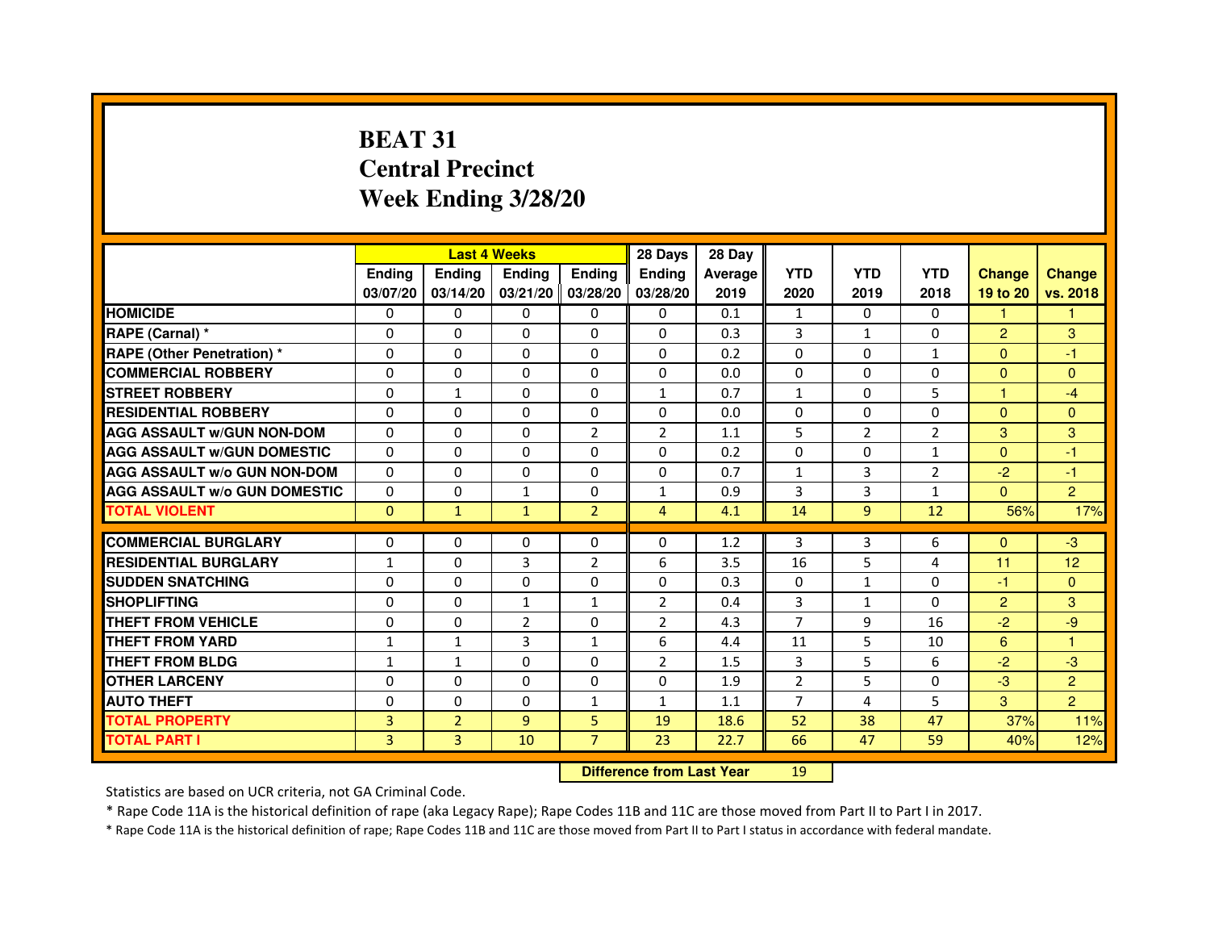# **BEAT 31 Central PrecinctWeek Ending 3/28/20**

|                                     |                | <b>Last 4 Weeks</b> |                                  |                | 28 Days        | 28 Day  |                |                |                |                |                |
|-------------------------------------|----------------|---------------------|----------------------------------|----------------|----------------|---------|----------------|----------------|----------------|----------------|----------------|
|                                     | <b>Ending</b>  | Ending              | <b>Ending</b>                    | <b>Ending</b>  | <b>Ending</b>  | Average | <b>YTD</b>     | <b>YTD</b>     | <b>YTD</b>     | <b>Change</b>  | <b>Change</b>  |
|                                     | 03/07/20       | 03/14/20            | 03/21/20 03/28/20                |                | 03/28/20       | 2019    | 2020           | 2019           | 2018           | 19 to 20       | vs. 2018       |
| <b>HOMICIDE</b>                     | 0              | $\Omega$            | $\Omega$                         | $\Omega$       | 0              | 0.1     | $\mathbf{1}$   | $\Omega$       | $\Omega$       | 1.             | 1.             |
| RAPE (Carnal) *                     | 0              | 0                   | 0                                | 0              | 0              | 0.3     | 3              | $\mathbf{1}$   | 0              | $\overline{2}$ | 3              |
| <b>RAPE (Other Penetration)*</b>    | 0              | 0                   | $\Omega$                         | 0              | $\Omega$       | 0.2     | $\Omega$       | $\Omega$       | $\mathbf{1}$   | $\Omega$       | $-1$           |
| <b>COMMERCIAL ROBBERY</b>           | $\Omega$       | $\Omega$            | $\Omega$                         | $\Omega$       | $\Omega$       | 0.0     | $\Omega$       | $\Omega$       | $\Omega$       | $\Omega$       | $\Omega$       |
| <b>STREET ROBBERY</b>               | $\Omega$       | $\mathbf{1}$        | $\Omega$                         | $\Omega$       | $\mathbf{1}$   | 0.7     | $\mathbf{1}$   | $\Omega$       | 5              | $\mathbf{1}$   | $-4$           |
| <b>RESIDENTIAL ROBBERY</b>          | $\Omega$       | $\Omega$            | $\Omega$                         | $\Omega$       | 0              | 0.0     | $\Omega$       | $\mathbf{0}$   | 0              | $\Omega$       | $\Omega$       |
| <b>AGG ASSAULT w/GUN NON-DOM</b>    | $\Omega$       | $\Omega$            | $\mathbf 0$                      | $\overline{2}$ | $\overline{2}$ | 1.1     | 5              | $\overline{2}$ | $\overline{2}$ | 3              | 3              |
| <b>AGG ASSAULT w/GUN DOMESTIC</b>   | $\Omega$       | $\Omega$            | $\Omega$                         | 0              | $\Omega$       | 0.2     | $\Omega$       | $\Omega$       | $\mathbf{1}$   | $\Omega$       | $-1$           |
| <b>AGG ASSAULT W/o GUN NON-DOM</b>  | 0              | 0                   | 0                                | 0              | 0              | 0.7     | $\mathbf{1}$   | 3              | 2              | $-2$           | $-1$           |
| <b>AGG ASSAULT w/o GUN DOMESTIC</b> | $\Omega$       | $\mathbf 0$         | $\mathbf{1}$                     | 0              | $\mathbf{1}$   | 0.9     | 3              | 3              | $\mathbf{1}$   | $\Omega$       | $\overline{2}$ |
| <b>TOTAL VIOLENT</b>                | $\mathbf 0$    | $\mathbf{1}$        | $\mathbf{1}$                     | $\overline{2}$ | $\overline{4}$ | 4.1     | 14             | 9              | 12             | 56%            | 17%            |
| <b>COMMERCIAL BURGLARY</b>          | $\Omega$       | $\Omega$            | 0                                | $\Omega$       | 0              | 1.2     | 3              | 3              | 6              | $\Omega$       | $-3$           |
| <b>RESIDENTIAL BURGLARY</b>         | $\mathbf{1}$   | $\Omega$            | 3                                | $\overline{2}$ | 6              | 3.5     | 16             | 5              | 4              | 11             | 12             |
| <b>SUDDEN SNATCHING</b>             | $\Omega$       | $\Omega$            | $\Omega$                         | $\Omega$       | $\Omega$       | 0.3     | $\Omega$       | $\mathbf{1}$   | $\Omega$       | $-1$           | $\Omega$       |
| <b>SHOPLIFTING</b>                  | 0              | 0                   | $\mathbf{1}$                     | $\mathbf{1}$   | $\overline{2}$ | 0.4     | 3              | $\mathbf{1}$   | $\Omega$       | $\overline{2}$ | 3              |
| <b>THEFT FROM VEHICLE</b>           | $\Omega$       | $\mathbf 0$         | $\overline{2}$                   | $\Omega$       | $\overline{2}$ | 4.3     | $\overline{7}$ | 9              | 16             | $-2$           | -9             |
| <b>THEFT FROM YARD</b>              | $\mathbf{1}$   | $\mathbf{1}$        | 3                                | $\mathbf{1}$   | 6              | 4.4     | 11             | 5              | 10             | 6              | $\mathbf{1}$   |
| <b>THEFT FROM BLDG</b>              | $\mathbf{1}$   | $\mathbf{1}$        | 0                                | $\Omega$       | $\overline{2}$ | 1.5     | 3              | 5              | 6              | $-2$           | $-3$           |
| <b>OTHER LARCENY</b>                | $\mathbf 0$    | $\Omega$            | $\mathbf 0$                      | $\Omega$       | $\Omega$       | 1.9     | $\overline{2}$ | 5              | $\Omega$       | $-3$           | $\overline{2}$ |
| <b>AUTO THEFT</b>                   | $\Omega$       | $\Omega$            | $\Omega$                         | $\mathbf{1}$   | $\mathbf{1}$   | 1.1     | $\overline{7}$ | 4              | 5              | 3              | $\overline{2}$ |
| <b>TOTAL PROPERTY</b>               | 3              | $\overline{2}$      | 9                                | 5              | 19             | 18.6    | 52             | 38             | 47             | 37%            | 11%            |
| <b>TOTAL PART I</b>                 | $\overline{3}$ | 3                   | 10                               | $\overline{7}$ | 23             | 22.7    | 66             | 47             | 59             | 40%            | 12%            |
|                                     |                |                     | <b>Difference from Last Year</b> |                | 19             |         |                |                |                |                |                |

 **Difference from Last Year**

Statistics are based on UCR criteria, not GA Criminal Code.

\* Rape Code 11A is the historical definition of rape (aka Legacy Rape); Rape Codes 11B and 11C are those moved from Part II to Part I in 2017.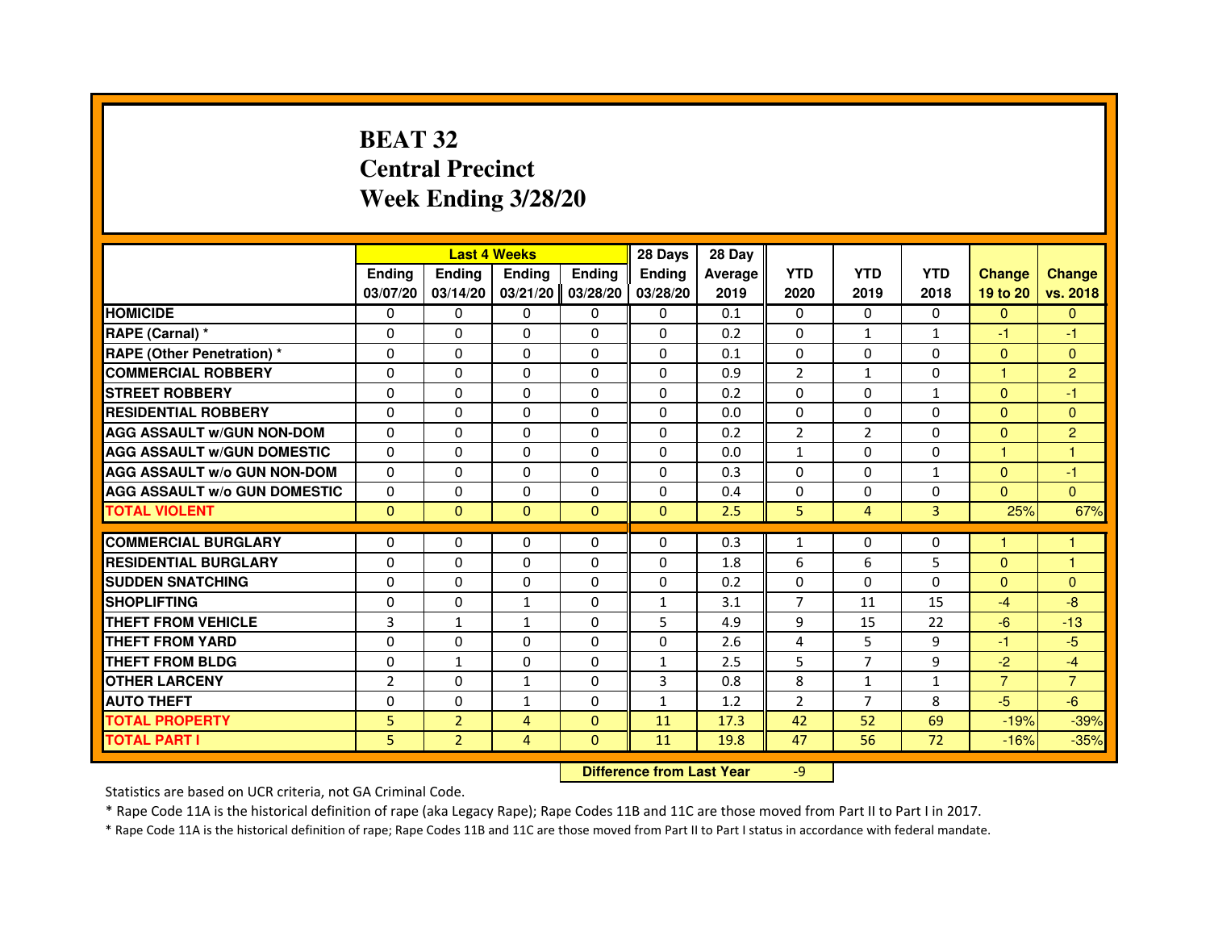## **BEAT 32 Central PrecinctWeek Ending 3/28/20**

|                                     |                | <b>Last 4 Weeks</b> |                                  |                | 28 Days      | 28 Day  |                |                |                |                |                |
|-------------------------------------|----------------|---------------------|----------------------------------|----------------|--------------|---------|----------------|----------------|----------------|----------------|----------------|
|                                     | <b>Ending</b>  | Ending              | <b>Ending</b>                    | <b>Ending</b>  | Ending       | Average | <b>YTD</b>     | <b>YTD</b>     | <b>YTD</b>     | <b>Change</b>  | <b>Change</b>  |
|                                     | 03/07/20       | 03/14/20            | 03/21/20                         | 03/28/20       | 03/28/20     | 2019    | 2020           | 2019           | 2018           | 19 to 20       | vs. 2018       |
| <b>HOMICIDE</b>                     | 0              | $\Omega$            | 0                                | 0              | $\mathbf{0}$ | 0.1     | $\mathbf{0}$   | $\Omega$       | $\Omega$       | $\mathbf{0}$   | $\mathbf{0}$   |
| RAPE (Carnal) *                     | 0              | 0                   | 0                                | 0              | 0            | 0.2     | 0              | $\mathbf{1}$   | $\mathbf{1}$   | $-1$           | -1             |
| RAPE (Other Penetration) *          | $\Omega$       | $\Omega$            | $\Omega$                         | $\Omega$       | $\Omega$     | 0.1     | $\Omega$       | $\Omega$       | $\Omega$       | $\Omega$       | $\overline{0}$ |
| <b>COMMERCIAL ROBBERY</b>           | 0              | $\Omega$            | $\Omega$                         | $\Omega$       | $\Omega$     | 0.9     | $\overline{2}$ | $\mathbf{1}$   | $\Omega$       | $\mathbf{1}$   | $\overline{2}$ |
| <b>STREET ROBBERY</b>               | $\Omega$       | $\Omega$            | $\Omega$                         | $\Omega$       | $\Omega$     | 0.2     | $\Omega$       | $\Omega$       | $\mathbf{1}$   | $\Omega$       | $-1$           |
| <b>RESIDENTIAL ROBBERY</b>          | 0              | 0                   | 0                                | 0              | 0            | 0.0     | 0              | 0              | $\Omega$       | $\Omega$       | $\mathbf{0}$   |
| <b>AGG ASSAULT w/GUN NON-DOM</b>    | $\Omega$       | $\Omega$            | $\Omega$                         | $\Omega$       | $\Omega$     | 0.2     | $\overline{2}$ | $\overline{2}$ | 0              | $\Omega$       | $\overline{2}$ |
| <b>AGG ASSAULT W/GUN DOMESTIC</b>   | $\Omega$       | $\Omega$            | $\Omega$                         | $\Omega$       | $\Omega$     | 0.0     | $\mathbf{1}$   | $\Omega$       | $\Omega$       | $\mathbf{1}$   | $\mathbf{1}$   |
| <b>AGG ASSAULT W/o GUN NON-DOM</b>  | $\Omega$       | $\Omega$            | $\Omega$                         | $\Omega$       | $\Omega$     | 0.3     | $\Omega$       | $\Omega$       | $\mathbf{1}$   | $\Omega$       | $-1$           |
| <b>AGG ASSAULT w/o GUN DOMESTIC</b> | $\Omega$       | $\Omega$            | $\Omega$                         | $\Omega$       | $\Omega$     | 0.4     | $\Omega$       | $\Omega$       | $\Omega$       | $\Omega$       | $\Omega$       |
| <b>TOTAL VIOLENT</b>                | $\mathbf{0}$   | $\mathbf{0}$        | $\mathbf{0}$                     | $\overline{0}$ | $\mathbf{0}$ | 2.5     | 5              | $\overline{4}$ | $\overline{3}$ | 25%            | 67%            |
| <b>COMMERCIAL BURGLARY</b>          | 0              | 0                   | 0                                | 0              | 0            | 0.3     | $\mathbf{1}$   | 0              | 0              | 1              | 1              |
| <b>RESIDENTIAL BURGLARY</b>         | 0              | $\Omega$            | $\Omega$                         | $\Omega$       | 0            | 1.8     | 6              | 6              | 5              | $\mathbf{0}$   | $\mathbf{1}$   |
| <b>SUDDEN SNATCHING</b>             | $\Omega$       | $\Omega$            | $\Omega$                         | $\Omega$       | $\Omega$     | 0.2     | $\Omega$       | $\Omega$       | $\Omega$       | $\Omega$       | $\mathbf{0}$   |
| <b>SHOPLIFTING</b>                  | 0              | $\Omega$            | $\mathbf{1}$                     | 0              | $\mathbf{1}$ | 3.1     | $\overline{7}$ | 11             | 15             | $-4$           | $-8$           |
| <b>THEFT FROM VEHICLE</b>           | 3              | $\mathbf{1}$        | $\mathbf{1}$                     | $\Omega$       | 5            | 4.9     | 9              | 15             | 22             | $-6$           | $-13$          |
| <b>THEFT FROM YARD</b>              | $\mathbf 0$    | $\Omega$            | $\Omega$                         | $\Omega$       | $\Omega$     | 2.6     | $\overline{4}$ | 5              | 9              | $-1$           | $-5$           |
| <b>THEFT FROM BLDG</b>              | $\Omega$       | $\mathbf{1}$        | $\Omega$                         | $\Omega$       | $\mathbf{1}$ | 2.5     | 5              | $\overline{7}$ | 9              | $-2$           | $-4$           |
| <b>OTHER LARCENY</b>                | $\overline{2}$ | $\Omega$            | $\mathbf{1}$                     | $\Omega$       | 3            | 0.8     | 8              | $\mathbf{1}$   | $\mathbf{1}$   | $\overline{7}$ | $\overline{7}$ |
| <b>AUTO THEFT</b>                   | $\Omega$       | $\Omega$            | $\mathbf{1}$                     | $\Omega$       | $\mathbf{1}$ | 1.2     | $\overline{2}$ | $\overline{7}$ | 8              | $-5$           | $-6$           |
| <b>TOTAL PROPERTY</b>               | 5              | $\overline{2}$      | $\overline{4}$                   | $\mathbf{0}$   | 11           | 17.3    | 42             | 52             | 69             | $-19%$         | $-39%$         |
| <b>TOTAL PART I</b>                 | 5              | $\overline{2}$      | $\overline{4}$                   | $\mathbf{0}$   | 11           | 19.8    | 47             | 56             | 72             | $-16%$         | $-35%$         |
|                                     |                |                     | <b>Difference from Last Year</b> |                | $-9$         |         |                |                |                |                |                |

 **Difference from Last Year**

Statistics are based on UCR criteria, not GA Criminal Code.

\* Rape Code 11A is the historical definition of rape (aka Legacy Rape); Rape Codes 11B and 11C are those moved from Part II to Part I in 2017.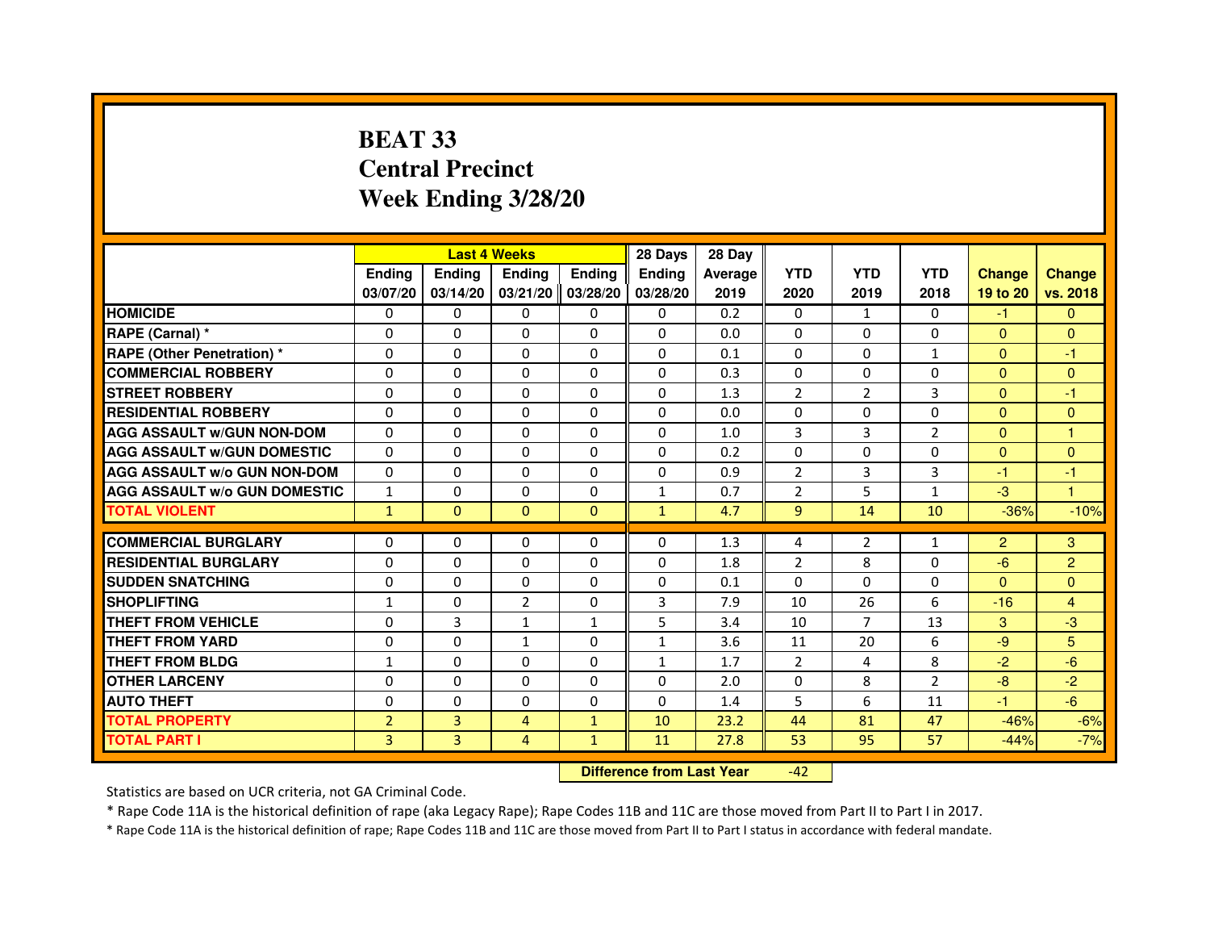## **BEAT 33 Central PrecinctWeek Ending 3/28/20**

|                                     |                | <b>Last 4 Weeks</b> |                |                   | 28 Days       | 28 Day  |                |                |                |                |                |
|-------------------------------------|----------------|---------------------|----------------|-------------------|---------------|---------|----------------|----------------|----------------|----------------|----------------|
|                                     | <b>Ending</b>  | <b>Endina</b>       | <b>Ending</b>  | <b>Ending</b>     | <b>Endina</b> | Average | <b>YTD</b>     | <b>YTD</b>     | <b>YTD</b>     | <b>Change</b>  | <b>Change</b>  |
|                                     | 03/07/20       | 03/14/20            |                | 03/21/20 03/28/20 | 03/28/20      | 2019    | 2020           | 2019           | 2018           | 19 to 20       | vs. 2018       |
| <b>HOMICIDE</b>                     | 0              | $\mathbf{0}$        | $\Omega$       | $\Omega$          | $\Omega$      | 0.2     | $\Omega$       | $\mathbf{1}$   | $\mathbf{0}$   | $-1$           | $\mathbf{0}$   |
| RAPE (Carnal) *                     | $\Omega$       | $\Omega$            | $\Omega$       | 0                 | $\Omega$      | 0.0     | $\Omega$       | $\Omega$       | $\Omega$       | $\Omega$       | $\Omega$       |
| <b>RAPE (Other Penetration) *</b>   | $\Omega$       | 0                   | 0              | $\mathbf{0}$      | 0             | 0.1     | $\Omega$       | $\mathbf{0}$   | $\mathbf{1}$   | $\mathbf{0}$   | $-1$           |
| <b>COMMERCIAL ROBBERY</b>           | 0              | $\Omega$            | 0              | 0                 | $\Omega$      | 0.3     | $\Omega$       | 0              | 0              | $\mathbf{0}$   | $\mathbf{0}$   |
| <b>STREET ROBBERY</b>               | $\Omega$       | $\Omega$            | 0              | 0                 | $\Omega$      | 1.3     | $\overline{2}$ | $\overline{2}$ | 3              | $\Omega$       | -1             |
| <b>RESIDENTIAL ROBBERY</b>          | $\Omega$       | $\Omega$            | 0              | $\Omega$          | 0             | 0.0     | $\Omega$       | $\mathbf{0}$   | 0              | $\mathbf{0}$   | $\Omega$       |
| <b>AGG ASSAULT W/GUN NON-DOM</b>    | $\Omega$       | $\Omega$            | $\Omega$       | $\mathbf{0}$      | $\Omega$      | 1.0     | 3              | 3              | $\overline{2}$ | $\Omega$       | $\overline{1}$ |
| <b>AGG ASSAULT W/GUN DOMESTIC</b>   | $\Omega$       | 0                   | $\Omega$       | 0                 | $\Omega$      | 0.2     | $\Omega$       | $\Omega$       | $\Omega$       | $\Omega$       | $\Omega$       |
| <b>AGG ASSAULT W/o GUN NON-DOM</b>  | $\Omega$       | $\Omega$            | 0              | 0                 | $\Omega$      | 0.9     | $\overline{2}$ | 3              | 3              | -1             | -1             |
| <b>AGG ASSAULT w/o GUN DOMESTIC</b> | $\mathbf{1}$   | 0                   | 0              | 0                 | $\mathbf{1}$  | 0.7     | 2              | 5              | $\mathbf{1}$   | $-3$           | $\overline{1}$ |
| <b>TOTAL VIOLENT</b>                | $\mathbf{1}$   | $\mathbf{0}$        | $\mathbf{0}$   | $\mathbf{0}$      | $\mathbf{1}$  | 4.7     | 9              | 14             | 10             | $-36%$         | $-10%$         |
|                                     |                |                     |                |                   |               |         |                |                |                |                |                |
| <b>COMMERCIAL BURGLARY</b>          | 0              | $\Omega$            | 0              | 0                 | $\Omega$      | 1.3     | 4              | $\overline{2}$ | $\mathbf{1}$   | $\overline{2}$ | 3              |
| <b>RESIDENTIAL BURGLARY</b>         | 0              | 0                   | 0              | 0                 | 0             | 1.8     | $\overline{2}$ | 8              | 0              | $-6$           | $\overline{2}$ |
| <b>SUDDEN SNATCHING</b>             | $\Omega$       | $\Omega$            | $\Omega$       | $\Omega$          | $\Omega$      | 0.1     | $\Omega$       | $\Omega$       | 0              | $\Omega$       | $\Omega$       |
| <b>SHOPLIFTING</b>                  | $\mathbf{1}$   | $\Omega$            | $\overline{2}$ | $\Omega$          | 3             | 7.9     | 10             | 26             | 6              | $-16$          | $\overline{4}$ |
| <b>THEFT FROM VEHICLE</b>           | $\Omega$       | 3                   | $\mathbf{1}$   | $\mathbf{1}$      | 5             | 3.4     | 10             | $\overline{7}$ | 13             | 3              | $-3$           |
| <b>THEFT FROM YARD</b>              | $\Omega$       | $\Omega$            | $\mathbf{1}$   | 0                 | $\mathbf{1}$  | 3.6     | 11             | 20             | 6              | -9             | 5              |
| THEFT FROM BLDG                     | 1              | $\Omega$            | 0              | 0                 | 1             | 1.7     | $\overline{2}$ | 4              | 8              | $-2$           | $-6$           |
| <b>OTHER LARCENY</b>                | 0              | $\Omega$            | 0              | 0                 | 0             | 2.0     | $\Omega$       | 8              | $\overline{2}$ | $-8$           | $-2$           |
| <b>AUTO THEFT</b>                   | $\Omega$       | $\mathbf 0$         | $\Omega$       | $\Omega$          | $\Omega$      | 1.4     | 5              | 6              | 11             | $-1$           | $-6$           |
| <b>TOTAL PROPERTY</b>               | $\overline{2}$ | 3                   | 4              | $\mathbf{1}$      | 10            | 23.2    | 44             | 81             | 47             | $-46%$         | $-6%$          |
| <b>TOTAL PART I</b>                 | $\overline{3}$ | 3                   | $\overline{4}$ | $\mathbf{1}$      | 11            | 27.8    | 53             | 95             | 57             | $-44%$         | $-7%$          |

 **Difference from Last Year**-42

Statistics are based on UCR criteria, not GA Criminal Code.

\* Rape Code 11A is the historical definition of rape (aka Legacy Rape); Rape Codes 11B and 11C are those moved from Part II to Part I in 2017.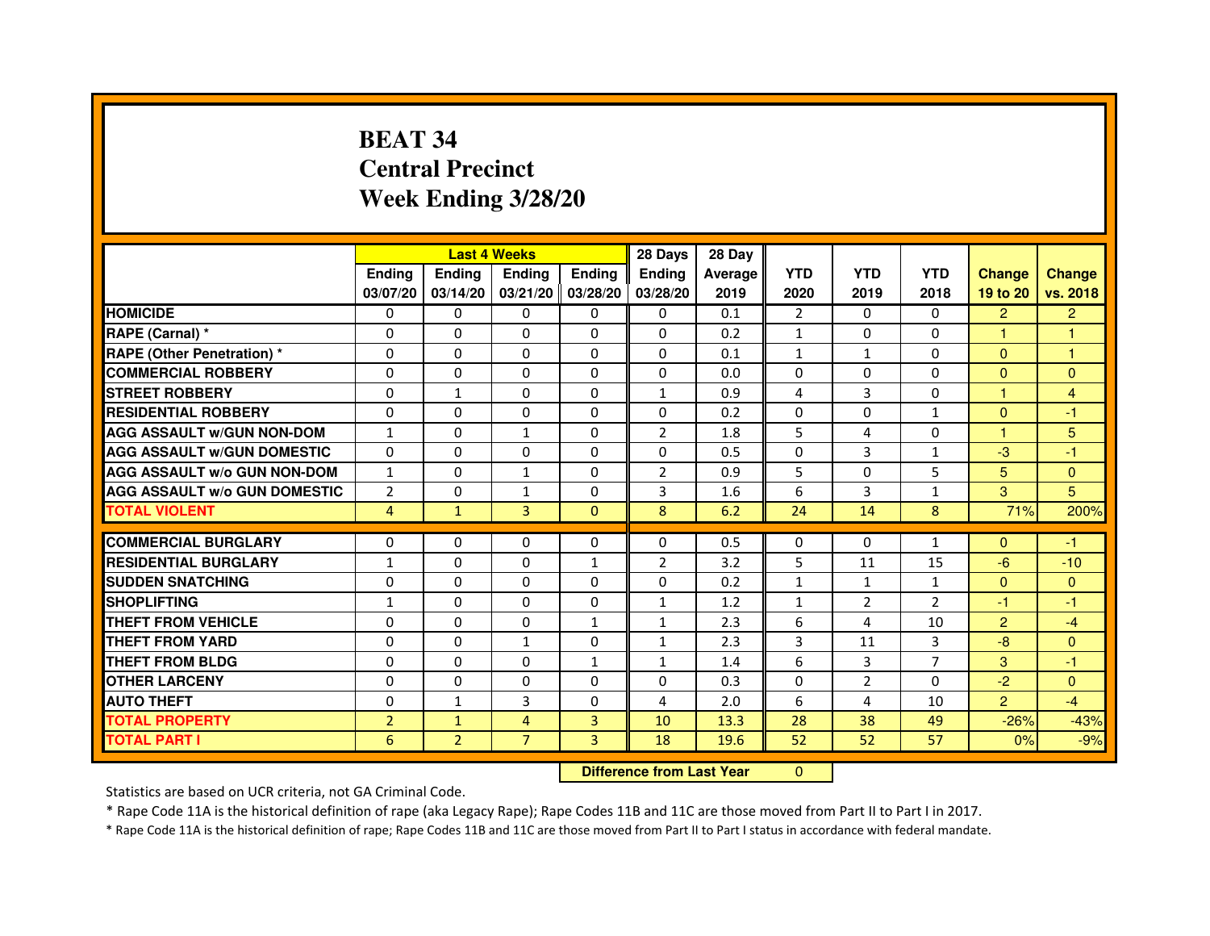# **BEAT 34 Central PrecinctWeek Ending 3/28/20**

|                                     |                | <b>Last 4 Weeks</b> |                                  |                   | 28 Days        | 28 Day  |                |                |                |                |                |
|-------------------------------------|----------------|---------------------|----------------------------------|-------------------|----------------|---------|----------------|----------------|----------------|----------------|----------------|
|                                     | <b>Ending</b>  | Ending              | <b>Ending</b>                    | <b>Ending</b>     | <b>Ending</b>  | Average | <b>YTD</b>     | <b>YTD</b>     | <b>YTD</b>     | <b>Change</b>  | <b>Change</b>  |
|                                     | 03/07/20       | 03/14/20            |                                  | 03/21/20 03/28/20 | 03/28/20       | 2019    | 2020           | 2019           | 2018           | 19 to 20       | vs. 2018       |
| <b>HOMICIDE</b>                     | 0              | 0                   | $\mathbf{0}$                     | 0                 | 0              | 0.1     | $\overline{2}$ | $\Omega$       | 0              | $\overline{2}$ | $\overline{2}$ |
| RAPE (Carnal) *                     | 0              | $\mathbf{0}$        | 0                                | 0                 | $\Omega$       | 0.2     | $\mathbf{1}$   | 0              | $\Omega$       | 1              | 1              |
| <b>RAPE (Other Penetration) *</b>   | 0              | 0                   | 0                                | $\mathbf{0}$      | $\Omega$       | 0.1     | $\mathbf{1}$   | $\mathbf{1}$   | $\Omega$       | $\mathbf{0}$   | 1              |
| <b>COMMERCIAL ROBBERY</b>           | $\mathbf 0$    | 0                   | $\Omega$                         | $\mathbf{0}$      | $\mathbf{0}$   | 0.0     | $\Omega$       | $\Omega$       | $\Omega$       | $\mathbf{0}$   | $\mathbf{0}$   |
| <b>STREET ROBBERY</b>               | 0              | $\mathbf{1}$        | $\Omega$                         | $\Omega$          | $\mathbf{1}$   | 0.9     | $\overline{4}$ | 3              | $\Omega$       | $\mathbf{1}$   | $\overline{4}$ |
| <b>RESIDENTIAL ROBBERY</b>          | 0              | 0                   | 0                                | 0                 | $\Omega$       | 0.2     | $\Omega$       | $\Omega$       | 1              | $\Omega$       | $-1$           |
| <b>AGG ASSAULT W/GUN NON-DOM</b>    | $\mathbf{1}$   | $\Omega$            | $\mathbf{1}$                     | $\Omega$          | $\overline{2}$ | 1.8     | 5              | 4              | $\Omega$       | 1              | 5              |
| <b>AGG ASSAULT W/GUN DOMESTIC</b>   | $\Omega$       | $\Omega$            | $\Omega$                         | $\Omega$          | $\Omega$       | 0.5     | $\Omega$       | $\overline{3}$ | $\mathbf{1}$   | $-3$           | $-1$           |
| <b>AGG ASSAULT W/o GUN NON-DOM</b>  | $\mathbf{1}$   | $\Omega$            | $\mathbf{1}$                     | $\Omega$          | 2              | 0.9     | 5              | $\Omega$       | 5              | 5              | $\Omega$       |
| <b>AGG ASSAULT W/o GUN DOMESTIC</b> | $\overline{2}$ | 0                   | $\mathbf{1}$                     | $\Omega$          | 3              | 1.6     | 6              | 3              | $\mathbf{1}$   | 3              | 5              |
| <b>TOTAL VIOLENT</b>                | $\overline{4}$ | $\mathbf{1}$        | 3                                | $\mathbf{0}$      | 8              | 6.2     | 24             | 14             | 8              | 71%            | 200%           |
| <b>COMMERCIAL BURGLARY</b>          | 0              | 0                   | 0                                | 0                 | 0              | 0.5     | 0              | 0              | $\mathbf{1}$   | $\mathbf{0}$   | $-1$           |
| <b>RESIDENTIAL BURGLARY</b>         | $\mathbf{1}$   | 0                   | $\Omega$                         | $\mathbf{1}$      | $\overline{2}$ | 3.2     | 5              | 11             | 15             | $-6$           | $-10$          |
| <b>SUDDEN SNATCHING</b>             | 0              | $\Omega$            | $\Omega$                         | $\Omega$          | $\Omega$       | 0.2     | $\mathbf{1}$   | $\mathbf{1}$   | $\mathbf{1}$   | $\Omega$       | $\mathbf{0}$   |
| <b>SHOPLIFTING</b>                  | 1              | $\mathbf{0}$        | 0                                | $\mathbf{0}$      | $\mathbf{1}$   | 1.2     | $\mathbf{1}$   | $\overline{2}$ | 2              | $-1$           | $-1$           |
| THEFT FROM VEHICLE                  | 0              | 0                   | 0                                | $\mathbf{1}$      | $\mathbf{1}$   | 2.3     | 6              | 4              | 10             | $\overline{2}$ | $-4$           |
| <b>THEFT FROM YARD</b>              | $\Omega$       | 0                   | $\mathbf{1}$                     | $\Omega$          | $\mathbf{1}$   | 2.3     | 3              | 11             | 3              | $-8$           | $\overline{0}$ |
| <b>THEFT FROM BLDG</b>              | 0              | $\Omega$            | 0                                | $\mathbf{1}$      | $\mathbf{1}$   | 1.4     | 6              | $\overline{3}$ | $\overline{7}$ | 3              | $-1$           |
| <b>OTHER LARCENY</b>                | 0              | $\Omega$            | $\Omega$                         | $\Omega$          | $\Omega$       | 0.3     | $\Omega$       | $\overline{2}$ | $\Omega$       | $-2$           | $\Omega$       |
| <b>AUTO THEFT</b>                   | $\Omega$       | 1                   | 3                                | $\Omega$          | 4              | 2.0     | 6              | 4              | 10             | $\overline{2}$ | $-4$           |
| <b>TOTAL PROPERTY</b>               | $\overline{2}$ | $\mathbf{1}$        | $\overline{4}$                   | 3                 | 10             | 13.3    | 28             | 38             | 49             | $-26%$         | $-43%$         |
| <b>TOTAL PART I</b>                 | 6              | $\overline{2}$      | $\overline{7}$                   | 3                 | 18             | 19.6    | 52             | 52             | 57             | 0%             | $-9%$          |
|                                     |                |                     | <b>Difference from Last Year</b> |                   | $\Omega$       |         |                |                |                |                |                |

 **Difference from Last Year**

Statistics are based on UCR criteria, not GA Criminal Code.

\* Rape Code 11A is the historical definition of rape (aka Legacy Rape); Rape Codes 11B and 11C are those moved from Part II to Part I in 2017.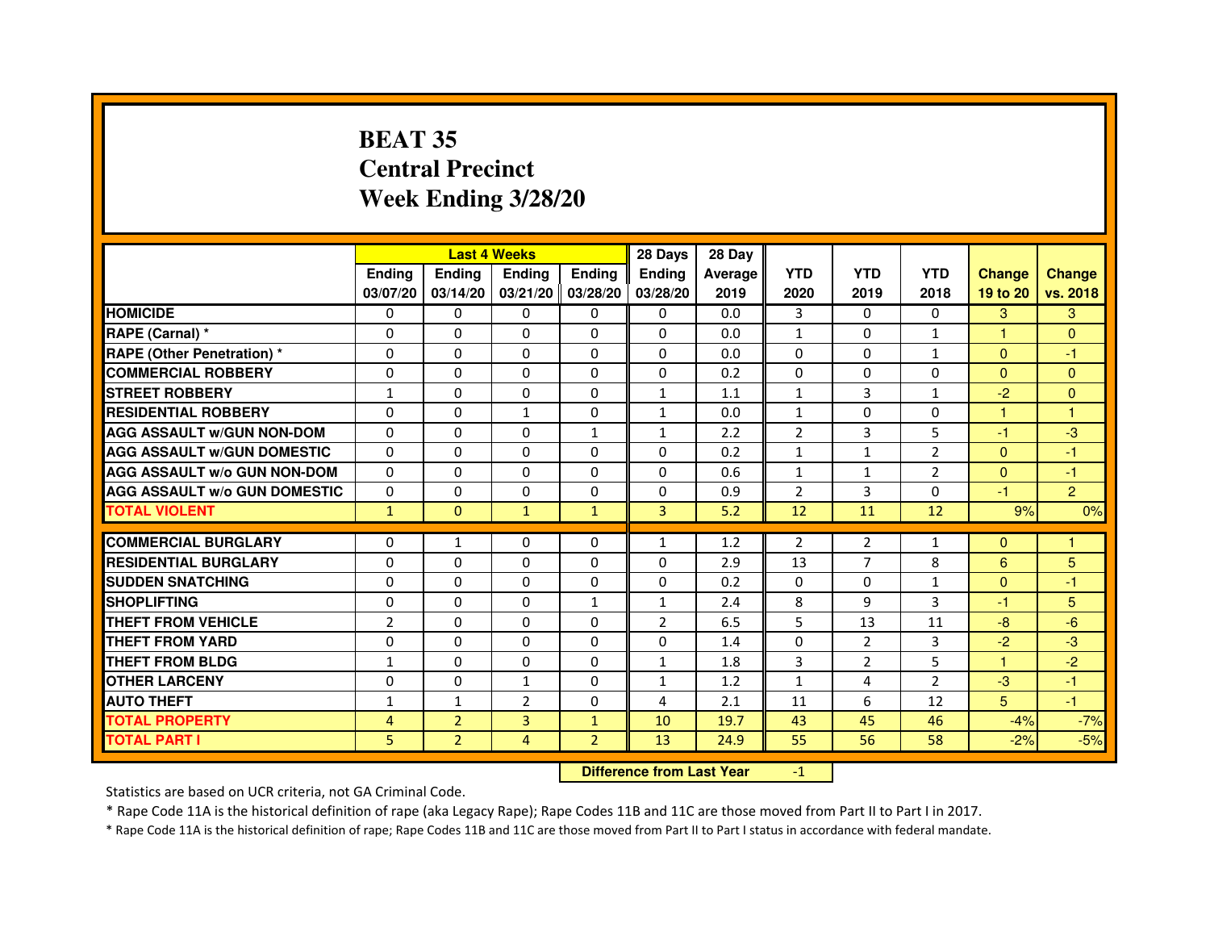# **BEAT 35 Central PrecinctWeek Ending 3/28/20**

|                                     |                | <b>Last 4 Weeks</b> |                |                   | 28 Days        | 28 Day  |                |                |                |                |                |
|-------------------------------------|----------------|---------------------|----------------|-------------------|----------------|---------|----------------|----------------|----------------|----------------|----------------|
|                                     | <b>Ending</b>  | <b>Ending</b>       | <b>Ending</b>  | <b>Endina</b>     | <b>Endina</b>  | Average | <b>YTD</b>     | <b>YTD</b>     | <b>YTD</b>     | <b>Change</b>  | <b>Change</b>  |
|                                     | 03/07/20       | 03/14/20            |                | 03/21/20 03/28/20 | 03/28/20       | 2019    | 2020           | 2019           | 2018           | 19 to 20       | vs. 2018       |
| <b>HOMICIDE</b>                     | 0              | 0                   | 0              | 0                 | 0              | 0.0     | 3              | 0              | $\Omega$       | 3              | 3              |
| RAPE (Carnal) *                     | $\Omega$       | $\Omega$            | $\Omega$       | $\Omega$          | $\Omega$       | 0.0     | $\mathbf{1}$   | $\Omega$       | $\mathbf{1}$   | $\mathbf{1}$   | $\Omega$       |
| <b>RAPE (Other Penetration)*</b>    | $\Omega$       | $\Omega$            | $\Omega$       | $\Omega$          | $\Omega$       | 0.0     | $\Omega$       | $\Omega$       | $\mathbf{1}$   | $\Omega$       | $-1$           |
| <b>COMMERCIAL ROBBERY</b>           | 0              | 0                   | $\Omega$       | 0                 | $\Omega$       | 0.2     | $\Omega$       | 0              | $\Omega$       | $\Omega$       | $\Omega$       |
| <b>STREET ROBBERY</b>               | $\mathbf{1}$   | 0                   | $\Omega$       | 0                 | $\mathbf{1}$   | 1.1     | $\mathbf{1}$   | 3              | $\mathbf{1}$   | $-2$           | $\Omega$       |
| <b>RESIDENTIAL ROBBERY</b>          | $\Omega$       | $\Omega$            | $\mathbf{1}$   | 0                 | $\mathbf{1}$   | 0.0     | $\mathbf{1}$   | $\Omega$       | $\Omega$       | $\mathbf{1}$   | 1              |
| <b>AGG ASSAULT w/GUN NON-DOM</b>    | $\Omega$       | 0                   | $\mathbf 0$    | $\mathbf{1}$      | $\mathbf{1}$   | 2.2     | $\overline{2}$ | 3              | 5              | $-1$           | -3             |
| <b>AGG ASSAULT W/GUN DOMESTIC</b>   | $\Omega$       | 0                   | $\Omega$       | 0                 | 0              | 0.2     | $\mathbf{1}$   | $\mathbf{1}$   | $\overline{2}$ | $\mathbf{0}$   | $-1$           |
| <b>AGG ASSAULT W/o GUN NON-DOM</b>  | $\Omega$       | $\Omega$            | $\Omega$       | $\Omega$          | $\Omega$       | 0.6     | $\mathbf{1}$   | $\mathbf{1}$   | $\overline{2}$ | $\Omega$       | $-1$           |
| <b>AGG ASSAULT W/o GUN DOMESTIC</b> | $\Omega$       | $\Omega$            | $\Omega$       | 0                 | 0              | 0.9     | $\overline{2}$ | 3              | $\Omega$       | $-1$           | $\overline{2}$ |
| <b>TOTAL VIOLENT</b>                | $\mathbf{1}$   | $\Omega$            | $\mathbf{1}$   | $\mathbf{1}$      | 3              | 5.2     | 12             | 11             | 12             | 9%             | 0%             |
|                                     |                |                     |                |                   |                |         |                |                |                |                |                |
| <b>COMMERCIAL BURGLARY</b>          | $\Omega$       | $\mathbf{1}$        | $\Omega$       | $\Omega$          | $\mathbf{1}$   | 1.2     | $\overline{2}$ | $\overline{2}$ | $\mathbf{1}$   | $\Omega$       | 1              |
| <b>RESIDENTIAL BURGLARY</b>         | $\Omega$       | $\Omega$            | $\Omega$       | 0                 | 0              | 2.9     | 13             | $\overline{7}$ | 8              | 6              | 5              |
| <b>SUDDEN SNATCHING</b>             | $\Omega$       | $\Omega$            | 0              | 0                 | 0              | 0.2     | $\Omega$       | $\Omega$       | $\mathbf{1}$   | $\Omega$       | $-1$           |
| <b>SHOPLIFTING</b>                  | 0              | $\mathbf 0$         | 0              | $\mathbf{1}$      | $\mathbf{1}$   | 2.4     | 8              | 9              | 3              | $-1$           | 5              |
| <b>THEFT FROM VEHICLE</b>           | $\overline{2}$ | $\Omega$            | $\Omega$       | $\Omega$          | $\overline{2}$ | 6.5     | 5              | 13             | 11             | $-8$           | $-6$           |
| <b>THEFT FROM YARD</b>              | 0              | $\Omega$            | $\Omega$       | $\Omega$          | $\Omega$       | 1.4     | $\Omega$       | $\overline{2}$ | 3              | $-2$           | $-3$           |
| <b>THEFT FROM BLDG</b>              | 1              | $\Omega$            | 0              | 0                 | 1              | 1.8     | 3              | $\overline{2}$ | 5              | 1.             | $-2$           |
| <b>OTHER LARCENY</b>                | $\Omega$       | $\Omega$            | 1              | 0                 | 1              | 1.2     | $\mathbf{1}$   | 4              | $\overline{2}$ | $-3$           | $-1$           |
| <b>AUTO THEFT</b>                   | 1              | 1                   | $\overline{2}$ | 0                 | 4              | 2.1     | 11             | 6              | 12             | 5 <sup>5</sup> | $-1$           |
| <b>TOTAL PROPERTY</b>               | 4              | $\overline{2}$      | 3              | $\mathbf{1}$      | 10             | 19.7    | 43             | 45             | 46             | $-4%$          | $-7%$          |
| <b>TOTAL PART I</b>                 | 5              | $\overline{2}$      | 4              | $\overline{2}$    | 13             | 24.9    | 55             | 56             | 58             | $-2%$          | $-5%$          |

 **Difference from Last Year**

-1

Statistics are based on UCR criteria, not GA Criminal Code.

\* Rape Code 11A is the historical definition of rape (aka Legacy Rape); Rape Codes 11B and 11C are those moved from Part II to Part I in 2017.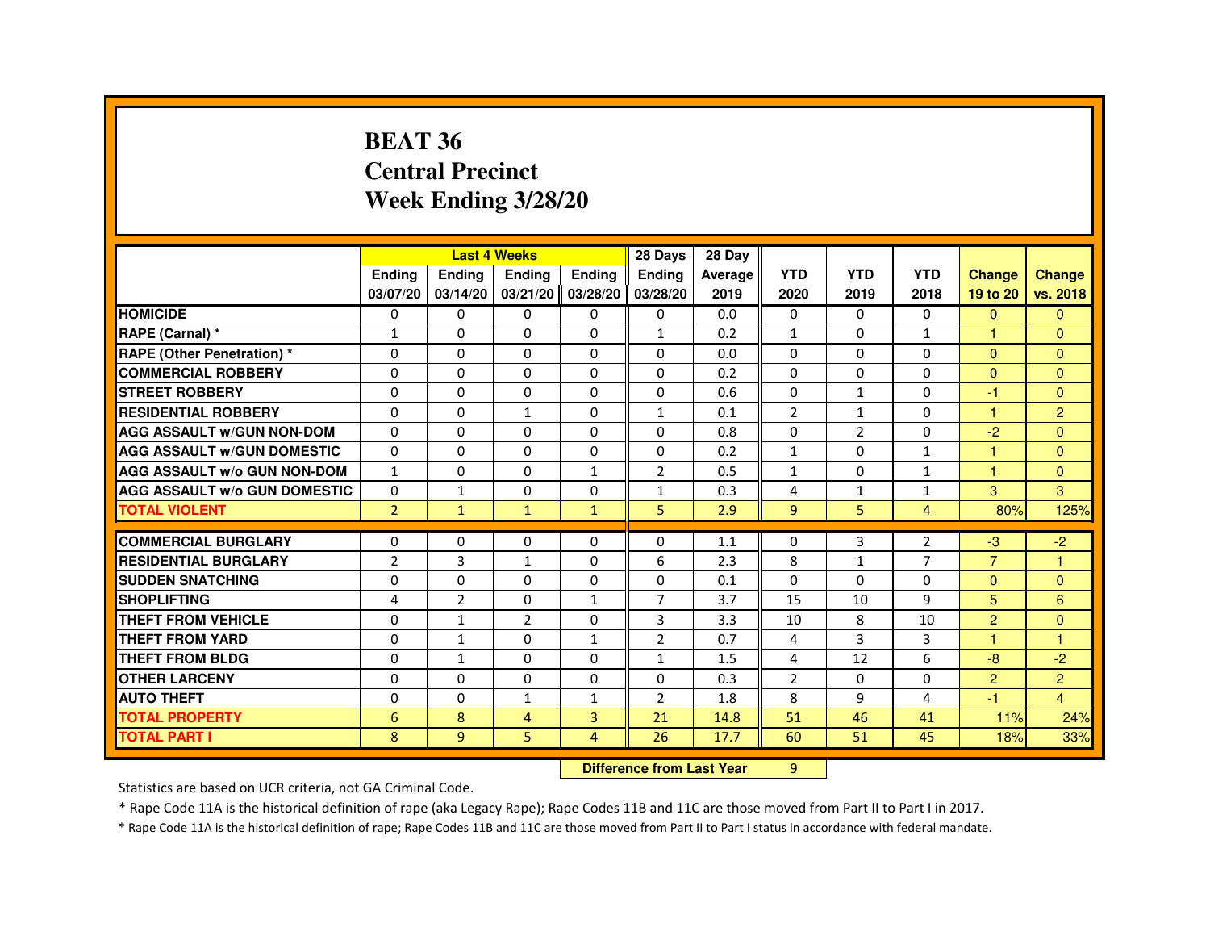#### **BEAT 36 Central PrecinctWeek Ending 3/28/20**

|                                     |                | <b>Last 4 Weeks</b> |                   |                | 28 Days        | 28 Day                           |                |                |                |                |                |
|-------------------------------------|----------------|---------------------|-------------------|----------------|----------------|----------------------------------|----------------|----------------|----------------|----------------|----------------|
|                                     | Ending         | Ending              | Ending            | Ending         | <b>Ending</b>  | Average                          | <b>YTD</b>     | <b>YTD</b>     | <b>YTD</b>     | <b>Change</b>  | <b>Change</b>  |
|                                     | 03/07/20       | 03/14/20            | 03/21/20 03/28/20 |                | 03/28/20       | 2019                             | 2020           | 2019           | 2018           | 19 to 20       | vs. 2018       |
| <b>HOMICIDE</b>                     | 0              | 0                   | 0                 | 0              | 0              | 0.0                              | 0              | 0              | 0              | $\mathbf{0}$   | $\mathbf{0}$   |
| RAPE (Carnal) *                     | $\mathbf{1}$   | $\Omega$            | $\Omega$          | 0              | $\mathbf{1}$   | 0.2                              | $\mathbf{1}$   | $\Omega$       | $\mathbf{1}$   |                | $\Omega$       |
| <b>RAPE (Other Penetration) *</b>   | $\Omega$       | 0                   | $\Omega$          | $\Omega$       | $\Omega$       | 0.0                              | $\Omega$       | $\Omega$       | $\Omega$       | $\Omega$       | $\Omega$       |
| <b>COMMERCIAL ROBBERY</b>           | $\Omega$       | $\Omega$            | $\Omega$          | $\Omega$       | 0              | 0.2                              | $\Omega$       | $\Omega$       | $\Omega$       | $\Omega$       | $\Omega$       |
| <b>STREET ROBBERY</b>               | 0              | $\Omega$            | $\Omega$          | 0              | 0              | 0.6                              | $\Omega$       | $\mathbf{1}$   | 0              | -1             | $\Omega$       |
| <b>RESIDENTIAL ROBBERY</b>          | $\Omega$       | 0                   | $\mathbf{1}$      | 0              | $\mathbf{1}$   | 0.1                              | $\overline{2}$ | $\mathbf{1}$   | $\Omega$       |                | $\overline{2}$ |
| <b>AGG ASSAULT w/GUN NON-DOM</b>    | 0              | 0                   | 0                 | $\Omega$       | 0              | 0.8                              | $\Omega$       | $\overline{2}$ | 0              | $-2$           | $\Omega$       |
| <b>AGG ASSAULT W/GUN DOMESTIC</b>   | $\Omega$       | $\Omega$            | $\Omega$          | $\Omega$       | $\Omega$       | 0.2                              | $\mathbf{1}$   | $\Omega$       | $\mathbf{1}$   | 1              | $\Omega$       |
| <b>AGG ASSAULT w/o GUN NON-DOM</b>  | $\mathbf{1}$   | $\mathbf{0}$        | 0                 | $\mathbf{1}$   | 2              | 0.5                              | $\mathbf{1}$   | 0              | $\mathbf{1}$   |                | $\Omega$       |
| <b>AGG ASSAULT W/o GUN DOMESTIC</b> | $\Omega$       | $\mathbf{1}$        | $\Omega$          | 0              | $\mathbf{1}$   | 0.3                              | $\overline{4}$ | $\mathbf{1}$   | $\mathbf{1}$   | 3              | 3              |
| <b>TOTAL VIOLENT</b>                | $\overline{2}$ | $\mathbf{1}$        | $\mathbf{1}$      | $\mathbf{1}$   | 5              | 2.9                              | 9              | 5              | $\overline{4}$ | 80%            | 125%           |
| <b>COMMERCIAL BURGLARY</b>          | 0              | 0                   | 0                 | 0              | 0              | 1.1                              | 0              | 3              | $\overline{2}$ | -3             | $-2$           |
| <b>RESIDENTIAL BURGLARY</b>         | $\overline{2}$ | 3                   | $\mathbf{1}$      | $\Omega$       | 6              | 2.3                              | 8              | $\mathbf{1}$   | $\overline{7}$ | $\overline{7}$ | $\overline{1}$ |
| <b>SUDDEN SNATCHING</b>             | 0              | 0                   | $\Omega$          | $\Omega$       | 0              | 0.1                              | $\Omega$       | $\Omega$       | $\Omega$       | $\Omega$       | $\Omega$       |
| <b>SHOPLIFTING</b>                  | 4              | $\overline{2}$      | 0                 | $\mathbf{1}$   | 7              | 3.7                              | 15             | 10             | 9              | 5              | 6              |
| THEFT FROM VEHICLE                  | 0              | $\mathbf{1}$        | $\overline{2}$    | $\Omega$       | 3              | 3.3                              | 10             | 8              | 10             | 2              | $\Omega$       |
| <b>THEFT FROM YARD</b>              | $\Omega$       | $\mathbf{1}$        | $\mathbf 0$       | $\mathbf{1}$   | $\overline{2}$ | 0.7                              | 4              | 3              | 3              | 1              | $\overline{1}$ |
| <b>THEFT FROM BLDG</b>              | 0              | $\mathbf{1}$        | 0                 | 0              | $\mathbf{1}$   | 1.5                              | 4              | 12             | 6              | $-8$           | $-2$           |
| <b>OTHER LARCENY</b>                | $\Omega$       | $\Omega$            | 0                 | $\Omega$       | 0              | 0.3                              | $\overline{2}$ | $\Omega$       | $\Omega$       | 2              | $\overline{2}$ |
| <b>AUTO THEFT</b>                   | $\Omega$       | 0                   | $\mathbf{1}$      | $\mathbf{1}$   | $\overline{2}$ | 1.8                              | 8              | 9              | 4              | -1             | $\overline{4}$ |
| <b>TOTAL PROPERTY</b>               | 6              | 8                   | 4                 | $\overline{3}$ | 21             | 14.8                             | 51             | 46             | 41             | 11%            | 24%            |
| <b>TOTAL PART I</b>                 | 8              | 9                   | 5                 | $\overline{4}$ | 26             | 17.7                             | 60             | 51             | 45             | 18%            | 33%            |
|                                     |                |                     |                   |                |                | <b>Difference from Last Year</b> | $\overline{9}$ |                |                |                |                |

 **Difference from Last Year**

Statistics are based on UCR criteria, not GA Criminal Code.

\* Rape Code 11A is the historical definition of rape (aka Legacy Rape); Rape Codes 11B and 11C are those moved from Part II to Part I in 2017.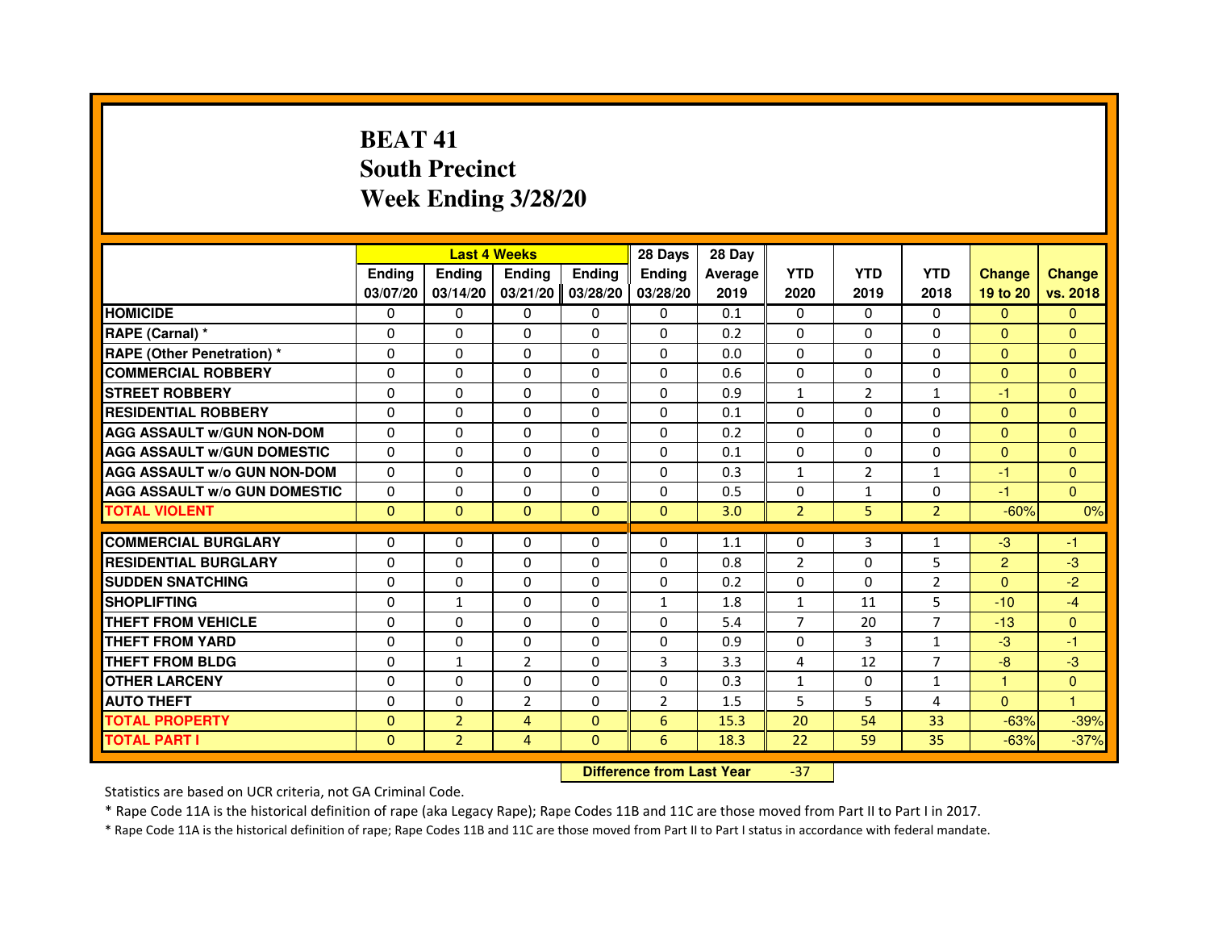# **BEAT 41 South PrecinctWeek Ending 3/28/20**

|                                     |               |                | <b>Last 4 Weeks</b>              |               | 28 Days        | 28 Day  |                |                |                |                |                |
|-------------------------------------|---------------|----------------|----------------------------------|---------------|----------------|---------|----------------|----------------|----------------|----------------|----------------|
|                                     | <b>Ending</b> | Ending         | <b>Ending</b>                    | <b>Ending</b> | <b>Endina</b>  | Average | <b>YTD</b>     | <b>YTD</b>     | <b>YTD</b>     | <b>Change</b>  | <b>Change</b>  |
|                                     | 03/07/20      | 03/14/20       | 03/21/20                         | 03/28/20      | 03/28/20       | 2019    | 2020           | 2019           | 2018           | 19 to 20       | vs. 2018       |
| <b>HOMICIDE</b>                     | $\Omega$      | $\Omega$       | $\mathbf{0}$                     | $\mathbf{0}$  | $\mathbf{0}$   | 0.1     | $\Omega$       | 0              | $\Omega$       | $\Omega$       | $\Omega$       |
| RAPE (Carnal) *                     | 0             | $\Omega$       | $\Omega$                         | $\Omega$      | $\Omega$       | 0.2     | $\Omega$       | $\Omega$       | $\Omega$       | $\Omega$       | $\Omega$       |
| <b>RAPE (Other Penetration) *</b>   | $\Omega$      | $\Omega$       | $\Omega$                         | $\Omega$      | $\Omega$       | 0.0     | $\Omega$       | $\Omega$       | $\Omega$       | $\Omega$       | $\overline{0}$ |
| <b>COMMERCIAL ROBBERY</b>           | 0             | $\Omega$       | $\Omega$                         | $\Omega$      | $\Omega$       | 0.6     | $\Omega$       | $\Omega$       | $\Omega$       | $\mathbf{0}$   | $\mathbf{0}$   |
| <b>STREET ROBBERY</b>               | $\Omega$      | $\Omega$       | $\Omega$                         | $\Omega$      | $\Omega$       | 0.9     | $\mathbf{1}$   | 2              | $\mathbf{1}$   | $-1$           | $\overline{0}$ |
| <b>RESIDENTIAL ROBBERY</b>          | $\Omega$      | $\Omega$       | $\Omega$                         | $\Omega$      | $\Omega$       | 0.1     | $\Omega$       | $\Omega$       | $\Omega$       | $\mathbf{0}$   | $\Omega$       |
| <b>AGG ASSAULT W/GUN NON-DOM</b>    | $\Omega$      | $\Omega$       | $\Omega$                         | $\Omega$      | $\Omega$       | 0.2     | $\Omega$       | $\Omega$       | $\Omega$       | $\Omega$       | $\Omega$       |
| <b>AGG ASSAULT W/GUN DOMESTIC</b>   | $\Omega$      | $\Omega$       | $\Omega$                         | $\Omega$      | $\Omega$       | 0.1     | $\Omega$       | $\Omega$       | $\Omega$       | $\Omega$       | $\Omega$       |
| <b>AGG ASSAULT w/o GUN NON-DOM</b>  | 0             | 0              | 0                                | $\mathbf{0}$  | $\mathbf{0}$   | 0.3     | $\mathbf{1}$   | $\overline{2}$ | $\mathbf{1}$   | $-1$           | $\mathbf{0}$   |
| <b>AGG ASSAULT W/o GUN DOMESTIC</b> | $\Omega$      | 0              | $\Omega$                         | $\Omega$      | $\Omega$       | 0.5     | $\Omega$       | $\mathbf{1}$   | $\Omega$       | $-1$           | $\Omega$       |
| <b>TOTAL VIOLENT</b>                | $\mathbf{0}$  | $\mathbf{0}$   | $\mathbf 0$                      | $\mathbf{0}$  | $\mathbf{0}$   | 3.0     | $\overline{2}$ | 5              | $\overline{2}$ | $-60%$         | 0%             |
| <b>COMMERCIAL BURGLARY</b>          | $\Omega$      | $\Omega$       | 0                                | $\Omega$      | $\Omega$       | 1.1     | $\Omega$       | 3              | $\mathbf{1}$   | $-3$           | $-1$           |
| <b>RESIDENTIAL BURGLARY</b>         | $\Omega$      | $\Omega$       | $\Omega$                         | $\Omega$      | $\Omega$       | 0.8     | $\overline{2}$ | $\Omega$       | 5              | $\overline{2}$ | $-3$           |
| <b>SUDDEN SNATCHING</b>             | $\Omega$      | $\Omega$       | $\Omega$                         | $\Omega$      | $\Omega$       | 0.2     | $\Omega$       | $\Omega$       | $\overline{2}$ | $\Omega$       | $-2$           |
| <b>SHOPLIFTING</b>                  | 0             | $\mathbf{1}$   | 0                                | 0             | 1              | 1.8     | $\mathbf{1}$   | 11             | 5              | $-10$          | $-4$           |
| <b>THEFT FROM VEHICLE</b>           | $\Omega$      | $\Omega$       | $\Omega$                         | $\Omega$      | $\Omega$       | 5.4     | $\overline{7}$ | 20             | 7              | $-13$          | $\Omega$       |
| <b>THEFT FROM YARD</b>              | 0             | 0              | 0                                | 0             | 0              | 0.9     | 0              | 3              | $\mathbf{1}$   | $-3$           | $-1$           |
| <b>THEFT FROM BLDG</b>              | $\Omega$      | $\mathbf{1}$   | $\overline{2}$                   | $\Omega$      | 3              | 3.3     | 4              | 12             | $\overline{7}$ | $-8$           | $-3$           |
| <b>OTHER LARCENY</b>                | $\Omega$      | $\Omega$       | $\Omega$                         | $\Omega$      | $\Omega$       | 0.3     | $\mathbf{1}$   | 0              | $\mathbf{1}$   | $\mathbf{1}$   | $\Omega$       |
| <b>AUTO THEFT</b>                   | $\Omega$      | $\Omega$       | $\overline{2}$                   | $\Omega$      | $\overline{2}$ | 1.5     | 5              | 5              | 4              | $\Omega$       | 1              |
| <b>TOTAL PROPERTY</b>               | $\Omega$      | $\overline{2}$ | $\overline{4}$                   | $\Omega$      | 6              | 15.3    | 20             | 54             | 33             | $-63%$         | $-39%$         |
| <b>TOTAL PART I</b>                 | $\mathbf{0}$  | $\overline{2}$ | $\overline{4}$                   | $\mathbf{0}$  | 6              | 18.3    | 22             | 59             | 35             | $-63%$         | $-37%$         |
|                                     |               |                | <b>Difference from Last Year</b> |               | $-37$          |         |                |                |                |                |                |

Statistics are based on UCR criteria, not GA Criminal Code.

\* Rape Code 11A is the historical definition of rape (aka Legacy Rape); Rape Codes 11B and 11C are those moved from Part II to Part I in 2017.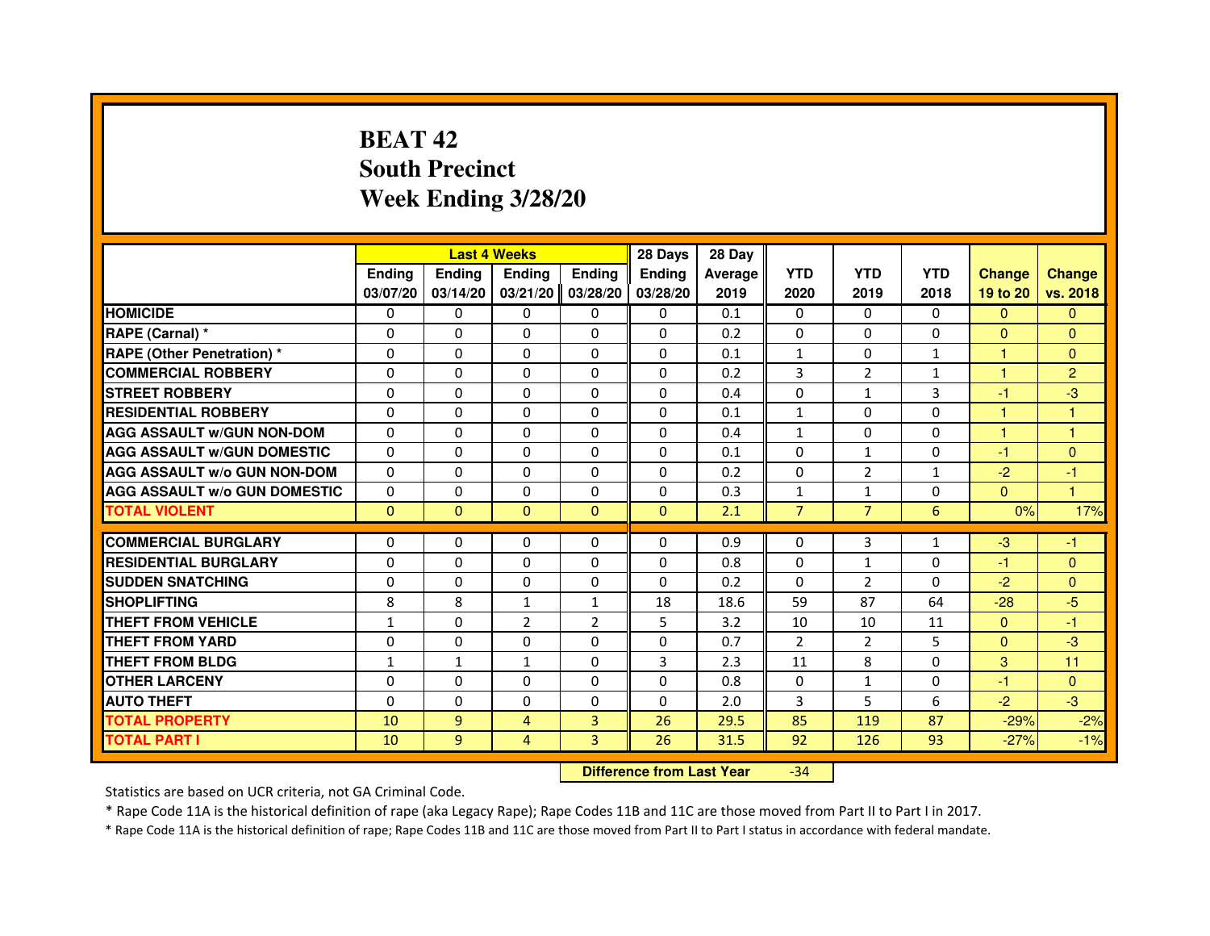## **BEAT 42 South PrecinctWeek Ending 3/28/20**

|                                     |               |               | <b>Last 4 Weeks</b> |                | 28 Days       | 28 Day  |                |                |              |                      |                |
|-------------------------------------|---------------|---------------|---------------------|----------------|---------------|---------|----------------|----------------|--------------|----------------------|----------------|
|                                     | <b>Ending</b> | <b>Ending</b> | <b>Ending</b>       | <b>Ending</b>  | <b>Endina</b> | Average | <b>YTD</b>     | <b>YTD</b>     | <b>YTD</b>   | <b>Change</b>        | <b>Change</b>  |
|                                     | 03/07/20      | 03/14/20      | 03/21/20            | 03/28/20       | 03/28/20      | 2019    | 2020           | 2019           | 2018         | 19 to 20             | vs. 2018       |
| <b>HOMICIDE</b>                     | 0             | $\mathbf{0}$  | 0                   | 0              | $\mathbf{0}$  | 0.1     | $\mathbf{0}$   | $\mathbf{0}$   | $\mathbf{0}$ | $\mathbf{0}$         | $\mathbf{0}$   |
| RAPE (Carnal) *                     | $\Omega$      | $\Omega$      | $\Omega$            | $\Omega$       | $\Omega$      | 0.2     | $\Omega$       | $\Omega$       | $\Omega$     | $\Omega$             | $\mathbf{0}$   |
| <b>RAPE (Other Penetration)*</b>    | 0             | $\mathbf{0}$  | 0                   | $\Omega$       | 0             | 0.1     | $\mathbf{1}$   | 0              | $\mathbf{1}$ | 1.                   | $\mathbf{0}$   |
| <b>COMMERCIAL ROBBERY</b>           | 0             | $\Omega$      | $\Omega$            | $\Omega$       | $\Omega$      | 0.2     | 3              | 2              | $\mathbf{1}$ | $\blacktriangleleft$ | $\overline{2}$ |
| <b>STREET ROBBERY</b>               | $\Omega$      | $\Omega$      | $\Omega$            | $\Omega$       | $\Omega$      | 0.4     | $\Omega$       | $\mathbf{1}$   | 3            | -1                   | $-3$           |
| <b>RESIDENTIAL ROBBERY</b>          | $\Omega$      | $\Omega$      | $\Omega$            | $\Omega$       | $\Omega$      | 0.1     | $\mathbf{1}$   | $\Omega$       | 0            | $\mathbf{1}$         | $\mathbf{1}$   |
| <b>AGG ASSAULT W/GUN NON-DOM</b>    | $\Omega$      | $\Omega$      | $\Omega$            | $\Omega$       | $\Omega$      | 0.4     | $\mathbf{1}$   | $\Omega$       | $\Omega$     | $\mathbf{1}$         | $\mathbf{1}$   |
| <b>AGG ASSAULT W/GUN DOMESTIC</b>   | $\Omega$      | $\Omega$      | $\Omega$            | $\Omega$       | $\Omega$      | 0.1     | $\Omega$       | $\mathbf{1}$   | 0            | $-1$                 | $\mathbf{0}$   |
| <b>AGG ASSAULT W/o GUN NON-DOM</b>  | $\Omega$      | $\Omega$      | $\Omega$            | $\Omega$       | $\Omega$      | 0.2     | $\Omega$       | 2              | $\mathbf{1}$ | $-2$                 | -1             |
| <b>AGG ASSAULT w/o GUN DOMESTIC</b> | $\Omega$      | 0             | $\Omega$            | $\Omega$       | $\Omega$      | 0.3     | $\mathbf{1}$   | $\mathbf{1}$   | 0            | $\Omega$             | 1              |
| <b>TOTAL VIOLENT</b>                | $\mathbf{0}$  | $\mathbf{0}$  | $\mathbf{0}$        | $\mathbf{0}$   | $\mathbf{0}$  | 2.1     | $\overline{7}$ | $\overline{7}$ | 6            | 0%                   | 17%            |
|                                     |               |               |                     |                |               |         |                |                |              |                      |                |
| <b>COMMERCIAL BURGLARY</b>          | 0             | 0             | 0                   | 0              | $\Omega$      | 0.9     | 0              | 3              | $\mathbf{1}$ | -3                   | -1             |
| <b>RESIDENTIAL BURGLARY</b>         | $\Omega$      | $\Omega$      | $\Omega$            | $\Omega$       | $\Omega$      | 0.8     | $\Omega$       | $\mathbf{1}$   | 0            | -1                   | $\overline{0}$ |
| <b>SUDDEN SNATCHING</b>             | 0             | 0             | 0                   | 0              | 0             | 0.2     | $\mathbf{0}$   | 2              | 0            | $-2$                 | $\mathbf{0}$   |
| <b>SHOPLIFTING</b>                  | 8             | 8             | $\mathbf{1}$        | $\mathbf{1}$   | 18            | 18.6    | 59             | 87             | 64           | $-28$                | $-5$           |
| <b>THEFT FROM VEHICLE</b>           | $\mathbf{1}$  | $\Omega$      | $\overline{2}$      | $\overline{2}$ | 5             | 3.2     | 10             | 10             | 11           | $\Omega$             | $-1$           |
| <b>THEFT FROM YARD</b>              | 0             | $\Omega$      | $\Omega$            | 0              | $\Omega$      | 0.7     | 2              | 2              | 5            | $\Omega$             | -3             |
| THEFT FROM BLDG                     | $\mathbf{1}$  | $\mathbf{1}$  | $\mathbf{1}$        | $\Omega$       | 3             | 2.3     | 11             | 8              | $\Omega$     | 3                    | 11             |
| <b>OTHER LARCENY</b>                | $\Omega$      | $\Omega$      | $\Omega$            | $\Omega$       | $\Omega$      | 0.8     | $\Omega$       | $\mathbf{1}$   | 0            | $-1$                 | $\mathbf{0}$   |
| <b>AUTO THEFT</b>                   | $\Omega$      | $\Omega$      | $\Omega$            | $\Omega$       | $\Omega$      | 2.0     | 3              | 5              | 6            | $-2$                 | $-3$           |
| <b>TOTAL PROPERTY</b>               | 10            | 9             | 4                   | 3              | 26            | 29.5    | 85             | 119            | 87           | $-29%$               | $-2%$          |
| TOTAL PART I                        | 10            | 9             | 4                   | 3              | 26            | 31.5    | 92             | 126            | 93           | $-27%$               | $-1%$          |

 **Difference from Last Year**-34

Statistics are based on UCR criteria, not GA Criminal Code.

\* Rape Code 11A is the historical definition of rape (aka Legacy Rape); Rape Codes 11B and 11C are those moved from Part II to Part I in 2017.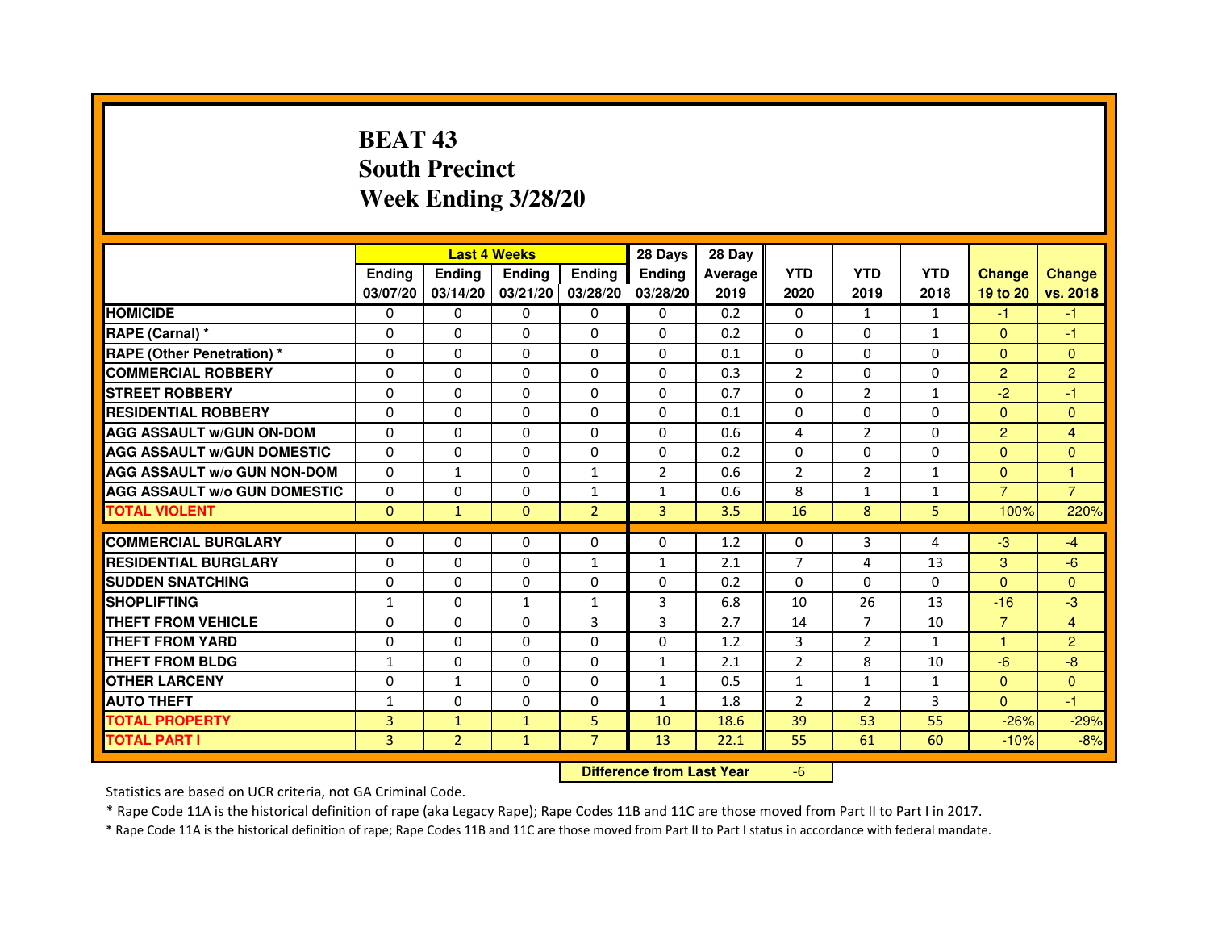# **BEAT 43 South PrecinctWeek Ending 3/28/20**

|                                     |                |                | <b>Last 4 Weeks</b>              |                | 28 Days        | 28 Day  |                |                |              |                |                |
|-------------------------------------|----------------|----------------|----------------------------------|----------------|----------------|---------|----------------|----------------|--------------|----------------|----------------|
|                                     | <b>Endina</b>  | <b>Ending</b>  | <b>Endina</b>                    | <b>Ending</b>  | <b>Endina</b>  | Average | <b>YTD</b>     | <b>YTD</b>     | <b>YTD</b>   | <b>Change</b>  | <b>Change</b>  |
|                                     | 03/07/20       | 03/14/20       | 03/21/20 03/28/20                |                | 03/28/20       | 2019    | 2020           | 2019           | 2018         | 19 to 20       | vs. 2018       |
| <b>HOMICIDE</b>                     | 0              | $\Omega$       | $\mathbf{0}$                     | $\Omega$       | 0              | 0.2     | $\Omega$       | $\mathbf{1}$   | $\mathbf{1}$ | $-1$           | $-1$           |
| RAPE (Carnal) *                     | 0              | 0              | 0                                | 0              | 0              | 0.2     | $\mathbf{0}$   | $\mathbf{0}$   | $\mathbf{1}$ | $\mathbf{0}$   | $-1$           |
| <b>RAPE (Other Penetration) *</b>   | $\mathbf 0$    | 0              | 0                                | $\mathbf 0$    | 0              | 0.1     | $\Omega$       | $\mathbf{0}$   | $\Omega$     | $\Omega$       | $\mathbf{0}$   |
| <b>COMMERCIAL ROBBERY</b>           | $\Omega$       | $\Omega$       | $\Omega$                         | 0              | $\Omega$       | 0.3     | $\overline{2}$ | $\mathbf{0}$   | $\Omega$     | $\overline{2}$ | $\overline{2}$ |
| <b>STREET ROBBERY</b>               | 0              | 0              | 0                                | 0              | $\Omega$       | 0.7     | $\Omega$       | $\overline{2}$ | $\mathbf{1}$ | $-2$           | $-1$           |
| <b>RESIDENTIAL ROBBERY</b>          | 0              | $\Omega$       | $\Omega$                         | 0              | 0              | 0.1     | 0              | $\mathbf{0}$   | 0            | $\mathbf{0}$   | $\Omega$       |
| <b>AGG ASSAULT w/GUN ON-DOM</b>     | $\Omega$       | 0              | $\Omega$                         | 0              | $\Omega$       | 0.6     | 4              | $\overline{2}$ | $\Omega$     | $\overline{2}$ | 4              |
| <b>AGG ASSAULT W/GUN DOMESTIC</b>   | $\Omega$       | $\Omega$       | $\Omega$                         | $\Omega$       | $\Omega$       | 0.2     | $\Omega$       | $\Omega$       | $\Omega$     | $\Omega$       | $\Omega$       |
| <b>AGG ASSAULT w/o GUN NON-DOM</b>  | 0              | 1              | 0                                | $\mathbf{1}$   | $\overline{2}$ | 0.6     | $\overline{2}$ | $\overline{2}$ | 1            | $\mathbf{0}$   | 1              |
| <b>AGG ASSAULT w/o GUN DOMESTIC</b> | $\Omega$       | $\mathbf 0$    | 0                                | $\mathbf{1}$   | $\mathbf{1}$   | 0.6     | 8              | $\mathbf{1}$   | $\mathbf{1}$ | $\overline{7}$ | $\overline{7}$ |
| <b>TOTAL VIOLENT</b>                | $\mathbf{0}$   | $\mathbf{1}$   | $\mathbf{0}$                     | $\overline{2}$ | 3              | 3.5     | 16             | 8              | 5            | 100%           | 220%           |
| <b>COMMERCIAL BURGLARY</b>          | 0              | 0              | 0                                | 0              | 0              | 1.2     | 0              | 3              | 4            | $-3$           | $-4$           |
| <b>RESIDENTIAL BURGLARY</b>         | $\Omega$       | $\Omega$       | $\mathbf 0$                      | $\mathbf{1}$   | $\mathbf{1}$   | 2.1     | $\overline{7}$ | 4              | 13           | 3              | $-6$           |
| <b>SUDDEN SNATCHING</b>             | 0              | $\Omega$       | $\Omega$                         | 0              | $\Omega$       | 0.2     | $\Omega$       | $\Omega$       | $\Omega$     | $\Omega$       | $\Omega$       |
| <b>SHOPLIFTING</b>                  | $\mathbf{1}$   | $\Omega$       | $\mathbf{1}$                     | $\mathbf{1}$   | 3              | 6.8     | 10             | 26             | 13           | $-16$          | $-3$           |
| <b>THEFT FROM VEHICLE</b>           | $\Omega$       | $\Omega$       | $\Omega$                         | 3              | 3              | 2.7     | 14             | $\overline{7}$ | 10           | $\overline{7}$ | $\overline{4}$ |
| <b>THEFT FROM YARD</b>              | $\Omega$       | $\Omega$       | $\Omega$                         | 0              | $\Omega$       | 1.2     | 3              | $\overline{2}$ | $\mathbf{1}$ | $\mathbf{1}$   | $\overline{2}$ |
| <b>THEFT FROM BLDG</b>              | $\mathbf{1}$   | $\Omega$       | $\Omega$                         | $\Omega$       | $\mathbf{1}$   | 2.1     | $\overline{2}$ | 8              | 10           | $-6$           | $-8$           |
| <b>OTHER LARCENY</b>                | 0              | $\mathbf{1}$   | $\Omega$                         | 0              | $\mathbf{1}$   | 0.5     | $\mathbf{1}$   | $\mathbf{1}$   | $\mathbf{1}$ | $\mathbf{0}$   | $\Omega$       |
| <b>AUTO THEFT</b>                   | $\mathbf{1}$   | 0              | $\mathbf 0$                      | 0              | $\mathbf{1}$   | 1.8     | $\overline{2}$ | $\overline{2}$ | 3            | $\Omega$       | $-1$           |
| <b>TOTAL PROPERTY</b>               | 3              | $\mathbf{1}$   | $\mathbf{1}$                     | 5              | 10             | 18.6    | 39             | 53             | 55           | $-26%$         | $-29%$         |
|                                     |                |                |                                  | $\overline{7}$ |                |         |                |                |              |                |                |
| <b>TOTAL PART I</b>                 | $\overline{3}$ | $\overline{2}$ | $\mathbf{1}$                     |                | 13             | 22.1    | 55             | 61             | 60           | $-10%$         | $-8%$          |
|                                     |                |                | <b>Difference from Last Year</b> |                | $-6$           |         |                |                |              |                |                |

 **Difference from Last Year**

Statistics are based on UCR criteria, not GA Criminal Code.

\* Rape Code 11A is the historical definition of rape (aka Legacy Rape); Rape Codes 11B and 11C are those moved from Part II to Part I in 2017.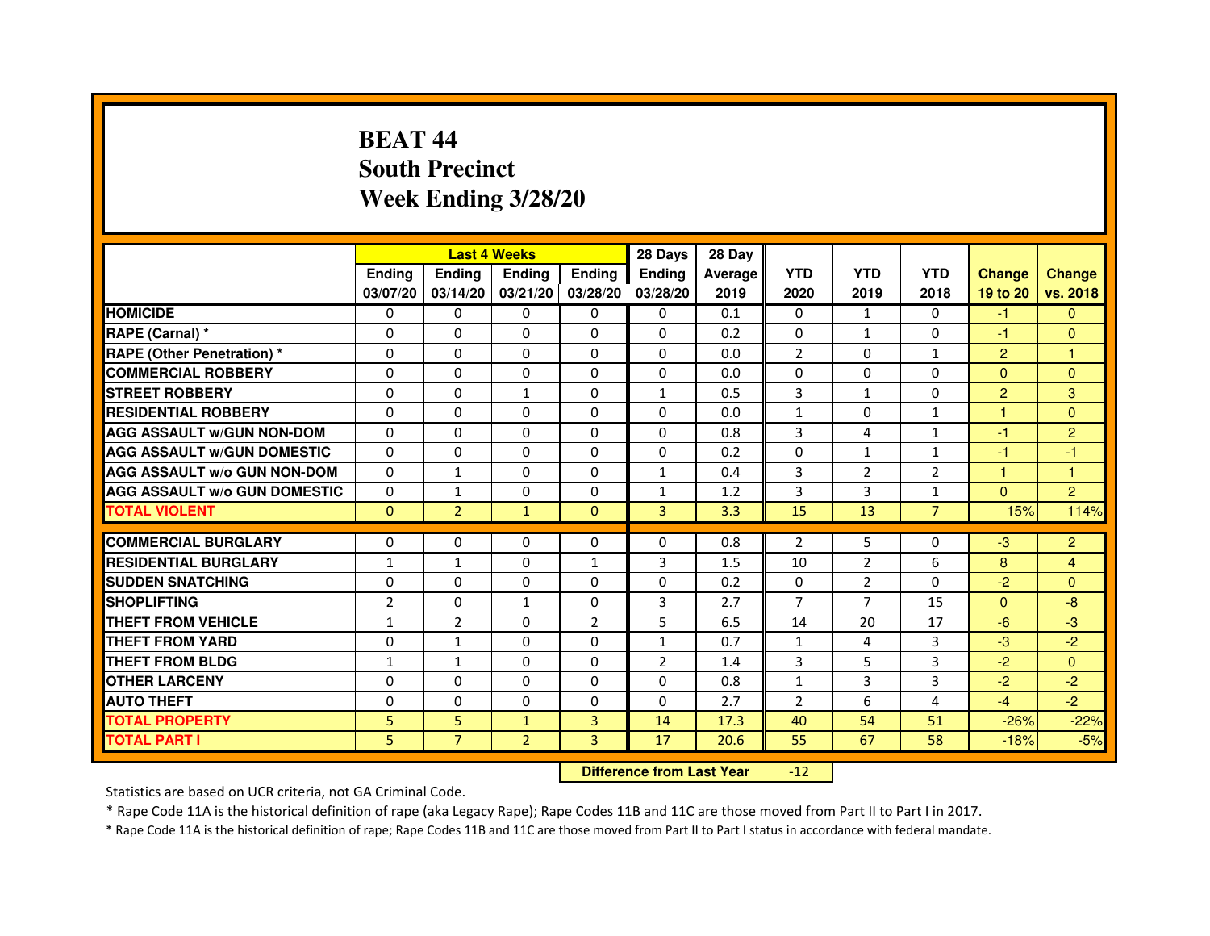# **BEAT 44 South PrecinctWeek Ending 3/28/20**

|                                     |                | <b>Last 4 Weeks</b> |                   |                | 28 Days        | 28 Day  |                |                |                |                |                |
|-------------------------------------|----------------|---------------------|-------------------|----------------|----------------|---------|----------------|----------------|----------------|----------------|----------------|
|                                     | <b>Endina</b>  | <b>Ending</b>       | <b>Endina</b>     | Ending         | <b>Endina</b>  | Average | <b>YTD</b>     | <b>YTD</b>     | <b>YTD</b>     | <b>Change</b>  | <b>Change</b>  |
|                                     | 03/07/20       | 03/14/20            | 03/21/20 03/28/20 |                | 03/28/20       | 2019    | 2020           | 2019           | 2018           | 19 to 20       | vs. 2018       |
| <b>HOMICIDE</b>                     | 0              | 0                   | $\mathbf{0}$      | 0              | 0              | 0.1     | $\mathbf{0}$   | $\mathbf{1}$   | $\Omega$       | $-1$           | $\mathbf{0}$   |
| RAPE (Carnal) *                     | $\Omega$       | $\Omega$            | $\Omega$          | $\Omega$       | $\Omega$       | 0.2     | $\Omega$       | $\mathbf{1}$   | $\Omega$       | $-1$           | $\Omega$       |
| <b>RAPE (Other Penetration) *</b>   | $\Omega$       | $\Omega$            | $\Omega$          | $\Omega$       | $\Omega$       | 0.0     | $\overline{2}$ | $\Omega$       | $\mathbf{1}$   | $\overline{2}$ | $\mathbf{1}$   |
| <b>COMMERCIAL ROBBERY</b>           | 0              | $\Omega$            | 0                 | 0              | 0              | 0.0     | 0              | 0              | $\Omega$       | $\Omega$       | $\Omega$       |
| <b>STREET ROBBERY</b>               | $\Omega$       | $\Omega$            | $\mathbf{1}$      | 0              | $\mathbf{1}$   | 0.5     | 3              | $\mathbf{1}$   | 0              | $\overline{2}$ | 3              |
| <b>RESIDENTIAL ROBBERY</b>          | $\Omega$       | $\Omega$            | $\Omega$          | $\Omega$       | 0              | 0.0     | $\mathbf{1}$   | $\Omega$       | $\mathbf{1}$   | 1              | $\Omega$       |
| <b>AGG ASSAULT w/GUN NON-DOM</b>    | $\Omega$       | $\Omega$            | $\mathbf 0$       | $\Omega$       | $\Omega$       | 0.8     | 3              | 4              | $\mathbf{1}$   | $-1$           | $\overline{2}$ |
| <b>AGG ASSAULT W/GUN DOMESTIC</b>   | $\Omega$       | $\Omega$            | $\Omega$          | $\Omega$       | $\Omega$       | 0.2     | $\Omega$       | $\mathbf{1}$   | $\mathbf{1}$   | $-1$           | $-1$           |
| <b>AGG ASSAULT W/o GUN NON-DOM</b>  | $\Omega$       | $\mathbf{1}$        | 0                 | 0              | 1              | 0.4     | 3              | 2              | 2              | 1              | 1              |
| <b>AGG ASSAULT W/o GUN DOMESTIC</b> | 0              | 1                   | 0                 | 0              | $\mathbf{1}$   | 1.2     | 3              | 3              | $\mathbf{1}$   | $\mathbf{0}$   | $\overline{2}$ |
| <b>TOTAL VIOLENT</b>                | $\Omega$       | $\overline{2}$      | $\mathbf{1}$      | $\Omega$       | 3              | 3.3     | 15             | 13             | $\overline{7}$ | 15%            | 114%           |
|                                     |                |                     |                   |                |                |         |                |                |                |                |                |
| <b>COMMERCIAL BURGLARY</b>          | 0              | 0                   | 0                 | 0              | 0              | 0.8     | $\overline{2}$ | 5              | $\Omega$       | $-3$           | $\overline{2}$ |
| <b>RESIDENTIAL BURGLARY</b>         | $\mathbf{1}$   | $\mathbf{1}$        | 0                 | $\mathbf{1}$   | 3              | 1.5     | 10             | $\overline{2}$ | 6              | 8              | 4              |
| <b>SUDDEN SNATCHING</b>             | $\Omega$       | $\Omega$            | $\Omega$          | $\Omega$       | $\Omega$       | 0.2     | $\Omega$       | $\overline{2}$ | $\Omega$       | $-2$           | $\Omega$       |
| <b>SHOPLIFTING</b>                  | $\overline{2}$ | $\Omega$            | $\mathbf{1}$      | $\Omega$       | 3              | 2.7     | $\overline{7}$ | $\overline{7}$ | 15             | $\mathbf{0}$   | -8             |
| <b>THEFT FROM VEHICLE</b>           | $\mathbf{1}$   | $\overline{2}$      | 0                 | $\overline{2}$ | 5              | 6.5     | 14             | 20             | 17             | $-6$           | $-3$           |
| <b>THEFT FROM YARD</b>              | $\Omega$       | $\mathbf{1}$        | $\Omega$          | $\Omega$       | 1              | 0.7     | $\mathbf{1}$   | 4              | 3              | $-3$           | $-2$           |
| <b>THEFT FROM BLDG</b>              | $\mathbf{1}$   | 1                   | $\Omega$          | $\Omega$       | $\overline{2}$ | 1.4     | 3              | 5              | 3              | $-2$           | $\Omega$       |
| <b>OTHER LARCENY</b>                | 0              | $\Omega$            | 0                 | 0              | 0              | 0.8     | $\mathbf{1}$   | 3              | 3              | $-2$           | $-2$           |
| <b>AUTO THEFT</b>                   | 0              | $\mathbf 0$         | 0                 | 0              | 0              | 2.7     | $\overline{2}$ | 6              | 4              | $-4$           | $-2$           |
| <b>TOTAL PROPERTY</b>               | 5              | 5                   | $\mathbf{1}$      | 3              | 14             | 17.3    | 40             | 54             | 51             | $-26%$         | $-22%$         |
| <b>TOTAL PART I</b>                 | 5              | $\overline{7}$      | $\overline{2}$    | 3              | 17             | 20.6    | 55             | 67             | 58             | $-18%$         | $-5%$          |

 **Difference from Last Year**-12

Statistics are based on UCR criteria, not GA Criminal Code.

\* Rape Code 11A is the historical definition of rape (aka Legacy Rape); Rape Codes 11B and 11C are those moved from Part II to Part I in 2017.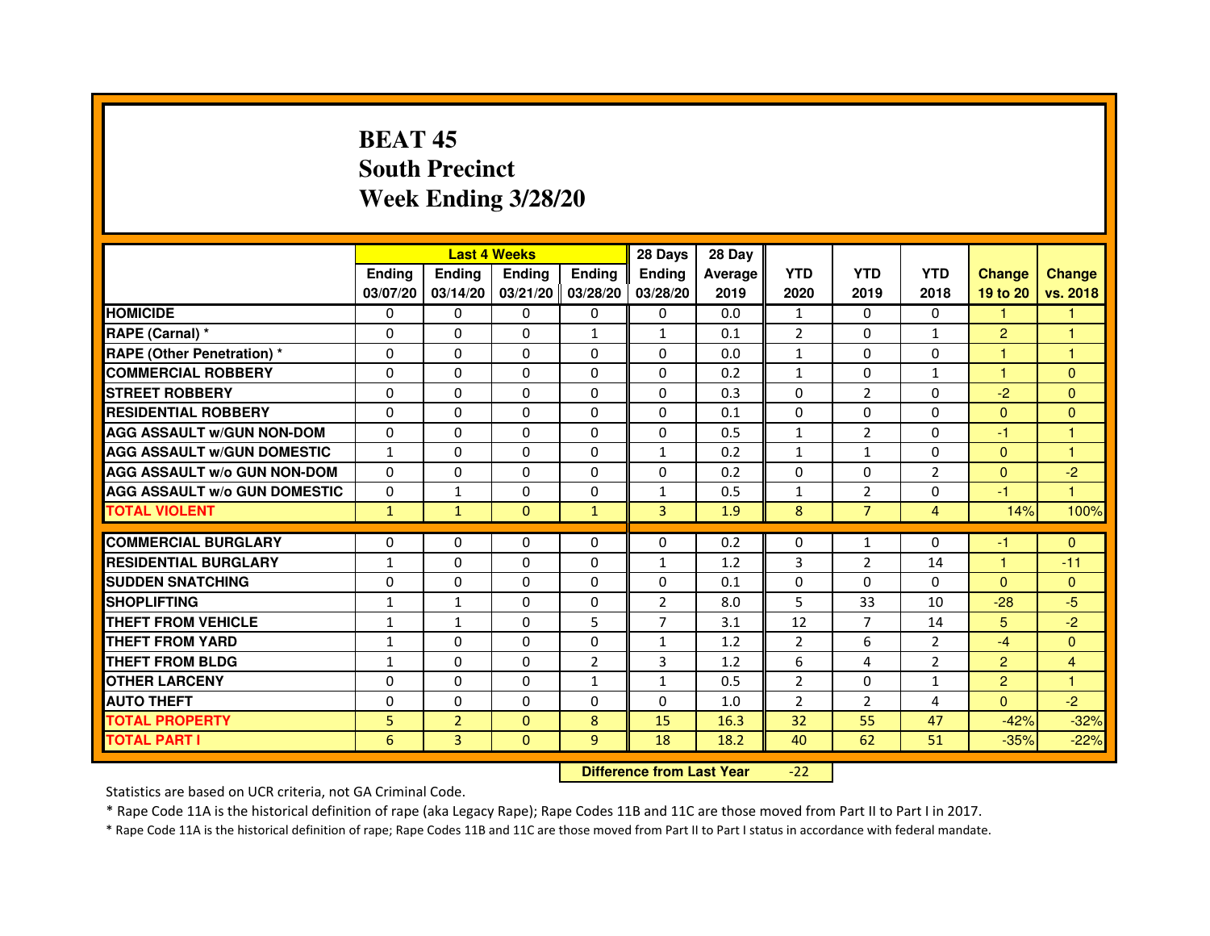# **BEAT 45 South PrecinctWeek Ending 3/28/20**

|                                     |               |                | <b>Last 4 Weeks</b> |                | 28 Days        | 28 Day  |                |                |                |                |                |
|-------------------------------------|---------------|----------------|---------------------|----------------|----------------|---------|----------------|----------------|----------------|----------------|----------------|
|                                     | <b>Endina</b> | Ending         | <b>Endina</b>       | <b>Ending</b>  | <b>Endina</b>  | Average | <b>YTD</b>     | <b>YTD</b>     | <b>YTD</b>     | <b>Change</b>  | <b>Change</b>  |
|                                     | 03/07/20      | 03/14/20       | 03/21/20 03/28/20   |                | 03/28/20       | 2019    | 2020           | 2019           | 2018           | 19 to 20       | vs. 2018       |
| <b>HOMICIDE</b>                     | 0             | 0              | 0                   | 0              | 0              | 0.0     | $\mathbf{1}$   | 0              | $\mathbf{0}$   | 1              |                |
| RAPE (Carnal) *                     | $\Omega$      | $\Omega$       | $\Omega$            | $\mathbf{1}$   | $\mathbf{1}$   | 0.1     | $\overline{2}$ | $\Omega$       | $\mathbf{1}$   | $\overline{2}$ | $\mathbf{1}$   |
| <b>RAPE (Other Penetration)*</b>    | $\Omega$      | $\Omega$       | $\Omega$            | $\Omega$       | 0              | 0.0     | $\mathbf{1}$   | $\Omega$       | $\Omega$       | 1              | $\mathbf{1}$   |
| <b>COMMERCIAL ROBBERY</b>           | 0             | 0              | 0                   | 0              | 0              | 0.2     | $\mathbf{1}$   | 0              | 1              | 1              | $\Omega$       |
| <b>STREET ROBBERY</b>               | $\Omega$      | 0              | $\Omega$            | 0              | 0              | 0.3     | 0              | $\overline{2}$ | 0              | $-2$           | $\Omega$       |
| <b>RESIDENTIAL ROBBERY</b>          | 0             | $\Omega$       | 0                   | 0              | 0              | 0.1     | $\Omega$       | $\Omega$       | $\Omega$       | $\Omega$       | $\Omega$       |
| <b>AGG ASSAULT w/GUN NON-DOM</b>    | $\Omega$      | $\Omega$       | $\mathbf 0$         | 0              | $\mathbf 0$    | 0.5     | $\mathbf{1}$   | $\overline{2}$ | $\Omega$       | $-1$           | 1              |
| <b>AGG ASSAULT W/GUN DOMESTIC</b>   | $\mathbf{1}$  | 0              | 0                   | 0              | $\mathbf{1}$   | 0.2     | $\mathbf{1}$   | $\mathbf{1}$   | $\Omega$       | $\mathbf{0}$   | 1              |
| <b>AGG ASSAULT W/o GUN NON-DOM</b>  | $\Omega$      | $\Omega$       | $\Omega$            | $\Omega$       | $\Omega$       | 0.2     | $\Omega$       | $\Omega$       | $\overline{2}$ | $\Omega$       | $-2$           |
| <b>AGG ASSAULT W/o GUN DOMESTIC</b> | $\Omega$      | $\mathbf{1}$   | $\Omega$            | 0              | $\mathbf{1}$   | 0.5     | $\mathbf{1}$   | $\overline{2}$ | 0              | $-1$           | 1              |
| <b>TOTAL VIOLENT</b>                | $\mathbf{1}$  | $\mathbf{1}$   | $\Omega$            | $\mathbf{1}$   | 3              | 1.9     | 8              | $\overline{7}$ | $\overline{4}$ | 14%            | 100%           |
|                                     |               |                |                     |                |                |         |                |                |                |                |                |
| <b>COMMERCIAL BURGLARY</b>          | 0             | 0              | 0                   | 0              | 0              | 0.2     | 0              | $\mathbf{1}$   | $\Omega$       | -1             | $\Omega$       |
| <b>RESIDENTIAL BURGLARY</b>         | $\mathbf{1}$  | 0              | 0                   | 0              | 1              | 1.2     | 3              | 2              | 14             | 1              | $-11$          |
| <b>SUDDEN SNATCHING</b>             | 0             | $\Omega$       | 0                   | 0              | 0              | 0.1     | 0              | $\Omega$       | $\Omega$       | $\Omega$       | $\Omega$       |
| <b>SHOPLIFTING</b>                  | $\mathbf{1}$  | $\mathbf{1}$   | $\Omega$            | $\Omega$       | $\overline{2}$ | 8.0     | 5              | 33             | 10             | $-28$          | $-5$           |
| <b>THEFT FROM VEHICLE</b>           | $\mathbf{1}$  | $\mathbf{1}$   | $\Omega$            | 5              | $\overline{7}$ | 3.1     | 12             | $\overline{7}$ | 14             | 5              | $-2$           |
| <b>THEFT FROM YARD</b>              | $\mathbf{1}$  | 0              | $\Omega$            | $\Omega$       | 1              | 1.2     | $\overline{2}$ | 6              | $\mathcal{P}$  | $-4$           | $\Omega$       |
| <b>THEFT FROM BLDG</b>              | $\mathbf{1}$  | 0              | 0                   | $\overline{2}$ | 3              | 1.2     | 6              | 4              | $\overline{2}$ | $\overline{2}$ | $\overline{4}$ |
| <b>OTHER LARCENY</b>                | 0             | $\Omega$       | $\Omega$            | $\mathbf{1}$   | $\mathbf{1}$   | 0.5     | $\overline{2}$ | $\Omega$       | $\mathbf{1}$   | $\overline{2}$ | 1              |
| <b>AUTO THEFT</b>                   | $\mathbf 0$   | $\mathbf 0$    | $\Omega$            | 0              | $\Omega$       | 1.0     | $\overline{2}$ | $\overline{2}$ | 4              | $\Omega$       | $-2$           |
| <b>TOTAL PROPERTY</b>               | 5             | $\overline{2}$ | $\Omega$            | 8              | 15             | 16.3    | 32             | 55             | 47             | $-42%$         | $-32%$         |
| <b>TOTAL PART I</b>                 | 6             | $\overline{3}$ | $\Omega$            | 9              | 18             | 18.2    | 40             | 62             | 51             | $-35%$         | $-22%$         |

 **Difference from Last Year**-22

Statistics are based on UCR criteria, not GA Criminal Code.

\* Rape Code 11A is the historical definition of rape (aka Legacy Rape); Rape Codes 11B and 11C are those moved from Part II to Part I in 2017.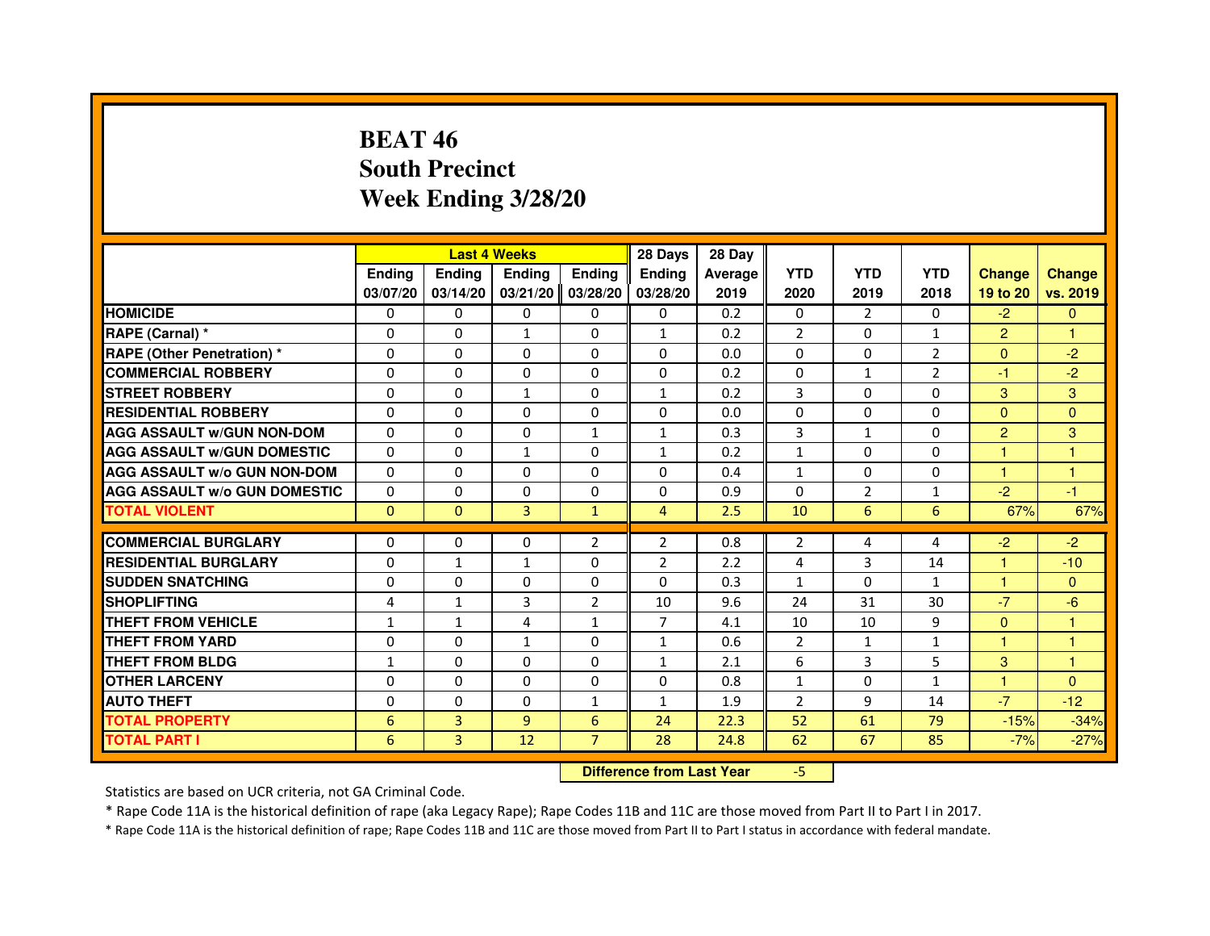## **BEAT 46 South PrecinctWeek Ending 3/28/20**

|                                     |               |                                  | <b>Last 4 Weeks</b> |                | 28 Days        | 28 Day  |                |                |                |                |               |
|-------------------------------------|---------------|----------------------------------|---------------------|----------------|----------------|---------|----------------|----------------|----------------|----------------|---------------|
|                                     | <b>Ending</b> | Ending                           | <b>Ending</b>       | <b>Ending</b>  | Ending         | Average | <b>YTD</b>     | <b>YTD</b>     | <b>YTD</b>     | <b>Change</b>  | <b>Change</b> |
|                                     | 03/07/20      | 03/14/20                         | 03/21/20            | 03/28/20       | 03/28/20       | 2019    | 2020           | 2019           | 2018           | 19 to 20       | vs. 2019      |
| <b>HOMICIDE</b>                     | 0             | $\Omega$                         | 0                   | 0              | $\mathbf{0}$   | 0.2     | $\mathbf{0}$   | $\mathcal{P}$  | $\Omega$       | $-2$           | $\mathbf{0}$  |
| RAPE (Carnal) *                     | 0             | 0                                | $\mathbf{1}$        | 0              | $\mathbf{1}$   | 0.2     | 2              | 0              | $\mathbf{1}$   | $\overline{2}$ | 1             |
| RAPE (Other Penetration) *          | $\Omega$      | $\Omega$                         | $\Omega$            | $\Omega$       | $\Omega$       | 0.0     | $\Omega$       | $\Omega$       | $\overline{2}$ | $\Omega$       | $-2$          |
| <b>COMMERCIAL ROBBERY</b>           | 0             | $\Omega$                         | $\Omega$            | $\Omega$       | $\Omega$       | 0.2     | $\mathbf 0$    | $\mathbf{1}$   | $\overline{2}$ | $-1$           | $-2$          |
| <b>STREET ROBBERY</b>               | $\Omega$      | $\Omega$                         | $\mathbf{1}$        | $\Omega$       | $\mathbf{1}$   | 0.2     | 3              | $\Omega$       | $\Omega$       | 3              | 3             |
| <b>RESIDENTIAL ROBBERY</b>          | 0             | 0                                | 0                   | 0              | 0              | 0.0     | 0              | 0              | 0              | $\Omega$       | $\mathbf{0}$  |
| <b>AGG ASSAULT w/GUN NON-DOM</b>    | $\Omega$      | $\Omega$                         | $\Omega$            | $\mathbf{1}$   | $\mathbf{1}$   | 0.3     | 3              | $\mathbf{1}$   | 0              | $\overline{2}$ | 3             |
| <b>AGG ASSAULT W/GUN DOMESTIC</b>   | $\Omega$      | $\Omega$                         | $\mathbf{1}$        | $\Omega$       | $\mathbf{1}$   | 0.2     | $\mathbf{1}$   | $\Omega$       | $\Omega$       | $\mathbf{1}$   | $\mathbf{1}$  |
| <b>AGG ASSAULT W/o GUN NON-DOM</b>  | $\Omega$      | $\Omega$                         | $\Omega$            | $\Omega$       | $\Omega$       | 0.4     | $\mathbf{1}$   | $\Omega$       | $\Omega$       | $\mathbf{1}$   | $\mathbf{1}$  |
| <b>AGG ASSAULT w/o GUN DOMESTIC</b> | $\Omega$      | $\Omega$                         | $\Omega$            | $\Omega$       | $\Omega$       | 0.9     | $\Omega$       | 2              | $\mathbf{1}$   | $-2$           | $-1$          |
| <b>TOTAL VIOLENT</b>                | $\mathbf{0}$  | $\mathbf{0}$                     | 3                   | $\mathbf{1}$   | $\overline{4}$ | 2.5     | 10             | $6\phantom{1}$ | 6              | 67%            | 67%           |
| <b>COMMERCIAL BURGLARY</b>          | 0             | 0                                | 0                   | $\overline{2}$ | $\overline{2}$ | 0.8     | $\overline{2}$ | 4              | 4              | $-2$           | $-2$          |
| <b>RESIDENTIAL BURGLARY</b>         | 0             | $\mathbf{1}$                     | $\mathbf{1}$        | 0              | $\overline{2}$ | 2.2     | 4              | 3              | 14             | $\mathbf{1}$   | $-10$         |
| <b>SUDDEN SNATCHING</b>             | $\Omega$      | $\Omega$                         | $\Omega$            | $\Omega$       | $\Omega$       | 0.3     | $\mathbf{1}$   | $\Omega$       | $\mathbf{1}$   | $\mathbf{1}$   | $\Omega$      |
| <b>SHOPLIFTING</b>                  | 4             | 1                                | 3                   | $\overline{2}$ | 10             | 9.6     | 24             | 31             | 30             | $-7$           | $-6$          |
| <b>THEFT FROM VEHICLE</b>           | 1             | $\mathbf{1}$                     | $\overline{4}$      | $\mathbf{1}$   | $\overline{7}$ | 4.1     | 10             | 10             | 9              | $\overline{0}$ | 1             |
| <b>THEFT FROM YARD</b>              | $\Omega$      | $\Omega$                         | $\mathbf{1}$        | $\Omega$       | $\mathbf{1}$   | 0.6     | $\overline{2}$ | $\mathbf{1}$   | $\mathbf{1}$   | $\mathbf{1}$   | $\mathbf{1}$  |
| <b>THEFT FROM BLDG</b>              | $\mathbf{1}$  | $\Omega$                         | $\Omega$            | $\Omega$       | $\mathbf{1}$   | 2.1     | 6              | $\overline{3}$ | 5              | 3              | $\mathbf{1}$  |
| <b>OTHER LARCENY</b>                | $\Omega$      | $\Omega$                         | $\Omega$            | $\Omega$       | $\Omega$       | 0.8     | $\mathbf{1}$   | $\mathbf{0}$   | $\mathbf{1}$   | $\mathbf{1}$   | $\Omega$      |
| <b>AUTO THEFT</b>                   | $\Omega$      | $\Omega$                         | $\Omega$            | $\mathbf{1}$   | $\mathbf{1}$   | 1.9     | $\overline{2}$ | 9              | 14             | $-7$           | $-12$         |
| <b>TOTAL PROPERTY</b>               | 6             | 3                                | $\overline{9}$      | 6              | 24             | 22.3    | 52             | 61             | 79             | $-15%$         | $-34%$        |
| <b>TOTAL PART I</b>                 | 6             | $\overline{3}$                   | 12                  | $\overline{7}$ | 28             | 24.8    | 62             | 67             | 85             | $-7%$          | $-27%$        |
|                                     |               | <b>Difference from Last Year</b> |                     | $-5$           |                |         |                |                |                |                |               |

 **Difference from Last Year**

Statistics are based on UCR criteria, not GA Criminal Code.

\* Rape Code 11A is the historical definition of rape (aka Legacy Rape); Rape Codes 11B and 11C are those moved from Part II to Part I in 2017.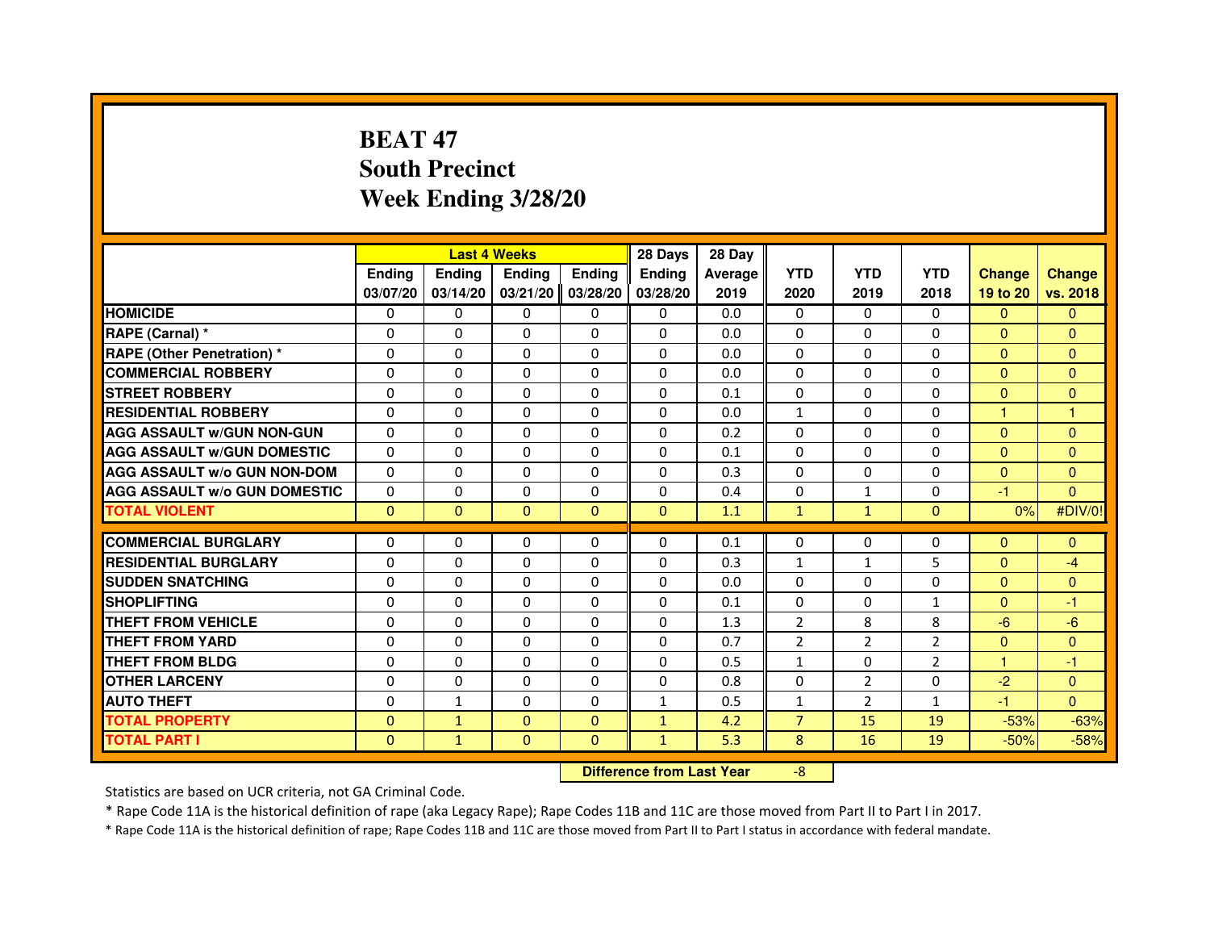# **BEAT 47 South PrecinctWeek Ending 3/28/20**

|                                     |               | <b>Last 4 Weeks</b>              |               |               | 28 Days      | 28 Day  |                |                |                |                |                |
|-------------------------------------|---------------|----------------------------------|---------------|---------------|--------------|---------|----------------|----------------|----------------|----------------|----------------|
|                                     | <b>Ending</b> | Ending                           | <b>Ending</b> | <b>Ending</b> | Ending       | Average | <b>YTD</b>     | <b>YTD</b>     | <b>YTD</b>     | <b>Change</b>  | <b>Change</b>  |
|                                     | 03/07/20      | 03/14/20                         | 03/21/20      | 03/28/20      | 03/28/20     | 2019    | 2020           | 2019           | 2018           | 19 to 20       | vs. 2018       |
| <b>HOMICIDE</b>                     | 0             | $\Omega$                         | 0             | 0             | $\mathbf{0}$ | 0.0     | $\mathbf{0}$   | $\Omega$       | $\Omega$       | $\mathbf{0}$   | $\mathbf{0}$   |
| RAPE (Carnal) *                     | 0             | 0                                | 0             | 0             | 0            | 0.0     | 0              | 0              | 0              | $\Omega$       | $\mathbf{0}$   |
| RAPE (Other Penetration) *          | $\Omega$      | 0                                | $\Omega$      | $\Omega$      | $\Omega$     | 0.0     | $\Omega$       | $\Omega$       | $\Omega$       | $\Omega$       | $\overline{0}$ |
| <b>COMMERCIAL ROBBERY</b>           | 0             | $\Omega$                         | $\Omega$      | $\Omega$      | $\Omega$     | 0.0     | $\Omega$       | $\Omega$       | $\Omega$       | $\Omega$       | $\mathbf{0}$   |
| <b>STREET ROBBERY</b>               | $\Omega$      | $\Omega$                         | $\Omega$      | $\Omega$      | $\Omega$     | 0.1     | $\Omega$       | $\Omega$       | $\Omega$       | $\Omega$       | $\mathbf{0}$   |
| <b>RESIDENTIAL ROBBERY</b>          | 0             | 0                                | 0             | 0             | 0            | 0.0     | $\mathbf{1}$   | 0              | 0              | $\mathbf{1}$   | $\mathbf{1}$   |
| <b>AGG ASSAULT w/GUN NON-GUN</b>    | $\Omega$      | $\Omega$                         | $\Omega$      | $\Omega$      | $\Omega$     | 0.2     | $\Omega$       | $\Omega$       | 0              | $\Omega$       | $\Omega$       |
| <b>AGG ASSAULT W/GUN DOMESTIC</b>   | $\Omega$      | $\Omega$                         | $\Omega$      | $\Omega$      | $\Omega$     | 0.1     | $\Omega$       | $\Omega$       | 0              | $\Omega$       | $\Omega$       |
| <b>AGG ASSAULT W/o GUN NON-DOM</b>  | $\Omega$      | $\Omega$                         | $\Omega$      | $\Omega$      | $\Omega$     | 0.3     | $\Omega$       | $\Omega$       | $\Omega$       | $\Omega$       | $\mathbf{0}$   |
| <b>AGG ASSAULT w/o GUN DOMESTIC</b> | $\Omega$      | $\Omega$                         | $\Omega$      | $\Omega$      | $\Omega$     | 0.4     | $\Omega$       | $\mathbf{1}$   | $\Omega$       | -1             | $\Omega$       |
| <b>TOTAL VIOLENT</b>                | $\mathbf{0}$  | $\mathbf{0}$                     | $\mathbf{0}$  | $\mathbf{0}$  | $\mathbf{0}$ | 1.1     | $\mathbf{1}$   | $\mathbf{1}$   | $\mathbf{0}$   | 0%             | #DIV/0!        |
| <b>COMMERCIAL BURGLARY</b>          | 0             | 0                                | 0             | 0             | 0            | 0.1     | 0              | 0              | 0              | $\mathbf{0}$   | $\mathbf{0}$   |
| <b>RESIDENTIAL BURGLARY</b>         | 0             | $\Omega$                         | $\Omega$      | $\Omega$      | 0            | 0.3     | $\mathbf{1}$   | $\mathbf{1}$   | 5              | $\mathbf{0}$   | $-4$           |
| <b>SUDDEN SNATCHING</b>             | $\Omega$      | $\Omega$                         | $\Omega$      | $\Omega$      | $\Omega$     | 0.0     | $\Omega$       | $\Omega$       | 0              | $\Omega$       | $\overline{0}$ |
| <b>SHOPLIFTING</b>                  | 0             | $\Omega$                         | $\Omega$      | $\Omega$      | $\Omega$     | 0.1     | $\Omega$       | 0              | $\mathbf{1}$   | $\Omega$       | -1             |
| <b>THEFT FROM VEHICLE</b>           | 0             | 0                                | $\Omega$      | $\Omega$      | 0            | 1.3     | 2              | 8              | 8              | $-6$           | $-6$           |
| <b>THEFT FROM YARD</b>              | $\Omega$      | $\Omega$                         | $\Omega$      | $\Omega$      | $\Omega$     | 0.7     | $\overline{2}$ | $\overline{2}$ | $\overline{2}$ | $\overline{0}$ | $\overline{0}$ |
| <b>THEFT FROM BLDG</b>              | $\Omega$      | $\Omega$                         | $\Omega$      | $\Omega$      | $\Omega$     | 0.5     | $\mathbf{1}$   | $\Omega$       | $\overline{2}$ | $\mathbf{1}$   | $-1$           |
| <b>OTHER LARCENY</b>                | 0             | $\Omega$                         | $\Omega$      | $\Omega$      | $\Omega$     | 0.8     | $\Omega$       | $\overline{2}$ | $\Omega$       | $-2$           | $\overline{0}$ |
| <b>AUTO THEFT</b>                   | $\Omega$      | $\mathbf{1}$                     | $\Omega$      | $\Omega$      | $\mathbf{1}$ | 0.5     | $\mathbf{1}$   | $\overline{2}$ | $\mathbf{1}$   | $-1$           | $\Omega$       |
| <b>TOTAL PROPERTY</b>               | $\Omega$      | $\mathbf{1}$                     | $\Omega$      | $\Omega$      | $\mathbf{1}$ | 4.2     | $\overline{7}$ | 15             | 19             | $-53%$         | $-63%$         |
| <b>TOTAL PART I</b>                 | $\mathbf{0}$  | $\mathbf{1}$                     | $\mathbf{0}$  | $\mathbf{0}$  | $\mathbf{1}$ | 5.3     | 8              | 16             | 19             | $-50%$         | $-58%$         |
|                                     |               | <b>Difference from Last Year</b> |               | $-8$          |              |         |                |                |                |                |                |

 **Difference from Last Year**

Statistics are based on UCR criteria, not GA Criminal Code.

\* Rape Code 11A is the historical definition of rape (aka Legacy Rape); Rape Codes 11B and 11C are those moved from Part II to Part I in 2017.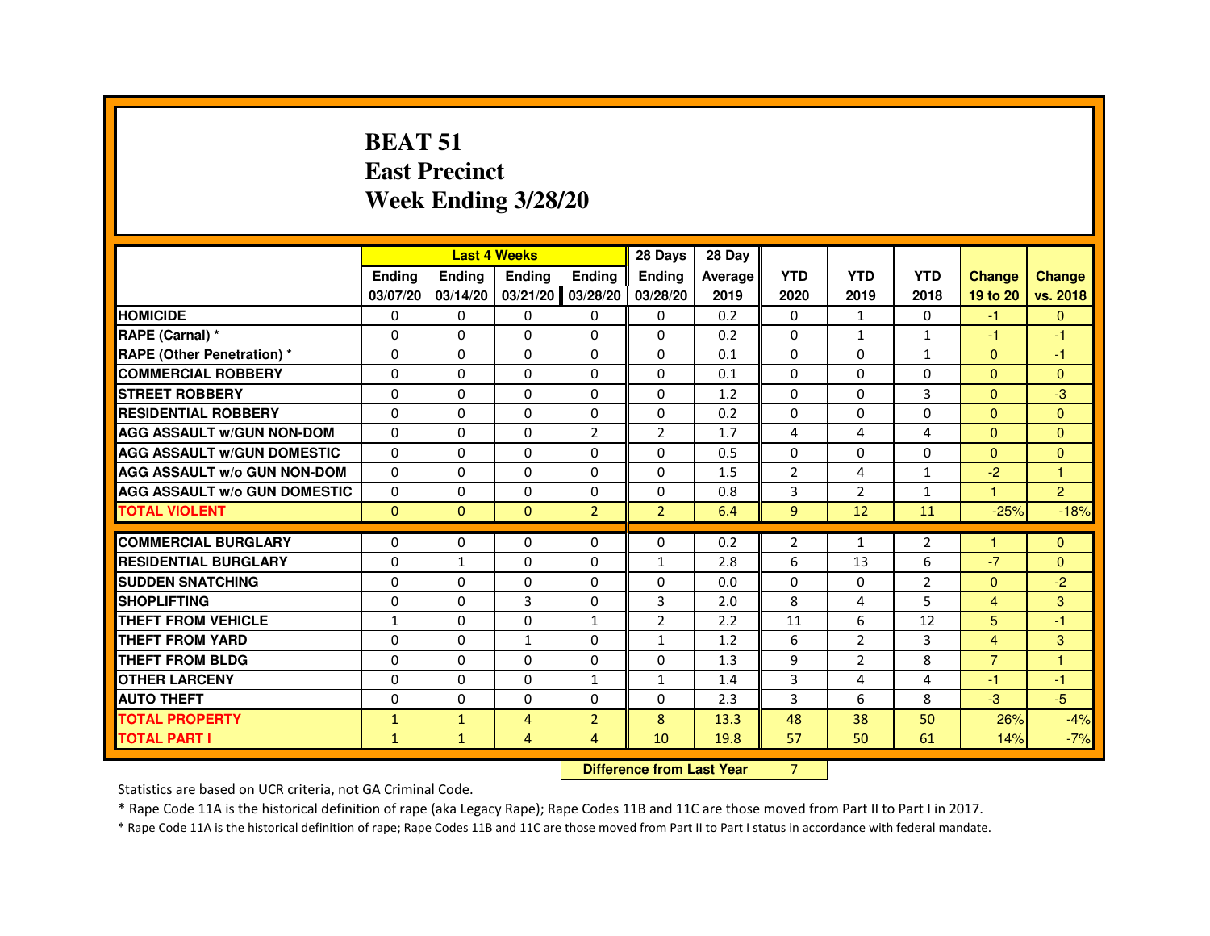#### **BEAT 51 East PrecinctWeek Ending 3/28/20**

|                                     |               | <b>Last 4 Weeks</b> |                |                   | 28 Days        | 28 Day  |                |                |                |                      |                |
|-------------------------------------|---------------|---------------------|----------------|-------------------|----------------|---------|----------------|----------------|----------------|----------------------|----------------|
|                                     | <b>Ending</b> | <b>Endina</b>       | <b>Endina</b>  | <b>Ending</b>     | <b>Endina</b>  | Average | <b>YTD</b>     | <b>YTD</b>     | <b>YTD</b>     | <b>Change</b>        | <b>Change</b>  |
|                                     | 03/07/20      | 03/14/20            | 03/21/20       | 03/28/20          | 03/28/20       | 2019    | 2020           | 2019           | 2018           | 19 to 20             | vs. 2018       |
| <b>HOMICIDE</b>                     | $\mathbf{0}$  | $\mathbf{0}$        | $\mathbf{0}$   | 0                 | 0              | 0.2     | $\Omega$       | $\mathbf{1}$   | $\mathbf{0}$   | $-1$                 | $\mathbf{0}$   |
| RAPE (Carnal) *                     | $\Omega$      | 0                   | $\Omega$       | $\Omega$          | $\Omega$       | 0.2     | $\Omega$       | $\mathbf{1}$   | $\mathbf{1}$   | $-1$                 | $-1$           |
| <b>RAPE (Other Penetration) *</b>   | $\Omega$      | 0                   | $\Omega$       | $\Omega$          | $\Omega$       | 0.1     | 0              | $\Omega$       | 1              | $\Omega$             | $-1$           |
| <b>COMMERCIAL ROBBERY</b>           | 0             | $\Omega$            | $\Omega$       | $\Omega$          | $\Omega$       | 0.1     | 0              | $\Omega$       | 0              | $\Omega$             | $\Omega$       |
| <b>STREET ROBBERY</b>               | $\Omega$      | $\Omega$            | $\Omega$       | $\Omega$          | $\Omega$       | 1.2     | $\Omega$       | $\Omega$       | 3              | $\Omega$             | $-3$           |
| <b>RESIDENTIAL ROBBERY</b>          | $\Omega$      | 0                   | 0              | $\Omega$          | $\Omega$       | 0.2     | $\Omega$       | $\Omega$       | 0              | $\Omega$             | $\Omega$       |
| <b>AGG ASSAULT W/GUN NON-DOM</b>    | $\Omega$      | $\Omega$            | $\Omega$       | $\overline{2}$    | $\overline{2}$ | 1.7     | 4              | 4              | 4              | $\Omega$             | $\Omega$       |
| <b>AGG ASSAULT W/GUN DOMESTIC</b>   | $\Omega$      | 0                   | 0              | $\Omega$          | 0              | 0.5     | 0              | 0              | 0              | $\Omega$             | $\mathbf{0}$   |
| <b>AGG ASSAULT W/o GUN NON-DOM</b>  | $\Omega$      | $\Omega$            | $\Omega$       | $\Omega$          | $\Omega$       | 1.5     | 2              | 4              | $\mathbf{1}$   | $-2$                 | $\overline{1}$ |
| <b>AGG ASSAULT W/o GUN DOMESTIC</b> | $\Omega$      | $\Omega$            | $\Omega$       | $\Omega$          | $\Omega$       | 0.8     | 3              | $\overline{2}$ | $\mathbf{1}$   | $\blacktriangleleft$ | $\overline{2}$ |
| <b>TOTAL VIOLENT</b>                | $\Omega$      | $\Omega$            | $\Omega$       | $\overline{2}$    | $\overline{2}$ | 6.4     | $\overline{9}$ | 12             | 11             | $-25%$               | $-18%$         |
| <b>COMMERCIAL BURGLARY</b>          | $\Omega$      | 0                   | 0              | $\Omega$          | $\Omega$       | 0.2     | $\overline{2}$ | $\mathbf{1}$   | $\overline{2}$ | $\blacktriangleleft$ | $\mathbf{0}$   |
| <b>RESIDENTIAL BURGLARY</b>         | $\Omega$      | $\mathbf{1}$        | $\Omega$       | $\Omega$          | $\mathbf{1}$   | 2.8     | 6              | 13             | 6              | $-7$                 | $\Omega$       |
| <b>SUDDEN SNATCHING</b>             | $\Omega$      | $\Omega$            | $\Omega$       | $\Omega$          | $\Omega$       | 0.0     | $\Omega$       | $\Omega$       | $\overline{2}$ | $\Omega$             | $-2$           |
| <b>SHOPLIFTING</b>                  | $\Omega$      | $\Omega$            | 3              | $\Omega$          | 3              | 2.0     | 8              | 4              | 5              | $\overline{4}$       | 3              |
| <b>THEFT FROM VEHICLE</b>           | $\mathbf{1}$  | $\Omega$            | $\Omega$       | $\mathbf{1}$      | 2              | 2.2     | 11             | 6              | 12             | 5                    | $-1$           |
| <b>THEFT FROM YARD</b>              | $\Omega$      | $\Omega$            | $\mathbf{1}$   | $\Omega$          | $\mathbf{1}$   | 1.2     | 6              | $\overline{2}$ | 3              | $\overline{4}$       | 3              |
| <b>THEFT FROM BLDG</b>              | $\Omega$      | $\Omega$            | $\Omega$       | $\Omega$          | $\Omega$       | 1.3     | 9              | $\overline{2}$ | 8              | $\overline{7}$       | $\overline{1}$ |
| <b>OTHER LARCENY</b>                | 0             | 0                   | 0              | 1                 | 1              | 1.4     | 3              | 4              | 4              | $-1$                 | -1             |
| <b>AUTO THEFT</b>                   | 0             | 0                   | 0              | $\Omega$          | $\Omega$       | 2.3     | 3              | 6              | 8              | $-3$                 | $-5$           |
| <b>TOTAL PROPERTY</b>               | $\mathbf{1}$  | $\mathbf{1}$        | 4              | $\overline{2}$    | 8              | 13.3    | 48             | 38             | 50             | 26%                  | $-4%$          |
| <b>TOTAL PART I</b>                 | $\mathbf{1}$  | $\mathbf{1}$        | $\overline{4}$ | $\overline{4}$    | 10             | 19.8    | 57             | 50             | 61             | 14%                  | $-7%$          |
|                                     |               | <b>CONTRACTOR</b>   |                | <b>CONTRACTOR</b> | $-$            |         |                |                |                |                      |                |

**Difference from Last Year** 7

Statistics are based on UCR criteria, not GA Criminal Code.

\* Rape Code 11A is the historical definition of rape (aka Legacy Rape); Rape Codes 11B and 11C are those moved from Part II to Part I in 2017.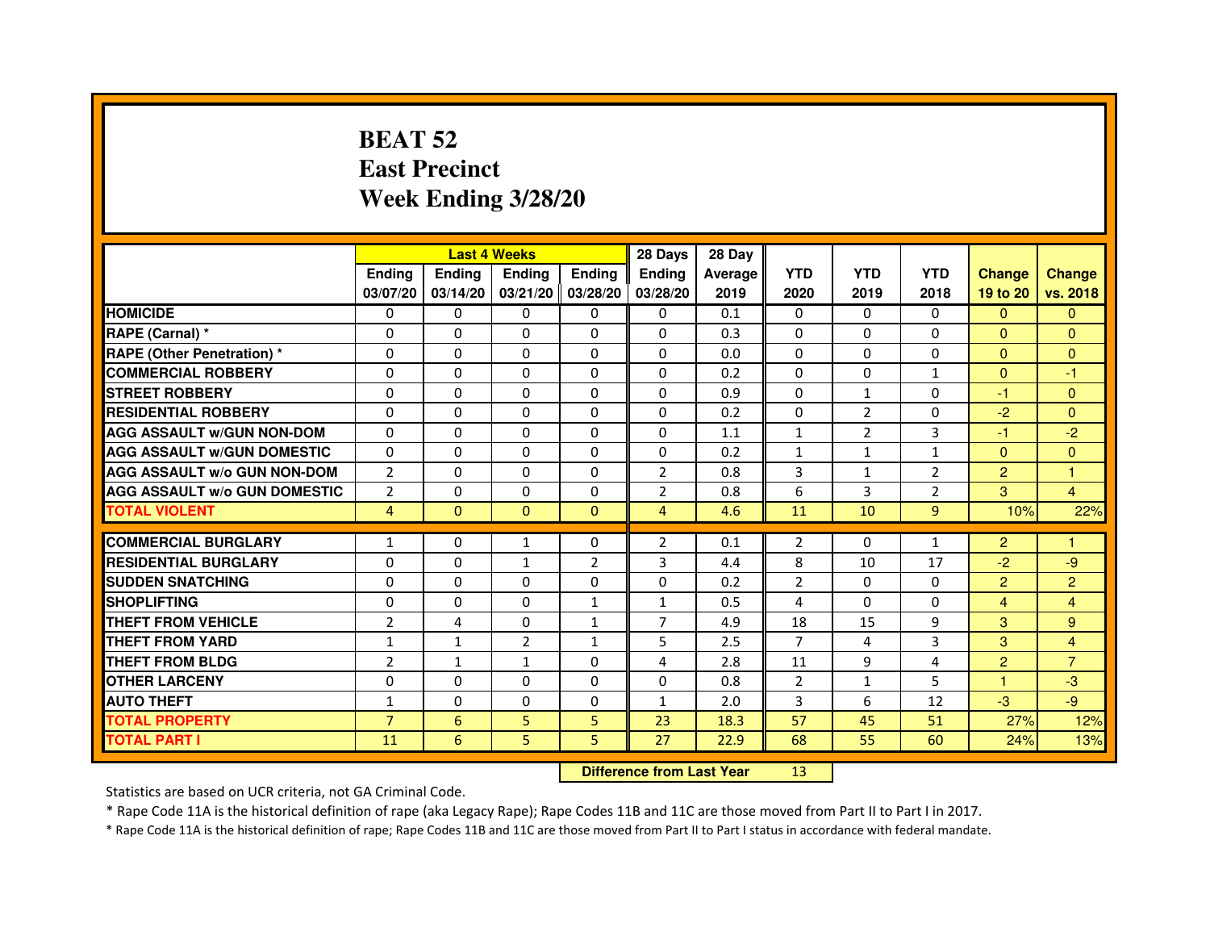# **BEAT 52 East PrecinctWeek Ending 3/28/20**

|                                     |                | <b>Last 4 Weeks</b>              |                   |                | 28 Days        | 28 Day  |                |                |                |                |                |
|-------------------------------------|----------------|----------------------------------|-------------------|----------------|----------------|---------|----------------|----------------|----------------|----------------|----------------|
|                                     | <b>Ending</b>  | Ending                           | <b>Ending</b>     | <b>Ending</b>  | <b>Ending</b>  | Average | <b>YTD</b>     | <b>YTD</b>     | <b>YTD</b>     | <b>Change</b>  | <b>Change</b>  |
|                                     | 03/07/20       | 03/14/20                         | 03/21/20 03/28/20 |                | 03/28/20       | 2019    | 2020           | 2019           | 2018           | 19 to 20       | vs. 2018       |
| <b>HOMICIDE</b>                     | 0              | $\Omega$                         | $\Omega$          | $\Omega$       | 0              | 0.1     | $\Omega$       | $\Omega$       | $\Omega$       | $\Omega$       | $\mathbf{0}$   |
| RAPE (Carnal) *                     | 0              | 0                                | 0                 | 0              | 0              | 0.3     | $\mathbf{0}$   | $\Omega$       | 0              | $\mathbf{0}$   | $\Omega$       |
| <b>RAPE (Other Penetration) *</b>   | 0              | 0                                | $\Omega$          | 0              | $\Omega$       | 0.0     | $\Omega$       | $\mathbf{0}$   | 0              | $\Omega$       | $\Omega$       |
| <b>COMMERCIAL ROBBERY</b>           | $\Omega$       | $\Omega$                         | $\Omega$          | $\Omega$       | $\Omega$       | 0.2     | $\Omega$       | $\mathbf{0}$   | $\mathbf{1}$   | $\Omega$       | $-1$           |
| <b>STREET ROBBERY</b>               | $\Omega$       | $\Omega$                         | $\Omega$          | $\Omega$       | $\Omega$       | 0.9     | $\Omega$       | $\mathbf{1}$   | $\Omega$       | $-1$           | $\mathbf{0}$   |
| <b>RESIDENTIAL ROBBERY</b>          | $\Omega$       | $\Omega$                         | $\Omega$          | $\Omega$       | 0              | 0.2     | $\Omega$       | $\overline{2}$ | 0              | $-2$           | $\Omega$       |
| <b>AGG ASSAULT w/GUN NON-DOM</b>    | $\Omega$       | $\Omega$                         | $\mathbf 0$       | $\Omega$       | $\Omega$       | 1.1     | $\mathbf{1}$   | $\overline{2}$ | 3              | $-1$           | $-2$           |
| <b>AGG ASSAULT w/GUN DOMESTIC</b>   | $\Omega$       | $\Omega$                         | $\Omega$          | $\Omega$       | $\Omega$       | 0.2     | $\mathbf{1}$   | $\mathbf{1}$   | $\mathbf{1}$   | $\Omega$       | $\Omega$       |
| <b>AGG ASSAULT W/o GUN NON-DOM</b>  | $\overline{2}$ | 0                                | 0                 | 0              | 2              | 0.8     | 3              | $\mathbf{1}$   | 2              | $\overline{2}$ | 1              |
| <b>AGG ASSAULT w/o GUN DOMESTIC</b> | $\overline{2}$ | $\mathbf 0$                      | $\Omega$          | 0              | $\overline{2}$ | 0.8     | 6              | 3              | $\overline{2}$ | 3              | 4              |
| <b>TOTAL VIOLENT</b>                | $\overline{4}$ | $\mathbf{0}$                     | $\mathbf{0}$      | $\mathbf{0}$   | $\overline{4}$ | 4.6     | 11             | 10             | 9              | 10%            | 22%            |
| <b>COMMERCIAL BURGLARY</b>          | $\mathbf{1}$   | 0                                | $\mathbf{1}$      | 0              | $\overline{2}$ | 0.1     | $\overline{2}$ | 0              | $\mathbf{1}$   | $\overline{2}$ | 1              |
| <b>RESIDENTIAL BURGLARY</b>         | $\Omega$       | $\Omega$                         | $\mathbf{1}$      | $\overline{2}$ | 3              | 4.4     | 8              | 10             | 17             | $-2$           | -9             |
| <b>SUDDEN SNATCHING</b>             | $\Omega$       | $\Omega$                         | $\Omega$          | $\Omega$       | $\Omega$       | 0.2     | $\mathfrak{p}$ | $\Omega$       | $\Omega$       | $\overline{2}$ | $\overline{2}$ |
| <b>SHOPLIFTING</b>                  | 0              | 0                                | 0                 | $\mathbf{1}$   | 1              | 0.5     | 4              | $\Omega$       | 0              | $\overline{4}$ | 4              |
| <b>THEFT FROM VEHICLE</b>           | $\overline{2}$ | $\overline{4}$                   | 0                 | $\mathbf{1}$   | $\overline{7}$ | 4.9     | 18             | 15             | 9              | 3              | 9              |
| <b>THEFT FROM YARD</b>              | $\mathbf{1}$   | $\mathbf{1}$                     | $\overline{2}$    | $\mathbf{1}$   | 5              | 2.5     | $\overline{7}$ | 4              | 3              | 3              | $\overline{4}$ |
| <b>THEFT FROM BLDG</b>              | $\overline{2}$ | $\mathbf{1}$                     | $\mathbf{1}$      | $\Omega$       | 4              | 2.8     | 11             | 9              | 4              | $\overline{2}$ | $\overline{7}$ |
| <b>OTHER LARCENY</b>                | $\mathbf 0$    | $\Omega$                         | $\mathbf 0$       | $\Omega$       | $\Omega$       | 0.8     | $\overline{2}$ | $\mathbf{1}$   | 5              | 1.             | $-3$           |
| <b>AUTO THEFT</b>                   | $\mathbf{1}$   | $\Omega$                         | $\Omega$          | $\Omega$       | $\mathbf{1}$   | 2.0     | 3              | 6              | 12             | $-3$           | $-9$           |
| <b>TOTAL PROPERTY</b>               | $\overline{7}$ | 6                                | 5                 | 5              | 23             | 18.3    | 57             | 45             | 51             | 27%            | 12%            |
| <b>TOTAL PART I</b>                 | 11             | 6                                | 5                 | 5              | 27             | 22.9    | 68             | 55             | 60             | 24%            | 13%            |
|                                     |                | <b>Difference from Last Year</b> |                   | 13             |                |         |                |                |                |                |                |

 **Difference from Last Year**

Statistics are based on UCR criteria, not GA Criminal Code.

\* Rape Code 11A is the historical definition of rape (aka Legacy Rape); Rape Codes 11B and 11C are those moved from Part II to Part I in 2017.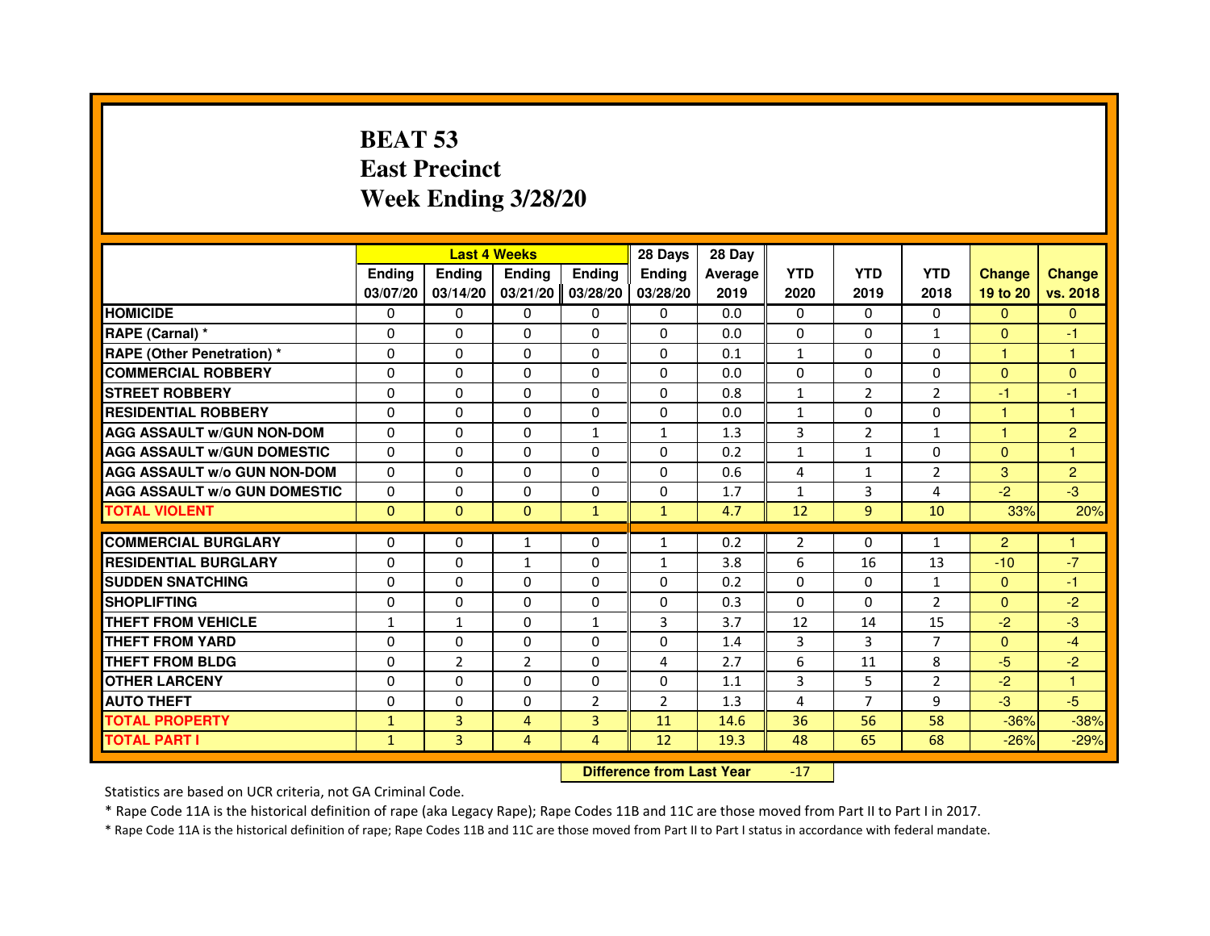# **BEAT 53 East PrecinctWeek Ending 3/28/20**

|                                     |               |                                  | <b>Last 4 Weeks</b> |                | 28 Days        | 28 Day  |                |                |                |                |                |
|-------------------------------------|---------------|----------------------------------|---------------------|----------------|----------------|---------|----------------|----------------|----------------|----------------|----------------|
|                                     | <b>Ending</b> | Ending                           | <b>Ending</b>       | <b>Ending</b>  | <b>Endina</b>  | Average | <b>YTD</b>     | <b>YTD</b>     | <b>YTD</b>     | <b>Change</b>  | <b>Change</b>  |
|                                     | 03/07/20      | 03/14/20                         | 03/21/20            | 03/28/20       | 03/28/20       | 2019    | 2020           | 2019           | 2018           | 19 to 20       | vs. 2018       |
| <b>HOMICIDE</b>                     | $\Omega$      | $\Omega$                         | $\mathbf{0}$        | $\mathbf{0}$   | $\mathbf{0}$   | 0.0     | $\Omega$       | 0              | $\Omega$       | $\Omega$       | $\mathbf{0}$   |
| RAPE (Carnal) *                     | 0             | $\Omega$                         | $\Omega$            | $\Omega$       | $\Omega$       | 0.0     | $\Omega$       | $\Omega$       | $\mathbf{1}$   | $\Omega$       | $-1$           |
| <b>RAPE (Other Penetration) *</b>   | $\Omega$      | $\Omega$                         | $\Omega$            | $\Omega$       | $\Omega$       | 0.1     | $\mathbf{1}$   | $\Omega$       | $\Omega$       | $\mathbf{1}$   | 1              |
| <b>COMMERCIAL ROBBERY</b>           | 0             | $\Omega$                         | $\Omega$            | $\Omega$       | $\Omega$       | 0.0     | $\Omega$       | $\Omega$       | $\Omega$       | $\mathbf{0}$   | $\overline{0}$ |
| <b>STREET ROBBERY</b>               | $\Omega$      | $\Omega$                         | $\Omega$            | $\Omega$       | $\Omega$       | 0.8     | $\mathbf{1}$   | 2              | 2              | $-1$           | $-1$           |
| <b>RESIDENTIAL ROBBERY</b>          | $\Omega$      | $\Omega$                         | $\Omega$            | $\Omega$       | $\Omega$       | 0.0     | $\mathbf{1}$   | $\Omega$       | $\Omega$       | 1              | 1              |
| <b>AGG ASSAULT W/GUN NON-DOM</b>    | $\Omega$      | $\Omega$                         | $\Omega$            | $\mathbf{1}$   | $\mathbf{1}$   | 1.3     | $\overline{3}$ | $\overline{2}$ | $\mathbf{1}$   | $\mathbf{1}$   | $\overline{2}$ |
| <b>AGG ASSAULT W/GUN DOMESTIC</b>   | $\Omega$      | $\Omega$                         | $\Omega$            | $\Omega$       | $\Omega$       | 0.2     | $\mathbf{1}$   | $\mathbf{1}$   | $\Omega$       | $\Omega$       | 1              |
| <b>AGG ASSAULT w/o GUN NON-DOM</b>  | 0             | 0                                | 0                   | $\mathbf{0}$   | $\mathbf{0}$   | 0.6     | 4              | $\mathbf{1}$   | 2              | 3              | $\overline{c}$ |
| <b>AGG ASSAULT W/o GUN DOMESTIC</b> | $\Omega$      | 0                                | $\Omega$            | $\Omega$       | 0              | 1.7     | $\mathbf{1}$   | 3              | 4              | $-2$           | $-3$           |
| <b>TOTAL VIOLENT</b>                | $\mathbf{0}$  | $\mathbf{0}$                     | $\mathbf 0$         | $\mathbf{1}$   | $\mathbf{1}$   | 4.7     | 12             | 9              | 10             | 33%            | 20%            |
| <b>COMMERCIAL BURGLARY</b>          | $\Omega$      | $\Omega$                         | $\mathbf{1}$        | $\Omega$       | $\mathbf{1}$   | 0.2     | $\overline{2}$ | 0              | $\mathbf{1}$   | $\overline{2}$ | 1              |
| <b>RESIDENTIAL BURGLARY</b>         | $\Omega$      | $\Omega$                         | 1                   | $\Omega$       | $\mathbf{1}$   | 3.8     | 6              | 16             | 13             | $-10$          | $-7$           |
| <b>SUDDEN SNATCHING</b>             | $\Omega$      | $\Omega$                         | $\Omega$            | $\Omega$       | $\Omega$       | 0.2     | $\Omega$       | $\Omega$       | $\mathbf{1}$   | $\Omega$       | $-1$           |
| <b>SHOPLIFTING</b>                  | 0             | 0                                | 0                   | 0              | $\mathbf{0}$   | 0.3     | 0              | 0              | 2              | $\mathbf{0}$   | $-2$           |
| <b>THEFT FROM VEHICLE</b>           | 1             | $\mathbf{1}$                     | $\Omega$            | $\mathbf{1}$   | 3              | 3.7     | 12             | 14             | 15             | $-2$           | $-3$           |
| <b>THEFT FROM YARD</b>              | 0             | 0                                | 0                   | 0              | 0              | 1.4     | 3              | 3              | $\overline{7}$ | $\overline{0}$ | $-4$           |
| <b>THEFT FROM BLDG</b>              | $\Omega$      | $\overline{2}$                   | $\overline{2}$      | $\Omega$       | $\overline{4}$ | 2.7     | 6              | 11             | 8              | $-5$           | $-2$           |
| <b>OTHER LARCENY</b>                | $\Omega$      | $\Omega$                         | $\Omega$            | $\Omega$       | $\Omega$       | 1.1     | 3              | 5              | $\overline{2}$ | $-2$           | 1              |
| <b>AUTO THEFT</b>                   | $\Omega$      | $\Omega$                         | $\Omega$            | $\overline{2}$ | $\overline{2}$ | 1.3     | 4              | $\overline{7}$ | 9              | $-3$           | $-5$           |
| <b>TOTAL PROPERTY</b>               | $\mathbf{1}$  | 3                                | $\overline{4}$      | 3              | 11             | 14.6    | 36             | 56             | 58             | $-36%$         | $-38%$         |
| <b>TOTAL PART I</b>                 | $\mathbf{1}$  | 3                                | $\overline{4}$      | 4              | 12             | 19.3    | 48             | 65             | 68             | $-26%$         | $-29%$         |
|                                     |               | <b>Difference from Last Year</b> |                     | $-17$          |                |         |                |                |                |                |                |

Statistics are based on UCR criteria, not GA Criminal Code.

\* Rape Code 11A is the historical definition of rape (aka Legacy Rape); Rape Codes 11B and 11C are those moved from Part II to Part I in 2017.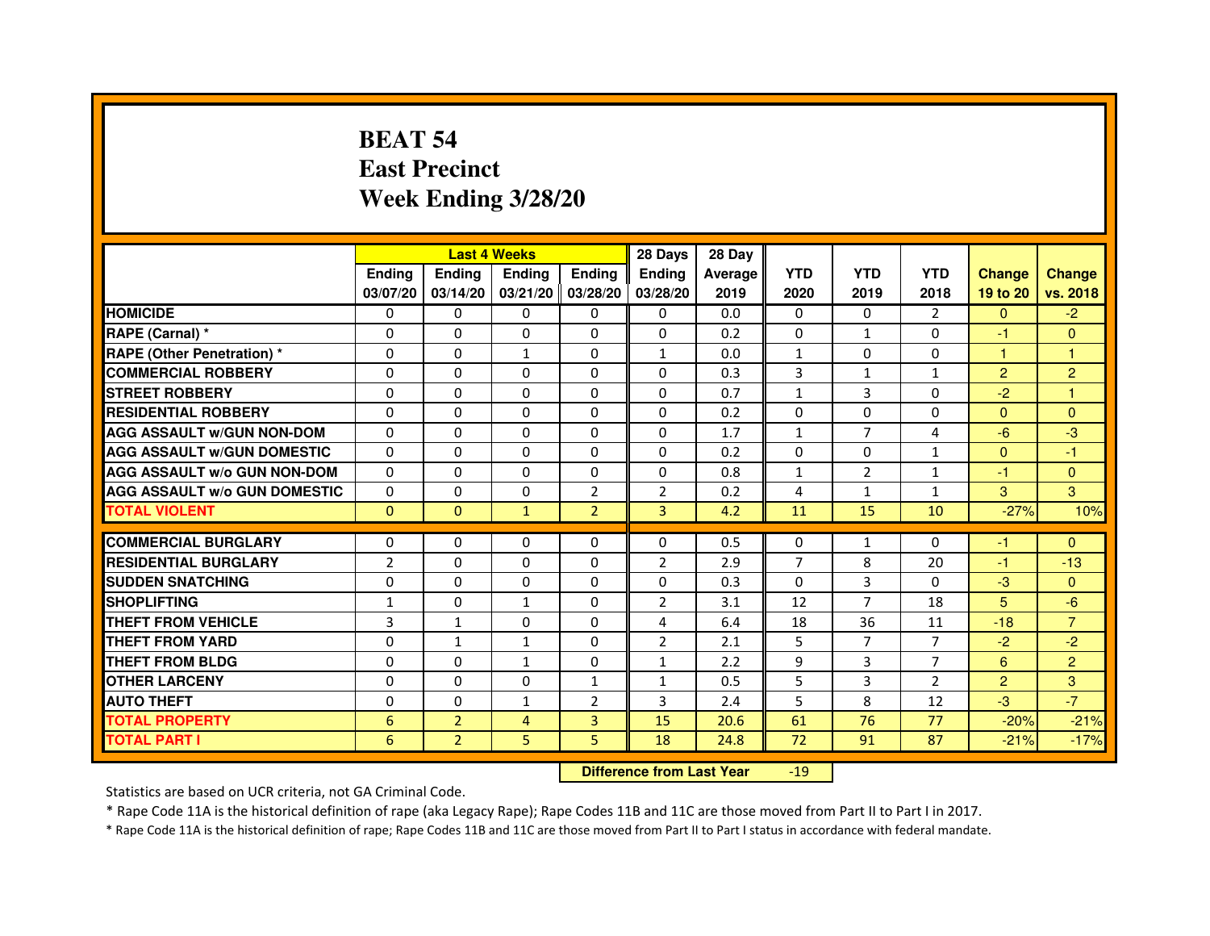# **BEAT 54 East PrecinctWeek Ending 3/28/20**

|                                     |                |                | <b>Last 4 Weeks</b> |                | 28 Days        | 28 Day  |                |                |                |                |                |
|-------------------------------------|----------------|----------------|---------------------|----------------|----------------|---------|----------------|----------------|----------------|----------------|----------------|
|                                     | <b>Endina</b>  | Ending         | <b>Endina</b>       | <b>Ending</b>  | <b>Endina</b>  | Average | <b>YTD</b>     | <b>YTD</b>     | <b>YTD</b>     | <b>Change</b>  | <b>Change</b>  |
|                                     | 03/07/20       | 03/14/20       | 03/21/20 03/28/20   |                | 03/28/20       | 2019    | 2020           | 2019           | 2018           | 19 to 20       | vs. 2018       |
| <b>HOMICIDE</b>                     | 0              | 0              | $\mathbf{0}$        | 0              | 0              | 0.0     | $\mathbf{0}$   | 0              | 2              | $\mathbf{0}$   | $-2$           |
| RAPE (Carnal) *                     | $\Omega$       | $\Omega$       | $\Omega$            | $\Omega$       | $\Omega$       | 0.2     | $\Omega$       | $\mathbf{1}$   | $\Omega$       | $-1$           | $\Omega$       |
| <b>RAPE (Other Penetration) *</b>   | $\Omega$       | $\Omega$       | $\mathbf{1}$        | $\Omega$       | $\mathbf{1}$   | 0.0     | $\mathbf{1}$   | $\mathbf{0}$   | $\Omega$       | $\mathbf{1}$   | $\mathbf{1}$   |
| <b>COMMERCIAL ROBBERY</b>           | 0              | 0              | 0                   | 0              | 0              | 0.3     | 3              | $\mathbf{1}$   | 1              | 2              | $\overline{c}$ |
| <b>STREET ROBBERY</b>               | 0              | 0              | $\Omega$            | 0              | 0              | 0.7     | $\mathbf{1}$   | 3              | $\Omega$       | $-2$           | 1              |
| <b>RESIDENTIAL ROBBERY</b>          | 0              | 0              | 0                   | 0              | 0              | 0.2     | $\Omega$       | $\Omega$       | $\Omega$       | $\Omega$       | $\Omega$       |
| <b>AGG ASSAULT w/GUN NON-DOM</b>    | $\Omega$       | $\Omega$       | $\mathbf 0$         | 0              | $\Omega$       | 1.7     | $\mathbf{1}$   | $\overline{7}$ | 4              | $-6$           | -3             |
| <b>AGG ASSAULT W/GUN DOMESTIC</b>   | 0              | 0              | 0                   | 0              | 0              | 0.2     | 0              | 0              | $\mathbf{1}$   | $\Omega$       | $-1$           |
| <b>AGG ASSAULT W/o GUN NON-DOM</b>  | $\Omega$       | $\Omega$       | $\Omega$            | 0              | $\Omega$       | 0.8     | $\mathbf{1}$   | $\overline{2}$ | 1              | $-1$           | $\Omega$       |
| <b>AGG ASSAULT W/o GUN DOMESTIC</b> | $\Omega$       | $\Omega$       | $\Omega$            | $\overline{2}$ | $\overline{2}$ | 0.2     | 4              | $\mathbf{1}$   | $\mathbf{1}$   | 3              | 3              |
| <b>TOTAL VIOLENT</b>                | $\Omega$       | $\Omega$       | $\mathbf{1}$        | $\overline{2}$ | $\overline{3}$ | 4.2     | 11             | 15             | 10             | $-27%$         | 10%            |
|                                     |                |                |                     |                |                |         |                |                |                |                |                |
| <b>COMMERCIAL BURGLARY</b>          | 0              | 0              | 0                   | 0              | 0              | 0.5     | 0              | $\mathbf{1}$   | $\Omega$       | -1             | $\Omega$       |
| <b>RESIDENTIAL BURGLARY</b>         | $\overline{2}$ | 0              | 0                   | 0              | $\overline{2}$ | 2.9     | $\overline{7}$ | 8              | 20             | $-1$           | $-13$          |
| <b>SUDDEN SNATCHING</b>             | 0              | $\Omega$       | 0                   | 0              | 0              | 0.3     | $\Omega$       | 3              | $\Omega$       | $-3$           | $\Omega$       |
| <b>SHOPLIFTING</b>                  | $\mathbf{1}$   | $\mathbf 0$    | $\mathbf{1}$        | 0              | $\overline{2}$ | 3.1     | 12             | $\overline{7}$ | 18             | 5              | $-6$           |
| <b>THEFT FROM VEHICLE</b>           | 3              | $\mathbf{1}$   | $\Omega$            | $\Omega$       | 4              | 6.4     | 18             | 36             | 11             | $-18$          | $\overline{7}$ |
| <b>THEFT FROM YARD</b>              | 0              | $\mathbf{1}$   | $\mathbf{1}$        | $\Omega$       | $\overline{2}$ | 2.1     | 5              | $\overline{7}$ | $\overline{7}$ | $-2$           | $-2$           |
| <b>THEFT FROM BLDG</b>              | $\Omega$       | 0              | $\mathbf{1}$        | 0              | 1              | 2.2     | 9              | 3              | $\overline{7}$ | 6              | $\overline{2}$ |
| <b>OTHER LARCENY</b>                | 0              | $\Omega$       | $\Omega$            | $\mathbf{1}$   | 1              | 0.5     | 5              | 3              | $\mathcal{P}$  | $\overline{2}$ | 3              |
| <b>AUTO THEFT</b>                   | $\mathbf 0$    | $\mathbf 0$    | 1                   | $\overline{2}$ | 3              | 2.4     | 5              | 8              | 12             | $-3$           | $-7$           |
| <b>TOTAL PROPERTY</b>               | 6              | $\overline{2}$ | 4                   | 3              | 15             | 20.6    | 61             | 76             | 77             | $-20%$         | $-21%$         |
| <b>TOTAL PART I</b>                 | 6              | $\overline{2}$ | 5                   | 5              | 18             | 24.8    | 72             | 91             | 87             | $-21%$         | $-17%$         |

 **Difference from Last Year**-19

Statistics are based on UCR criteria, not GA Criminal Code.

\* Rape Code 11A is the historical definition of rape (aka Legacy Rape); Rape Codes 11B and 11C are those moved from Part II to Part I in 2017.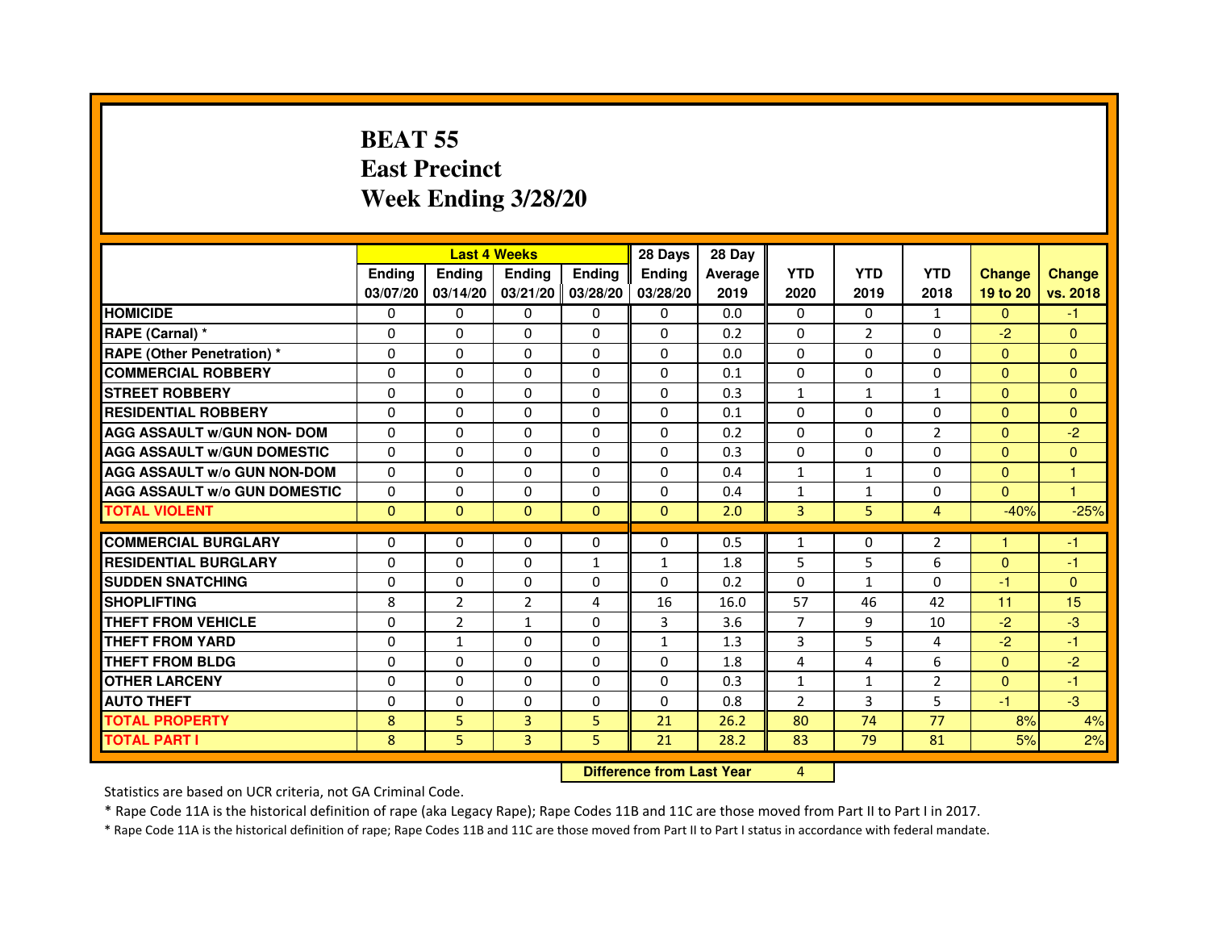## **BEAT 55 East PrecinctWeek Ending 3/28/20**

|                                     |               |                | <b>Last 4 Weeks</b> |                | 28 Days                          | 28 Day  |                |                |                |               |                |
|-------------------------------------|---------------|----------------|---------------------|----------------|----------------------------------|---------|----------------|----------------|----------------|---------------|----------------|
|                                     | <b>Ending</b> | <b>Ending</b>  | <b>Ending</b>       | Ending         | Ending                           | Average | <b>YTD</b>     | <b>YTD</b>     | <b>YTD</b>     | <b>Change</b> | <b>Change</b>  |
|                                     | 03/07/20      | 03/14/20       | 03/21/20            | 03/28/20       | 03/28/20                         | 2019    | 2020           | 2019           | 2018           | 19 to 20      | vs. 2018       |
| <b>HOMICIDE</b>                     | $\Omega$      | $\Omega$       | 0                   | 0              | 0                                | 0.0     | $\Omega$       | $\Omega$       | $\mathbf{1}$   | $\Omega$      | $-1$           |
| RAPE (Carnal) *                     | $\Omega$      | $\mathbf{0}$   | 0                   | 0              | 0                                | 0.2     | 0              | $\overline{2}$ | 0              | $-2$          | $\mathbf{0}$   |
| RAPE (Other Penetration) *          | $\Omega$      | 0              | $\Omega$            | $\Omega$       | $\Omega$                         | 0.0     | $\Omega$       | $\Omega$       | $\Omega$       | $\Omega$      | $\overline{0}$ |
| <b>COMMERCIAL ROBBERY</b>           | $\Omega$      | $\Omega$       | $\Omega$            | $\Omega$       | $\Omega$                         | 0.1     | $\Omega$       | $\Omega$       | $\Omega$       | $\mathbf{0}$  | $\mathbf{0}$   |
| <b>STREET ROBBERY</b>               | $\Omega$      | $\Omega$       | $\Omega$            | $\Omega$       | $\Omega$                         | 0.3     | $\mathbf{1}$   | $\mathbf{1}$   | $\mathbf{1}$   | $\Omega$      | $\Omega$       |
| <b>RESIDENTIAL ROBBERY</b>          | 0             | 0              | 0                   | 0              | 0                                | 0.1     | 0              | $\Omega$       | $\Omega$       | $\Omega$      | $\overline{0}$ |
| <b>AGG ASSAULT w/GUN NON- DOM</b>   | $\Omega$      | $\Omega$       | $\Omega$            | $\Omega$       | $\Omega$                         | 0.2     | $\Omega$       | $\Omega$       | $\overline{2}$ | $\Omega$      | $-2$           |
| <b>AGG ASSAULT W/GUN DOMESTIC</b>   | $\Omega$      | $\Omega$       | $\Omega$            | $\Omega$       | $\Omega$                         | 0.3     | $\Omega$       | $\Omega$       | $\Omega$       | $\Omega$      | $\mathbf{0}$   |
| <b>AGG ASSAULT W/o GUN NON-DOM</b>  | $\Omega$      | $\Omega$       | $\Omega$            | $\Omega$       | $\Omega$                         | 0.4     | $\mathbf{1}$   | $\mathbf{1}$   | $\Omega$       | $\Omega$      | 1              |
| <b>AGG ASSAULT W/o GUN DOMESTIC</b> | $\Omega$      | $\Omega$       | $\Omega$            | $\Omega$       | $\Omega$                         | 0.4     | $\mathbf{1}$   | $\mathbf{1}$   | $\Omega$       | $\Omega$      | 1              |
| <b>TOTAL VIOLENT</b>                | $\mathbf{0}$  | $\mathbf{0}$   | $\mathbf{0}$        | $\overline{0}$ | $\mathbf{0}$                     | 2.0     | 3              | 5              | $\overline{4}$ | $-40%$        | $-25%$         |
| <b>COMMERCIAL BURGLARY</b>          | $\mathbf{0}$  | 0              | 0                   | 0              | 0                                | 0.5     | $\mathbf{1}$   | 0              | 2              | 1             | -1             |
| <b>RESIDENTIAL BURGLARY</b>         | $\Omega$      | $\Omega$       | $\Omega$            | $\mathbf{1}$   | $\mathbf{1}$                     | 1.8     | 5              | 5              | 6              | $\Omega$      | $-1$           |
| <b>SUDDEN SNATCHING</b>             | $\Omega$      | $\Omega$       | $\Omega$            | $\Omega$       | $\Omega$                         | 0.2     | $\Omega$       | $\mathbf{1}$   | $\Omega$       | $-1$          | $\Omega$       |
| <b>SHOPLIFTING</b>                  | 8             | $\overline{2}$ | $\overline{2}$      | 4              | 16                               | 16.0    | 57             | 46             | 42             | 11            | 15             |
| THEFT FROM VEHICLE                  | $\Omega$      | 2              | $\mathbf{1}$        | $\Omega$       | 3                                | 3.6     | 7              | 9              | 10             | $-2$          | $-3$           |
| <b>THEFT FROM YARD</b>              | $\Omega$      | $\mathbf{1}$   | $\Omega$            | $\Omega$       | $\mathbf{1}$                     | 1.3     | 3              | 5              | 4              | $-2$          | $-1$           |
| <b>THEFT FROM BLDG</b>              | $\Omega$      | $\Omega$       | $\Omega$            | $\Omega$       | $\Omega$                         | 1.8     | 4              | 4              | 6              | $\Omega$      | $-2$           |
| <b>OTHER LARCENY</b>                | $\mathbf{0}$  | $\Omega$       | $\Omega$            | $\Omega$       | $\Omega$                         | 0.3     | $\mathbf{1}$   | 1              | $\overline{2}$ | $\mathbf{0}$  | $-1$           |
| <b>AUTO THEFT</b>                   | $\Omega$      | $\Omega$       | $\Omega$            | $\Omega$       | $\Omega$                         | 0.8     | $\overline{2}$ | 3              | 5              | $-1$          | $-3$           |
| <b>TOTAL PROPERTY</b>               | 8             | 5              | $\overline{3}$      | 5              | 21                               | 26.2    | 80             | 74             | 77             | 8%            | 4%             |
| <b>TOTAL PART I</b>                 | 8             | 5              | $\overline{3}$      | 5              | 21                               | 28.2    | 83             | 79             | 81             | 5%            | 2%             |
|                                     |               |                |                     |                | <b>Difference from Last Year</b> |         | 4              |                |                |               |                |

 **Difference from Last Year**

Statistics are based on UCR criteria, not GA Criminal Code.

\* Rape Code 11A is the historical definition of rape (aka Legacy Rape); Rape Codes 11B and 11C are those moved from Part II to Part I in 2017.